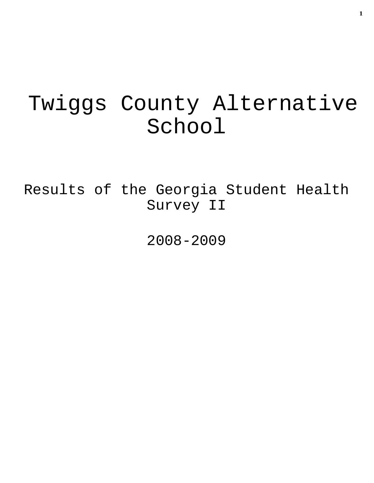# Twiggs County Alternative School

Results of the Georgia Student Health Survey II

2008-2009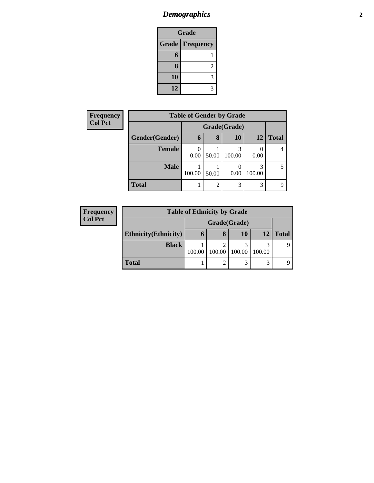# *Demographics* **2**

| <b>Grade</b>       |   |  |  |  |
|--------------------|---|--|--|--|
| Grade<br>Frequency |   |  |  |  |
| 6                  |   |  |  |  |
| 8                  | 2 |  |  |  |
| 10                 | 3 |  |  |  |
| 12                 |   |  |  |  |

| <b>Frequency</b> | <b>Table of Gender by Grade</b> |        |                |        |             |              |  |  |  |  |
|------------------|---------------------------------|--------|----------------|--------|-------------|--------------|--|--|--|--|
| <b>Col Pct</b>   |                                 |        | Grade(Grade)   |        |             |              |  |  |  |  |
|                  | Gender(Gender)                  | 6      | 8              | 10     | 12          | <b>Total</b> |  |  |  |  |
|                  | <b>Female</b>                   | 0.00   | 50.00          | 100.00 | 0.00        |              |  |  |  |  |
|                  | <b>Male</b>                     | 100.00 | 50.00          | 0.00   | 3<br>100.00 |              |  |  |  |  |
|                  | <b>Total</b>                    |        | $\overline{2}$ | 3      | 3           |              |  |  |  |  |

| <b>Frequency</b> | <b>Table of Ethnicity by Grade</b> |        |              |           |        |              |  |
|------------------|------------------------------------|--------|--------------|-----------|--------|--------------|--|
| <b>Col Pct</b>   |                                    |        | Grade(Grade) |           |        |              |  |
|                  | <b>Ethnicity</b> (Ethnicity)       | O      | 8            | <b>10</b> | 12     | <b>Total</b> |  |
|                  | <b>Black</b>                       | 100.00 | 100.00       | 100.00    | 100.00 |              |  |
|                  | <b>Total</b>                       |        | ∍            | 3         | 3      |              |  |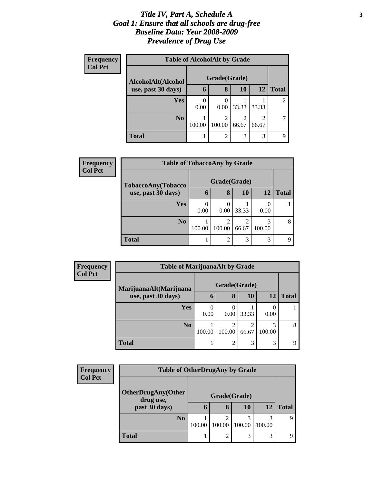#### *Title IV, Part A, Schedule A* **3** *Goal 1: Ensure that all schools are drug-free Baseline Data: Year 2008-2009 Prevalence of Drug Use*

| Frequency<br><b>Col Pct</b> | <b>Table of AlcoholAlt by Grade</b> |              |                          |            |                         |              |  |
|-----------------------------|-------------------------------------|--------------|--------------------------|------------|-------------------------|--------------|--|
|                             | AlcoholAlt(Alcohol                  | Grade(Grade) |                          |            |                         |              |  |
|                             | use, past 30 days)                  | 6            | 8                        | <b>10</b>  | 12                      | <b>Total</b> |  |
|                             | <b>Yes</b>                          | 0.00         | 0.00                     | 33.33      | 33.33                   | 2            |  |
|                             | N <sub>0</sub>                      | 100.00       | $\overline{2}$<br>100.00 | 2<br>66.67 | $\overline{c}$<br>66.67 |              |  |
|                             | <b>Total</b>                        |              | $\overline{c}$           | 3          | 3                       | Q            |  |

| Frequency<br><b>Col Pct</b> | <b>Table of TobaccoAny by Grade</b> |              |        |                         |        |       |
|-----------------------------|-------------------------------------|--------------|--------|-------------------------|--------|-------|
|                             | TobaccoAny(Tobacco                  | Grade(Grade) |        |                         |        |       |
|                             | use, past 30 days)                  | 6            | 8      | 10                      | 12     | Total |
|                             | <b>Yes</b>                          | 0.00         | 0.00   | 33.33                   | 0.00   |       |
|                             | N <sub>0</sub>                      | 100.00       | 100.00 | $\mathfrak{D}$<br>66.67 | 100.00 | 8     |
|                             | <b>Total</b>                        |              | റ      | 3                       | 3      | Q     |

| Frequency<br><b>Col Pct</b> | <b>Table of MarijuanaAlt by Grade</b> |              |                |            |             |              |
|-----------------------------|---------------------------------------|--------------|----------------|------------|-------------|--------------|
|                             | MarijuanaAlt(Marijuana                | Grade(Grade) |                |            |             |              |
|                             | use, past 30 days)                    | n            | 8              | 10         | 12          | <b>Total</b> |
|                             | <b>Yes</b>                            | 0.00         | 0.00           | 33.33      | 0.00        |              |
|                             | N <sub>0</sub>                        | 100.00       | ി<br>100.00    | ↑<br>66.67 | 3<br>100.00 | 8            |
|                             | Total                                 |              | $\overline{2}$ | 3          | 3           | 9            |

| Frequency      |                                        | <b>Table of OtherDrugAny by Grade</b> |             |              |        |              |  |  |
|----------------|----------------------------------------|---------------------------------------|-------------|--------------|--------|--------------|--|--|
| <b>Col Pct</b> | <b>OtherDrugAny(Other</b><br>drug use, |                                       |             | Grade(Grade) |        |              |  |  |
|                | past 30 days)                          | $\mathbf{r}$                          | 8           | <b>10</b>    | 12     | <b>Total</b> |  |  |
|                | N <sub>0</sub>                         | 100.00                                | ◠<br>100.00 | 3<br>100.00  | 100.00 |              |  |  |
|                | <b>Total</b>                           |                                       | ◠           | 3            | 3      |              |  |  |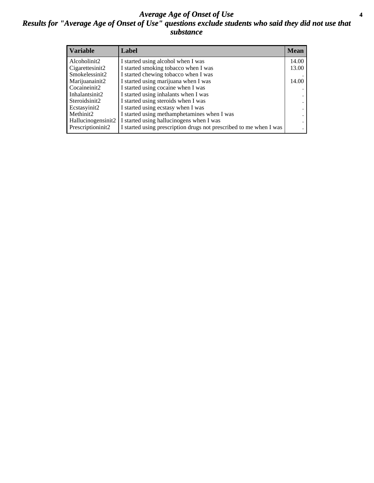#### *Average Age of Onset of Use* **4** *Results for "Average Age of Onset of Use" questions exclude students who said they did not use that substance*

| <b>Variable</b>    | Label                                                              | <b>Mean</b> |
|--------------------|--------------------------------------------------------------------|-------------|
| Alcoholinit2       | I started using alcohol when I was                                 | 14.00       |
| Cigarettesinit2    | I started smoking tobacco when I was                               | 13.00       |
| Smokelessinit2     | I started chewing tobacco when I was                               |             |
| Marijuanainit2     | I started using marijuana when I was                               | 14.00       |
| Cocaineinit2       | I started using cocaine when I was                                 |             |
| Inhalantsinit2     | I started using inhalants when I was                               |             |
| Steroidsinit2      | I started using steroids when I was                                |             |
| Ecstasyinit2       | I started using ecstasy when I was                                 |             |
| Methinit2          | I started using methamphetamines when I was                        |             |
| Hallucinogensinit2 | I started using hallucinogens when I was                           |             |
| Prescriptioninit2  | I started using prescription drugs not prescribed to me when I was |             |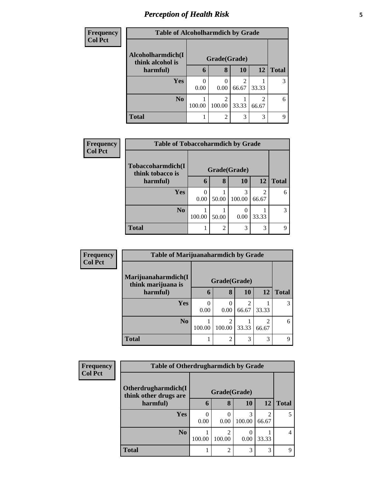# *Perception of Health Risk* **5**

| <b>Frequency</b> | <b>Table of Alcoholharmdich by Grade</b> |        |                |                         |                         |              |
|------------------|------------------------------------------|--------|----------------|-------------------------|-------------------------|--------------|
| <b>Col Pct</b>   | Alcoholharmdich(I                        |        | Grade(Grade)   |                         |                         |              |
|                  | think alcohol is<br>harmful)             | 6      | 8              | <b>10</b>               | <b>12</b>               | <b>Total</b> |
|                  | Yes                                      | 0.00   | 0.00           | $\mathfrak{D}$<br>66.67 | 33.33                   | 3            |
|                  | N <sub>0</sub>                           | 100.00 | 100.00         | 33.33                   | $\mathfrak{D}$<br>66.67 | 6            |
|                  | <b>Total</b>                             |        | $\mathfrak{D}$ | 3                       | 3                       | Q            |

| <b>Frequency</b> | <b>Table of Tobaccoharmdich by Grade</b> |        |                |              |           |              |
|------------------|------------------------------------------|--------|----------------|--------------|-----------|--------------|
| <b>Col Pct</b>   | Tobaccoharmdich(I<br>think tobacco is    |        |                | Grade(Grade) |           |              |
|                  | harmful)                                 | 6      | 8              | 10           | <b>12</b> | <b>Total</b> |
|                  | <b>Yes</b>                               | 0.00   | 50.00          | 3<br>100.00  | 66.67     | 6            |
|                  | N <sub>o</sub>                           | 100.00 | 50.00          | 0.00         | 33.33     |              |
|                  | <b>Total</b>                             |        | $\overline{2}$ | 3            | 3         | q            |

| <b>Frequency</b> | <b>Table of Marijuanaharmdich by Grade</b> |              |                          |                         |                         |              |
|------------------|--------------------------------------------|--------------|--------------------------|-------------------------|-------------------------|--------------|
| <b>Col Pct</b>   | Marijuanaharmdich(I<br>think marijuana is  | Grade(Grade) |                          |                         |                         |              |
|                  | harmful)                                   | 6            | 8                        | <b>10</b>               | <b>12</b>               | <b>Total</b> |
|                  | <b>Yes</b>                                 | 0<br>0.00    | $\left( \right)$<br>0.00 | $\mathfrak{D}$<br>66.67 | 33.33                   |              |
|                  | N <sub>0</sub>                             | 100.00       | ∍<br>100.00              | 33.33                   | $\mathfrak{D}$<br>66.67 | 6            |
|                  | <b>Total</b>                               |              | $\overline{c}$           | 3                       | 3                       | 9            |

| Frequency      |                                              | <b>Table of Otherdrugharmdich by Grade</b> |             |        |       |              |  |
|----------------|----------------------------------------------|--------------------------------------------|-------------|--------|-------|--------------|--|
| <b>Col Pct</b> | Otherdrugharmdich(I<br>think other drugs are | Grade(Grade)                               |             |        |       |              |  |
|                | harmful)                                     | 6                                          | 8           | 10     | 12    | <b>Total</b> |  |
|                | <b>Yes</b>                                   | 0.00                                       | 0.00        | 100.00 | 66.67 | 5            |  |
|                | No.                                          | 100.00                                     | ◠<br>100.00 | 0.00   | 33.33 | 4            |  |
|                | <b>Total</b>                                 |                                            | ↑           | 3      | 3     | q            |  |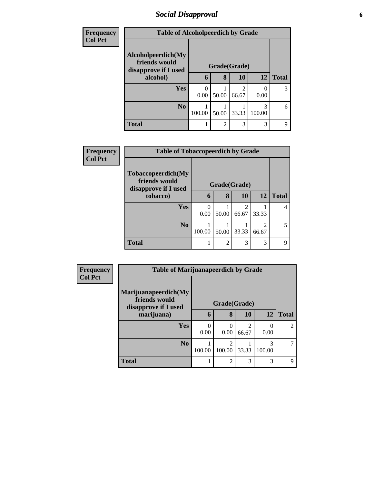## *Social Disapproval* **6**

| <b>Frequency</b> |                                                             | <b>Table of Alcoholpeerdich by Grade</b> |                |           |           |              |  |
|------------------|-------------------------------------------------------------|------------------------------------------|----------------|-----------|-----------|--------------|--|
| <b>Col Pct</b>   | Alcoholpeerdich(My<br>friends would<br>disapprove if I used |                                          | Grade(Grade)   |           |           |              |  |
|                  | alcohol)                                                    | 6                                        | 8              | <b>10</b> | <b>12</b> | <b>Total</b> |  |
|                  | <b>Yes</b>                                                  | 0.00                                     | 50.00          | 66.67     | 0.00      | 3            |  |
|                  | N <sub>0</sub>                                              | 100.00                                   | 50.00          | 33.33     | 100.00    | 6            |  |
|                  | <b>Total</b>                                                | ı                                        | $\overline{c}$ | 3         | 3         | q            |  |

| <b>Frequency</b> | <b>Table of Tobaccopeerdich by Grade</b> |        |                |                        |                         |              |
|------------------|------------------------------------------|--------|----------------|------------------------|-------------------------|--------------|
| <b>Col Pct</b>   | Tobaccopeerdich(My<br>friends would      |        | Grade(Grade)   |                        |                         |              |
|                  | disapprove if I used<br>tobacco)         | 6      | 8              | <b>10</b>              | <b>12</b>               | <b>Total</b> |
|                  | Yes                                      | 0.00   | 50.00          | $\mathcal{D}$<br>66.67 | 33.33                   |              |
|                  | N <sub>0</sub>                           | 100.00 | 50.00          | 33.33                  | $\mathfrak{D}$<br>66.67 | 5            |
|                  | <b>Total</b>                             |        | $\overline{2}$ | 3                      | 3                       | q            |

| <b>Frequency</b> | <b>Table of Marijuanapeerdich by Grade</b>                    |           |                  |            |                  |                |
|------------------|---------------------------------------------------------------|-----------|------------------|------------|------------------|----------------|
| <b>Col Pct</b>   | Marijuanapeerdich(My<br>friends would<br>disapprove if I used |           | Grade(Grade)     |            |                  |                |
|                  | marijuana)                                                    | 6         | 8                | <b>10</b>  | <b>12</b>        | <b>Total</b>   |
|                  | Yes                                                           | 0<br>0.00 | $\theta$<br>0.00 | 2<br>66.67 | $\Omega$<br>0.00 | $\mathfrak{D}$ |
|                  | N <sub>0</sub>                                                | 100.00    | 100.00           | 33.33      | 3<br>100.00      |                |
|                  | <b>Total</b>                                                  |           | 2                | 3          | 3                | $\mathbf Q$    |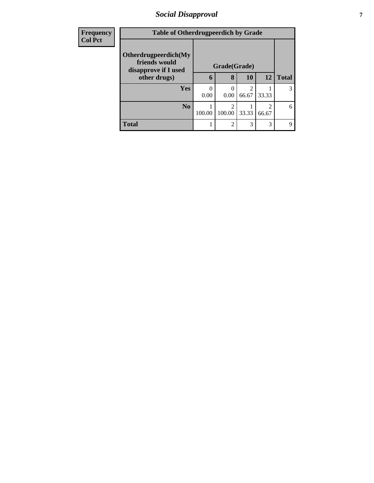## *Social Disapproval* **7**

| <b>Frequency</b> | <b>Table of Otherdrugpeerdich by Grade</b> |        |                |       |                |              |
|------------------|--------------------------------------------|--------|----------------|-------|----------------|--------------|
| <b>Col Pct</b>   | Otherdrugpeerdich(My<br>friends would      |        |                |       |                |              |
|                  | disapprove if I used                       |        | Grade(Grade)   |       |                |              |
|                  | other drugs)                               | 6      | 8              | 10    | 12             | <b>Total</b> |
|                  | <b>Yes</b>                                 |        |                | っ     |                |              |
|                  |                                            | 0.00   | 0.00           | 66.67 | 33.33          |              |
|                  | N <sub>o</sub>                             |        | っ              |       | $\mathfrak{D}$ | 6            |
|                  |                                            | 100.00 | 100.00         | 33.33 | 66.67          |              |
|                  | <b>Total</b>                               |        | $\mathfrak{D}$ | 3     | 3              | 9            |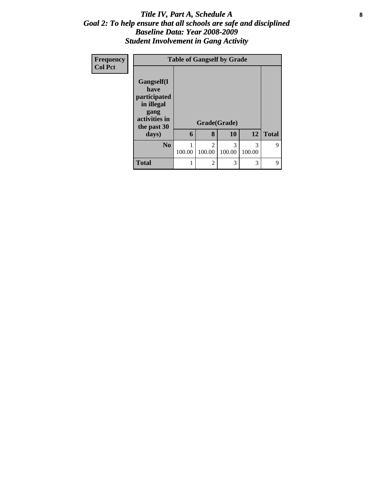#### Title IV, Part A, Schedule A **8** *Goal 2: To help ensure that all schools are safe and disciplined Baseline Data: Year 2008-2009 Student Involvement in Gang Activity*

| <b>Frequency</b> |                                                                                          | <b>Table of Gangself by Grade</b> |                          |             |             |              |  |  |  |
|------------------|------------------------------------------------------------------------------------------|-----------------------------------|--------------------------|-------------|-------------|--------------|--|--|--|
| <b>Col Pct</b>   | Gangself(I<br>have<br>participated<br>in illegal<br>gang<br>activities in<br>the past 30 |                                   | Grade(Grade)             |             |             |              |  |  |  |
|                  | days)                                                                                    | 6                                 | 8                        | 10          | 12          | <b>Total</b> |  |  |  |
|                  | No.                                                                                      | 100.00                            | $\mathfrak{D}$<br>100.00 | 3<br>100.00 | 3<br>100.00 | 9            |  |  |  |
|                  | <b>Total</b>                                                                             | 1                                 | $\mathfrak{D}$           | 3           | 3           | 9            |  |  |  |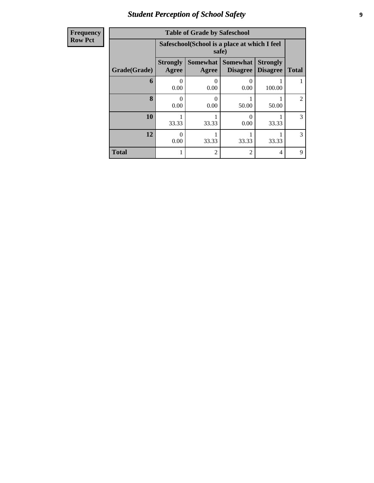# *Student Perception of School Safety* **9**

| <b>Frequency</b> |
|------------------|
| <b>Row Pct</b>   |

| <b>Table of Grade by Safeschool</b> |                           |                                                       |                                    |                                    |              |  |  |  |  |  |
|-------------------------------------|---------------------------|-------------------------------------------------------|------------------------------------|------------------------------------|--------------|--|--|--|--|--|
|                                     |                           | Safeschool(School is a place at which I feel<br>safe) |                                    |                                    |              |  |  |  |  |  |
| Grade(Grade)                        | <b>Strongly</b><br>Agree  | <b>Somewhat</b><br>Agree                              | <b>Somewhat</b><br><b>Disagree</b> | <b>Strongly</b><br><b>Disagree</b> | <b>Total</b> |  |  |  |  |  |
| 6                                   | $\mathbf{\Omega}$<br>0.00 | 0<br>0.00                                             | 0.00                               | 100.00                             |              |  |  |  |  |  |
| 8                                   | $\mathbf{\Omega}$<br>0.00 | 0<br>0.00                                             | 50.00                              | 50.00                              | 2            |  |  |  |  |  |
| 10                                  | 33.33                     | 33.33                                                 | 0<br>0.00                          | 33.33                              | 3            |  |  |  |  |  |
| 12                                  | 0<br>0.00                 | 33.33<br>33.33<br>33.33                               |                                    |                                    |              |  |  |  |  |  |
| <b>Total</b>                        |                           | $\overline{2}$                                        | 2                                  | 4                                  | 9            |  |  |  |  |  |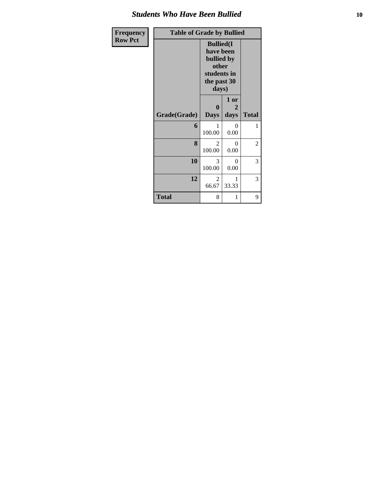#### *Students Who Have Been Bullied* **10**

| Frequency      | <b>Table of Grade by Bullied</b> |                                 |                                                                                                      |              |  |
|----------------|----------------------------------|---------------------------------|------------------------------------------------------------------------------------------------------|--------------|--|
| <b>Row Pct</b> |                                  |                                 | <b>Bullied</b> (I<br>have been<br>bullied by<br>other<br>students in<br>the past 30<br>days)<br>1 or |              |  |
|                | Grade(Grade)                     | $\boldsymbol{0}$<br><b>Days</b> | 2<br>days                                                                                            | <b>Total</b> |  |
|                | 6                                | 1<br>100.00                     | $\theta$<br>0.00                                                                                     | 1            |  |
|                | 8                                | $\overline{2}$<br>100.00        | $\theta$<br>0.00                                                                                     | 2            |  |
|                | 10                               | 3<br>100.00                     | $\Omega$<br>0.00                                                                                     | 3            |  |
|                | 12                               | 2<br>66.67                      | 1<br>33.33                                                                                           | 3            |  |
|                | <b>Total</b>                     | 8                               | 1                                                                                                    | 9            |  |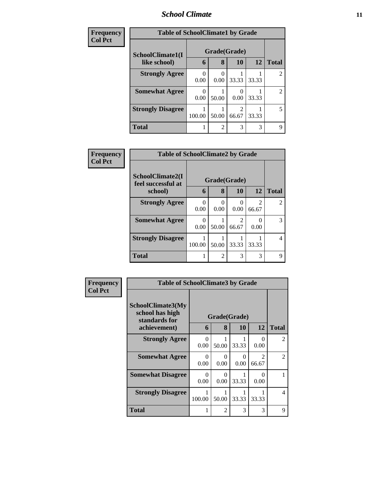#### *School Climate* **11**

| Frequency      | <b>Table of SchoolClimate1 by Grade</b> |           |                |       |       |                |
|----------------|-----------------------------------------|-----------|----------------|-------|-------|----------------|
| <b>Col Pct</b> | SchoolClimate1(I                        |           | Grade(Grade)   |       |       |                |
|                | like school)                            | 6         | 8              | 10    | 12    | <b>Total</b>   |
|                | <b>Strongly Agree</b>                   | ∩<br>0.00 | 0<br>0.00      | 33.33 | 33.33 |                |
|                | <b>Somewhat Agree</b>                   | 0.00      | 50.00          | 0.00  | 33.33 | $\mathfrak{D}$ |
|                | <b>Strongly Disagree</b>                | 100.00    | 50.00          | 66.67 | 33.33 | 5              |
|                | <b>Total</b>                            |           | $\overline{2}$ | 3     | 3     | Q              |

| Frequency      |                                        | <b>Table of SchoolClimate2 by Grade</b> |                |           |            |               |  |  |
|----------------|----------------------------------------|-----------------------------------------|----------------|-----------|------------|---------------|--|--|
| <b>Col Pct</b> | SchoolClimate2(I<br>feel successful at |                                         | Grade(Grade)   |           |            |               |  |  |
|                | school)                                | 6                                       | 8              | 10        | 12         | <b>Total</b>  |  |  |
|                | <b>Strongly Agree</b>                  | 0<br>0.00                               | 0<br>0.00      | 0<br>0.00 | 2<br>66.67 | $\mathcal{D}$ |  |  |
|                | <b>Somewhat Agree</b>                  | $\Omega$<br>0.00                        | 50.00          | 66.67     | 0.00       | 3             |  |  |
|                | <b>Strongly Disagree</b>               | 100.00                                  | 50.00          | 33.33     | 33.33      |               |  |  |
|                | <b>Total</b>                           |                                         | $\mathfrak{D}$ | 3         | 3          | 9             |  |  |

| <b>Frequency</b> | <b>Table of SchoolClimate3 by Grade</b>               |                  |              |           |                                      |                |
|------------------|-------------------------------------------------------|------------------|--------------|-----------|--------------------------------------|----------------|
| <b>Col Pct</b>   | SchoolClimate3(My<br>school has high<br>standards for |                  | Grade(Grade) |           |                                      |                |
|                  | achievement)                                          | 6                | 8            | 10        | 12                                   | <b>Total</b>   |
|                  | <b>Strongly Agree</b>                                 | $\Omega$<br>0.00 | 50.00        | 33.33     | $\Omega$<br>0.00                     | $\overline{2}$ |
|                  | <b>Somewhat Agree</b>                                 | $\Omega$<br>0.00 | 0<br>0.00    | 0<br>0.00 | $\mathcal{D}_{\mathcal{A}}$<br>66.67 | $\overline{2}$ |
|                  | <b>Somewhat Disagree</b>                              | $\Omega$<br>0.00 | 0<br>0.00    | 33.33     | 0<br>0.00                            | 1              |
|                  | <b>Strongly Disagree</b>                              | 100.00           | 50.00        | 33.33     | 33.33                                | $\overline{4}$ |
|                  | Total                                                 |                  | 2            | 3         | 3                                    | 9              |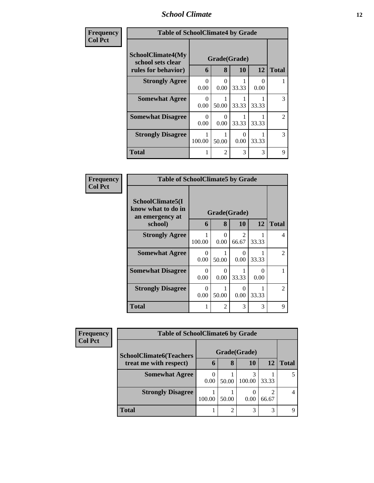#### *School Climate* **12**

| Frequency      | <b>Table of SchoolClimate4 by Grade</b>                              |                  |                             |           |           |                |  |
|----------------|----------------------------------------------------------------------|------------------|-----------------------------|-----------|-----------|----------------|--|
| <b>Col Pct</b> | <b>SchoolClimate4(My</b><br>school sets clear<br>rules for behavior) | 6                | Grade(Grade)<br>8           | 10        | 12        | <b>Total</b>   |  |
|                | <b>Strongly Agree</b>                                                | $\Omega$<br>0.00 | 0<br>0.00                   | 33.33     | 0<br>0.00 |                |  |
|                | <b>Somewhat Agree</b>                                                | $\Omega$<br>0.00 | 50.00                       | 33.33     | 33.33     | 3              |  |
|                | <b>Somewhat Disagree</b>                                             | $\Omega$<br>0.00 | 0<br>0.00                   | 33.33     | 33.33     | $\mathfrak{D}$ |  |
|                | <b>Strongly Disagree</b>                                             | 100.00           | 50.00                       | 0<br>0.00 | 33.33     | 3              |  |
|                | <b>Total</b>                                                         |                  | $\mathcal{D}_{\mathcal{L}}$ | 3         | 3         | $\mathbf Q$    |  |

| Frequency<br><b>Col Pct</b> | <b>Table of SchoolClimate5 by Grade</b>                   |                  |                |                                      |           |              |
|-----------------------------|-----------------------------------------------------------|------------------|----------------|--------------------------------------|-----------|--------------|
|                             | SchoolClimate5(I<br>know what to do in<br>an emergency at |                  | Grade(Grade)   |                                      |           |              |
|                             | school)                                                   | 6                | 8              | 10                                   | 12        | <b>Total</b> |
|                             | <b>Strongly Agree</b>                                     | 100.00           | 0<br>0.00      | $\mathcal{D}_{\mathcal{A}}$<br>66.67 | 33.33     | 4            |
|                             | <b>Somewhat Agree</b>                                     | 0<br>0.00        | 50.00          | $\mathbf{0}$<br>0.00                 | 33.33     | 2            |
|                             | <b>Somewhat Disagree</b>                                  | $\Omega$<br>0.00 | 0<br>0.00      | 33.33                                | ∩<br>0.00 |              |
|                             | <b>Strongly Disagree</b>                                  | 0<br>0.00        | 50.00          | $\mathbf{\Omega}$<br>0.00            | 33.33     | 2            |
|                             | <b>Total</b>                                              |                  | $\mathfrak{D}$ | 3                                    | 3         | 9            |

| Frequency      | <b>Table of SchoolClimate6 by Grade</b> |             |              |        |                         |              |
|----------------|-----------------------------------------|-------------|--------------|--------|-------------------------|--------------|
| <b>Col Pct</b> | <b>SchoolClimate6(Teachers</b>          |             | Grade(Grade) |        |                         |              |
|                | treat me with respect)                  | $\mathbf b$ | 8            | 10     | 12                      | <b>Total</b> |
|                | <b>Somewhat Agree</b>                   | 0.00        | 50.00        | 100.00 | 33.33                   |              |
|                | <b>Strongly Disagree</b>                | 100.00      | 50.00        | 0.00   | $\overline{c}$<br>66.67 |              |
|                | <b>Total</b>                            |             | 2            | 3      | 3                       |              |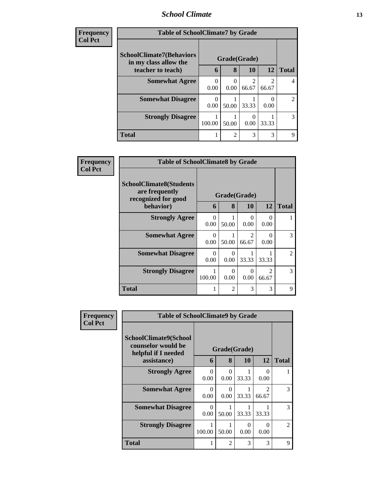#### *School Climate* **13**

| <b>Frequency</b> | <b>Table of SchoolClimate7 by Grade</b>                  |                  |                |                          |            |                |  |  |  |  |
|------------------|----------------------------------------------------------|------------------|----------------|--------------------------|------------|----------------|--|--|--|--|
| <b>Col Pct</b>   | <b>SchoolClimate7(Behaviors</b><br>in my class allow the |                  | Grade(Grade)   |                          |            |                |  |  |  |  |
|                  | teacher to teach)                                        | 6                | 8              | 10                       | 12         | <b>Total</b>   |  |  |  |  |
|                  | <b>Somewhat Agree</b>                                    | 0<br>0.00        | 0<br>0.00      | $\overline{c}$<br>66.67  | 2<br>66.67 | $\overline{4}$ |  |  |  |  |
|                  | <b>Somewhat Disagree</b>                                 | $\theta$<br>0.00 | 50.00          | 33.33                    | 0.00       | 2              |  |  |  |  |
|                  | <b>Strongly Disagree</b>                                 | 100.00           | 50.00          | $\left( \right)$<br>0.00 | 33.33      | 3              |  |  |  |  |
|                  | <b>Total</b>                                             |                  | $\overline{2}$ | 3                        | 3          | 9              |  |  |  |  |

| <b>Frequency</b> | <b>Table of SchoolClimate8 by Grade</b>                                              |                  |                   |                                      |                         |              |
|------------------|--------------------------------------------------------------------------------------|------------------|-------------------|--------------------------------------|-------------------------|--------------|
| <b>Col Pct</b>   | <b>SchoolClimate8(Students</b><br>are frequently<br>recognized for good<br>behavior) | 6                | Grade(Grade)<br>8 | 10                                   | 12                      | <b>Total</b> |
|                  | <b>Strongly Agree</b>                                                                | $\theta$<br>0.00 | 50.00             | 0<br>0.00                            | 0<br>0.00               |              |
|                  | <b>Somewhat Agree</b>                                                                | $\Omega$<br>0.00 | 50.00             | $\mathcal{D}_{\mathcal{L}}$<br>66.67 | 0<br>0.00               | 3            |
|                  | <b>Somewhat Disagree</b>                                                             | $\Omega$<br>0.00 | 0<br>0.00         | 33.33                                | 33.33                   | 2            |
|                  | <b>Strongly Disagree</b>                                                             | 1<br>100.00      | $\theta$<br>0.00  | $\Omega$<br>0.00                     | $\mathfrak{D}$<br>66.67 | 3            |
|                  | <b>Total</b>                                                                         |                  | $\mathfrak{D}$    | 3                                    | 3                       | 9            |

| Frequency      | <b>Table of SchoolClimate9 by Grade</b>                                           |                  |                   |           |                                      |                |
|----------------|-----------------------------------------------------------------------------------|------------------|-------------------|-----------|--------------------------------------|----------------|
| <b>Col Pct</b> | SchoolClimate9(School<br>counselor would be<br>helpful if I needed<br>assistance) | 6                | Grade(Grade)<br>8 | 10        | 12                                   | <b>Total</b>   |
|                | <b>Strongly Agree</b>                                                             | $\Omega$<br>0.00 | 0<br>0.00         | 33.33     | 0<br>0.00                            |                |
|                | <b>Somewhat Agree</b>                                                             | 0<br>0.00        | 0<br>0.00         | 33.33     | $\mathcal{D}_{\mathcal{L}}$<br>66.67 | 3              |
|                | <b>Somewhat Disagree</b>                                                          | $\Omega$<br>0.00 | 1<br>50.00        | 33.33     | 33.33                                | 3              |
|                | <b>Strongly Disagree</b>                                                          | 100.00           | 50.00             | 0<br>0.00 | 0<br>0.00                            | $\overline{2}$ |
|                | <b>Total</b>                                                                      | 1                | $\overline{c}$    | 3         | 3                                    | 9              |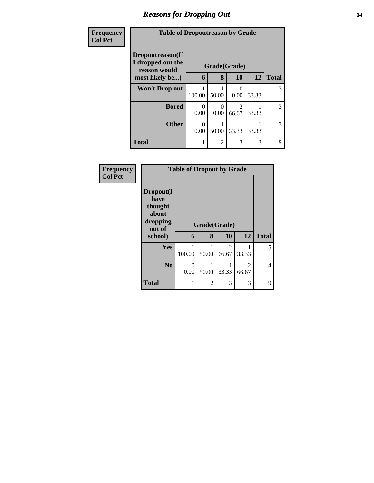## *Reasons for Dropping Out* **14**

#### **Frequency Col Pct**

| ncy | <b>Table of Dropoutreason by Grade</b>                |           |                  |                        |           |              |  |  |
|-----|-------------------------------------------------------|-----------|------------------|------------------------|-----------|--------------|--|--|
|     | Dropoutreason(If<br>I dropped out the<br>reason would |           |                  | Grade(Grade)           |           |              |  |  |
|     | most likely be)                                       | 6         | 8                | 10                     | <b>12</b> | <b>Total</b> |  |  |
|     | Won't Drop out                                        | 100.00    | 50.00            | 0<br>0.00              | 33.33     | 3            |  |  |
|     | <b>Bored</b>                                          | 0<br>0.00 | $\Omega$<br>0.00 | $\mathcal{L}$<br>66.67 | 33.33     | 3            |  |  |
|     | <b>Other</b>                                          | ∩<br>0.00 | 50.00            | 33.33                  | 33.33     | 3            |  |  |
|     | <b>Total</b>                                          |           | 2                | 3                      | 3         | 9            |  |  |

**Frequency Col Pct**

| <b>Table of Dropout by Grade</b>                            |             |              |            |                         |              |  |
|-------------------------------------------------------------|-------------|--------------|------------|-------------------------|--------------|--|
| Dropout(I<br>have<br>thought<br>about<br>dropping<br>out of |             | Grade(Grade) |            |                         |              |  |
| school)                                                     | 6           | 8            | 10         | 12                      | <b>Total</b> |  |
|                                                             |             |              |            |                         |              |  |
| Yes                                                         | 1<br>100.00 | 50.00        | 2<br>66.67 | 33.33                   | 5            |  |
| N <sub>0</sub>                                              | 0<br>0.00   | 50.00        | 33.33      | $\mathfrak{D}$<br>66.67 | 4            |  |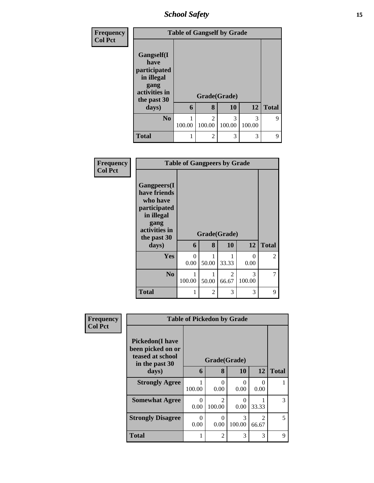*School Safety* **15**

| <b>Frequency</b><br><b>Col Pct</b> |                                                                                          | <b>Table of Gangself by Grade</b> |                          |             |             |              |  |
|------------------------------------|------------------------------------------------------------------------------------------|-----------------------------------|--------------------------|-------------|-------------|--------------|--|
|                                    | Gangself(I<br>have<br>participated<br>in illegal<br>gang<br>activities in<br>the past 30 |                                   | Grade(Grade)             |             |             |              |  |
|                                    | days)                                                                                    | 6                                 | 8                        | 10          | 12          | <b>Total</b> |  |
|                                    | N <sub>0</sub>                                                                           | 100.00                            | $\mathfrak{D}$<br>100.00 | 3<br>100.00 | 3<br>100.00 | 9            |  |
|                                    | <b>Total</b>                                                                             |                                   | $\mathfrak{D}$           | 3           | 3           | 9            |  |

| Frequency<br><b>Col Pct</b> | <b>Table of Gangpeers by Grade</b>                                                                                             |                  |            |                         |             |              |
|-----------------------------|--------------------------------------------------------------------------------------------------------------------------------|------------------|------------|-------------------------|-------------|--------------|
|                             | <b>Gangpeers</b> (I<br>have friends<br>who have<br>participated<br>in illegal<br>gang<br>activities in<br>the past 30<br>days) | 6                | 8          | Grade(Grade)<br>10      | 12          | <b>Total</b> |
|                             | Yes                                                                                                                            | $\Omega$<br>0.00 | 50.00      | 33.33                   | 0<br>0.00   | 2            |
|                             | N <sub>o</sub>                                                                                                                 | 1<br>100.00      | 1<br>50.00 | $\overline{c}$<br>66.67 | 3<br>100.00 | 7            |
|                             | <b>Total</b>                                                                                                                   | 1                | 2          | 3                       | 3           | 9            |

| Frequency      |                                                                                   | <b>Table of Pickedon by Grade</b> |                                       |                         |                                      |   |
|----------------|-----------------------------------------------------------------------------------|-----------------------------------|---------------------------------------|-------------------------|--------------------------------------|---|
| <b>Col Pct</b> | <b>Pickedon(I have</b><br>been picked on or<br>teased at school<br>in the past 30 |                                   | Grade(Grade)                          |                         |                                      |   |
| days)          | 6                                                                                 | 8                                 | 10                                    | 12                      | <b>Total</b>                         |   |
|                | <b>Strongly Agree</b>                                                             | 100.00                            | $\Omega$<br>0.00                      | $\Omega$<br>0.00        | 0<br>0.00                            |   |
|                | <b>Somewhat Agree</b>                                                             | 0<br>0.00                         | $\mathcal{D}_{\mathcal{A}}$<br>100.00 | ∩<br>0.00               | 33.33                                | 3 |
|                | <b>Strongly Disagree</b>                                                          | $\Omega$<br>0.00                  | $\Omega$<br>0.00                      | $\mathcal{R}$<br>100.00 | $\mathcal{D}_{\mathcal{L}}$<br>66.67 | 5 |
|                | <b>Total</b>                                                                      | 1                                 | $\overline{2}$                        | 3                       | 3                                    | 9 |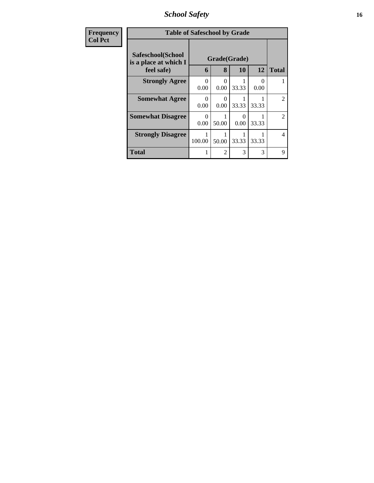*School Safety* **16**

| <b>Frequency</b> | <b>Table of Safeschool by Grade</b>                      |                  |                           |                           |           |                |
|------------------|----------------------------------------------------------|------------------|---------------------------|---------------------------|-----------|----------------|
| <b>Col Pct</b>   | Safeschool(School<br>is a place at which I<br>feel safe) | 6                | Grade(Grade)<br>8         | 10                        | 12        | <b>Total</b>   |
|                  | <b>Strongly Agree</b>                                    | $\Omega$<br>0.00 | 0<br>0.00                 | 33.33                     | ∩<br>0.00 |                |
|                  | <b>Somewhat Agree</b>                                    | $\Omega$<br>0.00 | $\mathbf{\Omega}$<br>0.00 | 33.33                     | 33.33     | $\mathfrak{D}$ |
|                  | <b>Somewhat Disagree</b>                                 | $\Omega$<br>0.00 | 50.00                     | $\mathbf{\Omega}$<br>0.00 | 33.33     | $\mathfrak{D}$ |
|                  | <b>Strongly Disagree</b>                                 | 100.00           | 50.00                     | 33.33                     | 33.33     | $\overline{4}$ |
|                  | <b>Total</b>                                             |                  | $\mathfrak{D}$            | 3                         | 3         | 9              |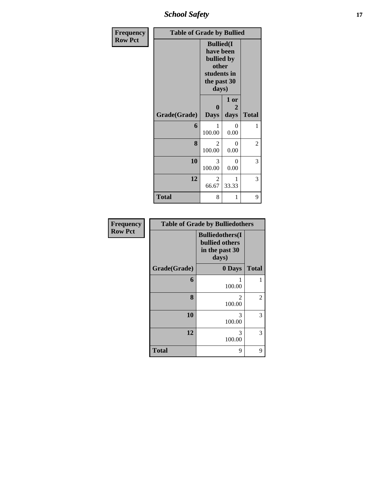*School Safety* **17**

| Frequency      | <b>Table of Grade by Bullied</b> |                                                                                              |                   |              |  |  |  |
|----------------|----------------------------------|----------------------------------------------------------------------------------------------|-------------------|--------------|--|--|--|
| <b>Row Pct</b> |                                  | <b>Bullied</b> (I<br>have been<br>bullied by<br>other<br>students in<br>the past 30<br>days) |                   |              |  |  |  |
|                | Grade(Grade)                     | $\boldsymbol{0}$<br><b>Days</b>                                                              | 1 or<br>2<br>days | <b>Total</b> |  |  |  |
|                | 6                                | 1<br>100.00                                                                                  | $\theta$<br>0.00  | 1            |  |  |  |
|                | 8                                | $\overline{2}$<br>100.00                                                                     | 0<br>0.00         | 2            |  |  |  |
|                | 10                               | 3<br>100.00                                                                                  | $\theta$<br>0.00  | 3            |  |  |  |
|                | 12                               | $\overline{2}$<br>66.67                                                                      | 1<br>33.33        | 3            |  |  |  |
|                | <b>Total</b>                     | 8                                                                                            | 1                 | 9            |  |  |  |

| Frequency      | <b>Table of Grade by Bulliedothers</b> |                                                                             |                |
|----------------|----------------------------------------|-----------------------------------------------------------------------------|----------------|
| <b>Row Pct</b> |                                        | <b>Bulliedothers(I)</b><br><b>bullied others</b><br>in the past 30<br>days) |                |
|                | Grade(Grade)                           | 0 Days                                                                      | <b>Total</b>   |
|                | 6                                      | 100.00                                                                      | 1              |
|                | 8                                      | 2<br>100.00                                                                 | $\overline{c}$ |
|                | 10                                     | 3<br>100.00                                                                 | 3              |
|                | 12                                     | 3<br>100.00                                                                 | 3              |
|                | <b>Total</b>                           | 9                                                                           | 9              |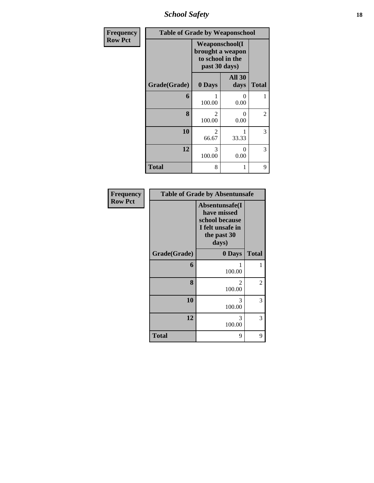*School Safety* **18**

| Frequency      | <b>Table of Grade by Weaponschool</b> |                                   |                                            |                |
|----------------|---------------------------------------|-----------------------------------|--------------------------------------------|----------------|
| <b>Row Pct</b> |                                       | to school in the<br>past 30 days) | <b>Weaponschool</b> (I<br>brought a weapon |                |
|                | Grade(Grade)                          | 0 Days                            | <b>All 30</b><br>days                      | <b>Total</b>   |
|                | 6                                     | 100.00                            | 0<br>0.00                                  | 1              |
|                | 8                                     | $\mathfrak{D}$<br>100.00          | 0<br>0.00                                  | $\overline{2}$ |
|                | 10                                    | 2<br>66.67                        | 33.33                                      | 3              |
|                | 12                                    | 3<br>100.00                       | 0<br>0.00                                  | 3              |
|                | <b>Total</b>                          | 8                                 |                                            | 9              |

| Frequency      |              | <b>Table of Grade by Absentunsafe</b>                                                       |              |
|----------------|--------------|---------------------------------------------------------------------------------------------|--------------|
| <b>Row Pct</b> |              | Absentunsafe(I<br>have missed<br>school because<br>I felt unsafe in<br>the past 30<br>days) |              |
|                | Grade(Grade) | 0 Days                                                                                      | <b>Total</b> |
|                | 6            | 1<br>100.00                                                                                 | 1            |
|                | 8            | 2<br>100.00                                                                                 | 2            |
|                | 10           | 3<br>100.00                                                                                 | 3            |
|                | 12           | 3<br>100.00                                                                                 | 3            |
|                | <b>Total</b> | 9                                                                                           | 9            |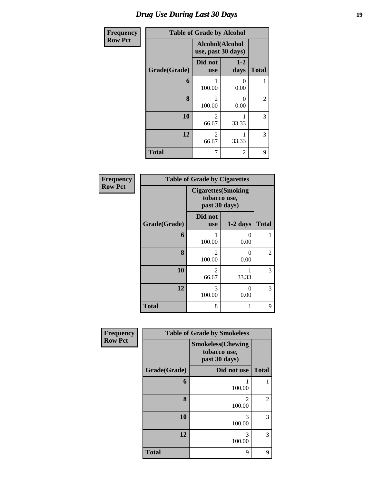## *Drug Use During Last 30 Days* **19**

| Frequency      | <b>Table of Grade by Alcohol</b> |                                       |                  |                  |
|----------------|----------------------------------|---------------------------------------|------------------|------------------|
| <b>Row Pct</b> |                                  | Alcohol(Alcohol<br>use, past 30 days) |                  |                  |
|                | Grade(Grade)                     | Did not<br><b>use</b>                 | $1-2$<br>days    | <b>Total</b>     |
|                | 6                                | 100.00                                | 0<br>0.00        | 1                |
|                | 8                                | 2<br>100.00                           | $\theta$<br>0.00 | $\boldsymbol{2}$ |
|                | 10                               | 2<br>66.67                            | 1<br>33.33       | 3                |
|                | 12                               | 2<br>66.67                            | 1<br>33.33       | 3                |
|                | <b>Total</b>                     | 7                                     | 2                | 9                |

| Frequency      |              | <b>Table of Grade by Cigarettes</b>                         |                  |              |
|----------------|--------------|-------------------------------------------------------------|------------------|--------------|
| <b>Row Pct</b> |              | <b>Cigarettes</b> (Smoking<br>tobacco use,<br>past 30 days) |                  |              |
|                | Grade(Grade) | Did not<br><b>use</b>                                       | $1-2$ days       | <b>Total</b> |
|                | 6            | 100.00                                                      | $\Omega$<br>0.00 | 1            |
|                | 8            | $\mathfrak{D}$<br>100.00                                    | 0<br>0.00        | 2            |
|                | 10           | $\mathfrak{D}$<br>66.67                                     | 33.33            | 3            |
|                | 12           | 3<br>100.00                                                 | ∩<br>0.00        | 3            |
|                | <b>Total</b> | 8                                                           |                  | 9            |

| Frequency      |              | <b>Table of Grade by Smokeless</b>                         |                |
|----------------|--------------|------------------------------------------------------------|----------------|
| <b>Row Pct</b> |              | <b>Smokeless</b> (Chewing<br>tobacco use,<br>past 30 days) |                |
|                | Grade(Grade) | Did not use                                                | <b>Total</b>   |
|                | 6            | 100.00                                                     |                |
|                | 8            | 2<br>100.00                                                | $\overline{2}$ |
|                | 10           | 3<br>100.00                                                | 3              |
|                | 12           | 3<br>100.00                                                | 3              |
|                | <b>Total</b> | 9                                                          | 9              |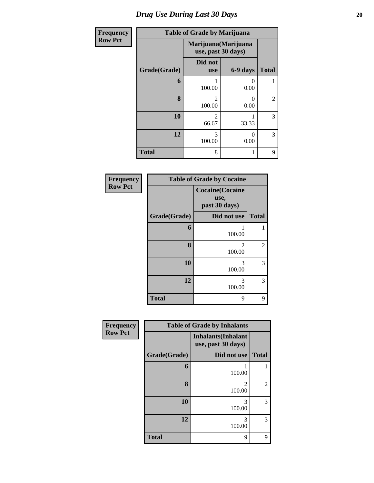| <b>Frequency</b> | <b>Table of Grade by Marijuana</b> |                                            |                  |                |
|------------------|------------------------------------|--------------------------------------------|------------------|----------------|
| <b>Row Pct</b>   |                                    | Marijuana (Marijuana<br>use, past 30 days) |                  |                |
|                  | Grade(Grade)                       | Did not<br><b>use</b>                      | 6-9 days         | <b>Total</b>   |
|                  | 6                                  | 1<br>100.00                                | $\theta$<br>0.00 |                |
|                  | 8                                  | $\mathfrak{D}$<br>100.00                   | 0<br>0.00        | $\overline{2}$ |
|                  | 10                                 | $\mathfrak{D}$<br>66.67                    | 33.33            | 3              |
|                  | 12                                 | 3<br>100.00                                | $\Omega$<br>0.00 | 3              |
|                  | <b>Total</b>                       | 8                                          | 1                | 9              |

| Frequency      | <b>Table of Grade by Cocaine</b> |                                                  |                |  |
|----------------|----------------------------------|--------------------------------------------------|----------------|--|
| <b>Row Pct</b> |                                  | <b>Cocaine</b> (Cocaine<br>use,<br>past 30 days) |                |  |
|                | Grade(Grade)                     | Did not use                                      | <b>Total</b>   |  |
|                | 6                                | 100.00                                           |                |  |
|                | 8                                | 2<br>100.00                                      | $\overline{2}$ |  |
|                | 10                               | 3<br>100.00                                      | 3              |  |
|                | 12                               | 3<br>100.00                                      | 3              |  |
|                | <b>Total</b>                     | 9                                                | 9              |  |

| Frequency      | <b>Table of Grade by Inhalants</b> |                                                  |                |
|----------------|------------------------------------|--------------------------------------------------|----------------|
| <b>Row Pct</b> |                                    | <b>Inhalants</b> (Inhalant<br>use, past 30 days) |                |
|                | Grade(Grade)                       | Did not use                                      | <b>Total</b>   |
|                | 6                                  | 100.00                                           | 1              |
|                | 8                                  | $\mathfrak{D}$<br>100.00                         | $\overline{c}$ |
|                | 10                                 | 3<br>100.00                                      | 3              |
|                | 12                                 | 3<br>100.00                                      | 3              |
|                | <b>Total</b>                       | 9                                                | 9              |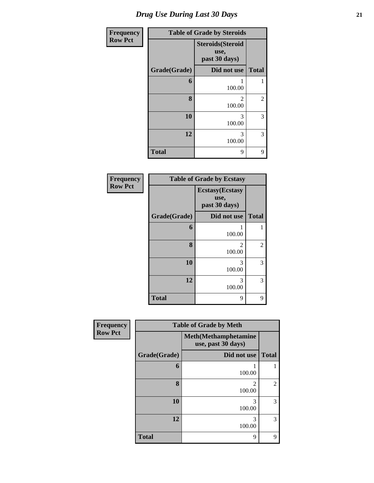| <b>Frequency</b> |              | <b>Table of Grade by Steroids</b>                 |                |
|------------------|--------------|---------------------------------------------------|----------------|
| <b>Row Pct</b>   |              | <b>Steroids</b> (Steroid<br>use,<br>past 30 days) |                |
|                  | Grade(Grade) | Did not use                                       | <b>Total</b>   |
|                  | 6            | 1<br>100.00                                       | 1              |
|                  | 8            | 2<br>100.00                                       | $\overline{2}$ |
|                  | 10           | 3<br>100.00                                       | 3              |
|                  | 12           | 3<br>100.00                                       | 3              |
|                  | <b>Total</b> | 9                                                 | 9              |

| Frequency      |              | <b>Table of Grade by Ecstasy</b>                 |                |
|----------------|--------------|--------------------------------------------------|----------------|
| <b>Row Pct</b> |              | <b>Ecstasy</b> (Ecstasy<br>use,<br>past 30 days) |                |
|                | Grade(Grade) | Did not use                                      | <b>Total</b>   |
|                | 6            | 100.00                                           |                |
|                | 8            | 2<br>100.00                                      | $\overline{c}$ |
|                | 10           | 3<br>100.00                                      | 3              |
|                | 12           | 3<br>100.00                                      | 3              |
|                | <b>Total</b> | 9                                                | 9              |

| <b>Frequency</b> | <b>Table of Grade by Meth</b> |                                                    |                |  |
|------------------|-------------------------------|----------------------------------------------------|----------------|--|
| <b>Row Pct</b>   |                               | <b>Meth</b> (Methamphetamine<br>use, past 30 days) |                |  |
|                  | Grade(Grade)                  | Did not use                                        | <b>Total</b>   |  |
|                  | 6                             | 100.00                                             |                |  |
|                  | 8                             | $\mathfrak{D}$<br>100.00                           | $\overline{2}$ |  |
|                  | 10                            | 3<br>100.00                                        | 3              |  |
|                  | 12                            | 3<br>100.00                                        | 3              |  |
|                  | <b>Total</b>                  | 9                                                  | 9              |  |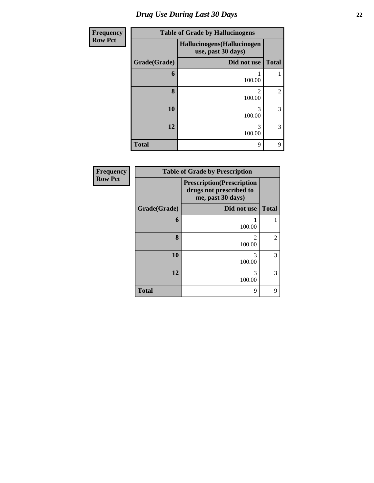# *Drug Use During Last 30 Days* **22**

| <b>Frequency</b> | <b>Table of Grade by Hallucinogens</b> |                                                   |                |  |  |  |  |
|------------------|----------------------------------------|---------------------------------------------------|----------------|--|--|--|--|
| <b>Row Pct</b>   |                                        | Hallucinogens (Hallucinogen<br>use, past 30 days) |                |  |  |  |  |
|                  | Grade(Grade)                           | Did not use                                       | <b>Total</b>   |  |  |  |  |
|                  | 6                                      | 100.00                                            |                |  |  |  |  |
|                  | 8                                      | 2<br>100.00                                       | $\overline{2}$ |  |  |  |  |
|                  | 10                                     | 3<br>100.00                                       | 3              |  |  |  |  |
|                  | 12                                     | 3<br>100.00                                       | 3              |  |  |  |  |
|                  | <b>Total</b>                           | 9                                                 | 9              |  |  |  |  |

| Frequency      |              | <b>Table of Grade by Prescription</b>                                             |                |  |  |  |  |  |  |
|----------------|--------------|-----------------------------------------------------------------------------------|----------------|--|--|--|--|--|--|
| <b>Row Pct</b> |              | <b>Prescription</b> (Prescription<br>drugs not prescribed to<br>me, past 30 days) |                |  |  |  |  |  |  |
|                | Grade(Grade) | Did not use                                                                       | <b>Total</b>   |  |  |  |  |  |  |
|                | 6            | 100.00                                                                            |                |  |  |  |  |  |  |
|                | 8            | 2<br>100.00                                                                       | $\overline{2}$ |  |  |  |  |  |  |
|                | 10           | 3<br>100.00                                                                       | 3              |  |  |  |  |  |  |
|                | 12           | 3<br>100.00                                                                       | 3              |  |  |  |  |  |  |
|                | <b>Total</b> | 9                                                                                 | 9              |  |  |  |  |  |  |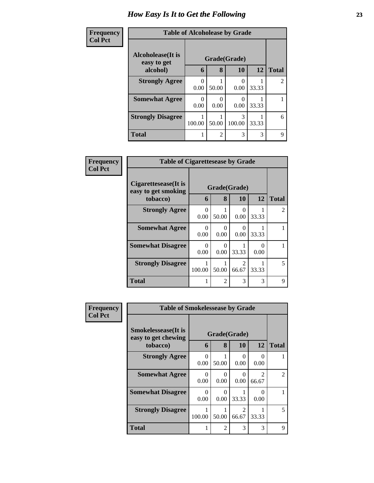| Frequency      | <b>Table of Alcoholease by Grade</b>     |        |                |              |           |              |  |
|----------------|------------------------------------------|--------|----------------|--------------|-----------|--------------|--|
| <b>Col Pct</b> | <b>Alcoholease</b> (It is<br>easy to get |        |                | Grade(Grade) |           |              |  |
|                | alcohol)                                 | 6      | 8              | 10           | <b>12</b> | <b>Total</b> |  |
|                | <b>Strongly Agree</b>                    | 0.00   | 50.00          | 0.00         | 33.33     | 2            |  |
|                | <b>Somewhat Agree</b>                    | 0.00   | 0<br>0.00      | 0.00         | 33.33     |              |  |
|                | <b>Strongly Disagree</b>                 | 100.00 | 50.00          | 3<br>100.00  | 33.33     | 6            |  |
|                | Total                                    |        | $\overline{2}$ | 3            | 3         | 9            |  |

| <b>Frequency</b> | <b>Table of Cigarettesease by Grade</b>                 |                  |                           |                                      |           |              |
|------------------|---------------------------------------------------------|------------------|---------------------------|--------------------------------------|-----------|--------------|
| <b>Col Pct</b>   | Cigarettesease(It is<br>easy to get smoking<br>tobacco) | 6                | Grade(Grade)<br>8         | 10                                   | 12        | <b>Total</b> |
|                  | <b>Strongly Agree</b>                                   | $\Omega$<br>0.00 | 50.00                     | 0<br>0.00                            | 33.33     | 2            |
|                  | <b>Somewhat Agree</b>                                   | $\Omega$<br>0.00 | $\Omega$<br>0.00          | 0<br>0.00                            | 33.33     |              |
|                  | <b>Somewhat Disagree</b>                                | $\Omega$<br>0.00 | $\mathbf{\Omega}$<br>0.00 | 33.33                                | 0<br>0.00 |              |
|                  | <b>Strongly Disagree</b>                                | 100.00           | 50.00                     | $\mathcal{D}_{\mathcal{L}}$<br>66.67 | 33.33     | 5            |
|                  | <b>Total</b>                                            | 1                | $\mathfrak{D}$            | 3                                    | 3         | 9            |

| <b>Frequency</b> | <b>Table of Smokelessease by Grade</b>                         |                  |                           |                           |                                      |                |
|------------------|----------------------------------------------------------------|------------------|---------------------------|---------------------------|--------------------------------------|----------------|
| <b>Col Pct</b>   | <b>Smokelessease</b> (It is<br>easy to get chewing<br>tobacco) | 6                | 8                         | Grade(Grade)<br><b>10</b> | <b>12</b>                            | <b>Total</b>   |
|                  | <b>Strongly Agree</b>                                          | 0<br>0.00        | 50.00                     | 0<br>0.00                 | $\Omega$<br>0.00                     |                |
|                  | <b>Somewhat Agree</b>                                          | $\Omega$<br>0.00 | $\mathbf{\Omega}$<br>0.00 | $\Omega$<br>0.00          | $\mathcal{D}_{\mathcal{L}}$<br>66.67 | $\mathfrak{D}$ |
|                  | <b>Somewhat Disagree</b>                                       | 0<br>0.00        | 0.00                      | 33.33                     | $\mathbf{0}$<br>0.00                 |                |
|                  | <b>Strongly Disagree</b>                                       | 100.00           | 50.00                     | $\mathfrak{D}$<br>66.67   | 33.33                                | 5              |
|                  | <b>Total</b>                                                   | 1                | $\overline{\mathcal{L}}$  | 3                         | 3                                    | 9              |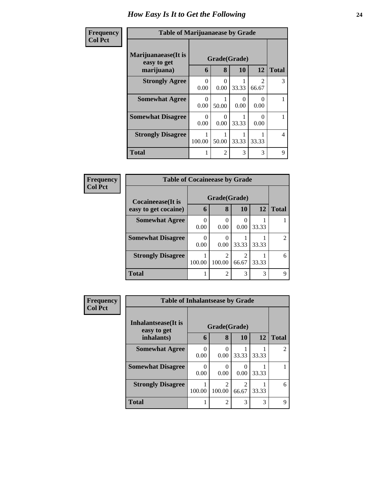| Frequency      | <b>Table of Marijuanaease by Grade</b>           |                  |                   |           |                                      |              |
|----------------|--------------------------------------------------|------------------|-------------------|-----------|--------------------------------------|--------------|
| <b>Col Pct</b> | Marijuanaease(It is<br>easy to get<br>marijuana) | 6                | Grade(Grade)<br>8 | 10        | 12                                   | <b>Total</b> |
|                | <b>Strongly Agree</b>                            | $\Omega$<br>0.00 | 0<br>0.00         | 33.33     | $\mathcal{D}_{\mathcal{L}}$<br>66.67 | 3            |
|                | <b>Somewhat Agree</b>                            | $\Omega$<br>0.00 | 50.00             | 0<br>0.00 | 0<br>0.00                            |              |
|                | <b>Somewhat Disagree</b>                         | 0<br>0.00        | 0<br>0.00         | 33.33     | ∩<br>0.00                            |              |
|                | <b>Strongly Disagree</b>                         | 100.00           | 50.00             | 33.33     | 33.33                                | 4            |
|                | <b>Total</b>                                     |                  | $\mathfrak{D}$    | 3         | 3                                    | 9            |

| Frequency      | <b>Table of Cocaineease by Grade</b>      |           |                   |            |       |              |
|----------------|-------------------------------------------|-----------|-------------------|------------|-------|--------------|
| <b>Col Pct</b> | Cocaineease(It is<br>easy to get cocaine) | 6         | Grade(Grade)<br>8 | 10         | 12    | <b>Total</b> |
|                | <b>Somewhat Agree</b>                     | 0<br>0.00 | 0<br>0.00         | 0.00       | 33.33 |              |
|                | <b>Somewhat Disagree</b>                  | 0.00      | 0.00              | 33.33      | 33.33 |              |
|                | <b>Strongly Disagree</b>                  | 100.00    | 100.00            | 2<br>66.67 | 33.33 | 6            |
|                | <b>Total</b>                              |           | $\overline{2}$    | 3          | 3     | q            |

| <b>Frequency</b> | <b>Table of Inhalantsease by Grade</b> |                      |                                       |                         |           |                |
|------------------|----------------------------------------|----------------------|---------------------------------------|-------------------------|-----------|----------------|
| <b>Col Pct</b>   | Inhalantsease(It is<br>easy to get     |                      | Grade(Grade)                          |                         |           |                |
|                  | inhalants)                             | 6                    | 8                                     | 10                      | <b>12</b> | <b>Total</b>   |
|                  | <b>Somewhat Agree</b>                  | 0<br>0.00            | $\Omega$<br>0.00                      | 33.33                   | 33.33     | $\mathfrak{D}$ |
|                  | <b>Somewhat Disagree</b>               | $\mathbf{0}$<br>0.00 | 0.00                                  | 0<br>0.00               | 33.33     |                |
|                  | <b>Strongly Disagree</b>               | 100.00               | $\mathcal{D}_{\mathcal{L}}$<br>100.00 | $\mathfrak{D}$<br>66.67 | 33.33     | 6              |
|                  | <b>Total</b>                           |                      | $\overline{2}$                        | 3                       | 3         | Q              |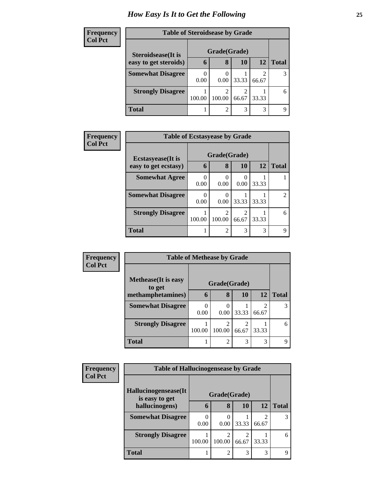| <b>Frequency</b> | <b>Table of Steroidsease by Grade</b> |        |                |       |           |              |  |
|------------------|---------------------------------------|--------|----------------|-------|-----------|--------------|--|
| <b>Col Pct</b>   | Steroidsease(It is                    |        | Grade(Grade)   |       |           |              |  |
|                  | easy to get steroids)                 | 6      | 8              | 10    | <b>12</b> | <b>Total</b> |  |
|                  | <b>Somewhat Disagree</b>              | 0.00   | 0.00           | 33.33 | 66.67     | 3            |  |
|                  | <b>Strongly Disagree</b>              | 100.00 | 100.00         | 66.67 | 33.33     | 6            |  |
|                  | <b>Total</b>                          |        | $\overline{c}$ | 3     | 3         | $\Omega$     |  |

| <b>Frequency</b> | <b>Table of Ecstasyease by Grade</b>              |           |                   |            |           |              |
|------------------|---------------------------------------------------|-----------|-------------------|------------|-----------|--------------|
| <b>Col Pct</b>   | <b>Ecstasyease</b> (It is<br>easy to get ecstasy) | 6         | Grade(Grade)<br>8 | 10         | <b>12</b> | <b>Total</b> |
|                  | <b>Somewhat Agree</b>                             | 0<br>0.00 | 0.00              | 0.00       | 33.33     |              |
|                  | <b>Somewhat Disagree</b>                          | 0.00      | 0.00              | 33.33      | 33.33     | 2            |
|                  | <b>Strongly Disagree</b>                          | 100.00    | 100.00            | 2<br>66.67 | 33.33     | 6            |
|                  | <b>Total</b>                                      |           | $\overline{2}$    | 3          | 3         | 9            |

| Frequency      | <b>Table of Methease by Grade</b>     |           |                  |            |           |              |
|----------------|---------------------------------------|-----------|------------------|------------|-----------|--------------|
| <b>Col Pct</b> | <b>Methease</b> (It is easy<br>to get |           | Grade(Grade)     |            |           |              |
|                | methamphetamines)                     | 6         | 8                | 10         | <b>12</b> | <b>Total</b> |
|                | <b>Somewhat Disagree</b>              | 0<br>0.00 | $\Omega$<br>0.00 | 33.33      | 66.67     |              |
|                | <b>Strongly Disagree</b>              | 100.00    | 100.00           | 2<br>66.67 | 33.33     | 6            |
|                | <b>Total</b>                          |           | 2                | 3          | 3         | q            |

| <b>Frequency</b> | <b>Table of Hallucinogensease by Grade</b> |           |                |       |                         |              |
|------------------|--------------------------------------------|-----------|----------------|-------|-------------------------|--------------|
| <b>Col Pct</b>   |                                            |           |                |       |                         |              |
|                  | Hallucinogensease(It)<br>is easy to get    |           | Grade(Grade)   |       |                         |              |
|                  | hallucinogens)                             | 6         | 8              | 10    | 12                      | <b>Total</b> |
|                  | <b>Somewhat Disagree</b>                   | 0<br>0.00 | $0.00^{\circ}$ | 33.33 | $\mathfrak{D}$<br>66.67 | 3            |
|                  | <b>Strongly Disagree</b>                   | 100.00    | 2<br>100.00    | 66.67 | 33.33                   | 6            |
|                  | <b>Total</b>                               |           | $\mathfrak{D}$ | 3     | 3                       | Q            |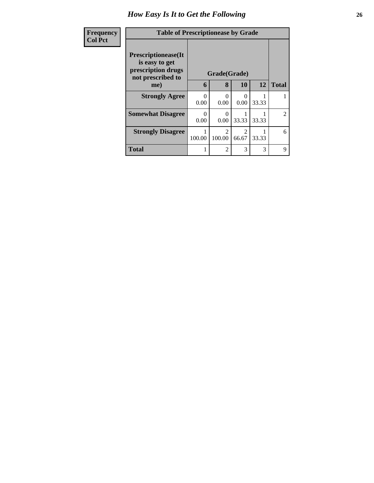| <b>Frequency</b> | <b>Table of Prescriptionease by Grade</b>                                        |           |                                       |                         |                 |                             |
|------------------|----------------------------------------------------------------------------------|-----------|---------------------------------------|-------------------------|-----------------|-----------------------------|
| <b>Col Pct</b>   | Prescriptionease(It<br>is easy to get<br>prescription drugs<br>not prescribed to |           | Grade(Grade)                          |                         |                 |                             |
|                  | me)                                                                              | 6         | 8                                     | <b>10</b>               | 12 <sup>1</sup> | <b>Total</b>                |
|                  | <b>Strongly Agree</b>                                                            | 0<br>0.00 | $\Omega$<br>0.00                      | ∩<br>0.00               | 33.33           |                             |
|                  | <b>Somewhat Disagree</b>                                                         | 0<br>0.00 | $\Omega$<br>0.00                      | 33.33                   | 33.33           | $\mathcal{D}_{\mathcal{L}}$ |
|                  | <b>Strongly Disagree</b>                                                         | 100.00    | $\mathcal{D}_{\mathcal{L}}$<br>100.00 | $\mathfrak{D}$<br>66.67 | 33.33           | 6                           |
|                  | <b>Total</b>                                                                     | 1         | $\overline{2}$                        | 3                       | 3               | 9                           |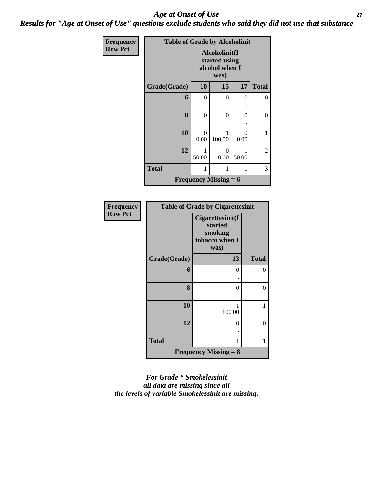#### *Age at Onset of Use* **27** *Results for "Age at Onset of Use" questions exclude students who said they did not use that substance*

| <b>Frequency</b> | <b>Table of Grade by Alcoholinit</b> |                                                  |                              |           |              |  |
|------------------|--------------------------------------|--------------------------------------------------|------------------------------|-----------|--------------|--|
| <b>Row Pct</b>   |                                      | Alcoholinit(I<br>started using<br>alcohol when I |                              |           |              |  |
|                  | Grade(Grade)                         | 10                                               | 15                           | 17        | <b>Total</b> |  |
|                  | 6                                    | 0                                                | 0                            | 0         | 0            |  |
|                  |                                      |                                                  |                              |           |              |  |
|                  | 8                                    | 0                                                | $\Omega$                     | $\Omega$  | $\theta$     |  |
|                  |                                      |                                                  |                              |           |              |  |
|                  | 10                                   | ∩<br>0.00                                        | 100.00                       | 0<br>0.00 | 1            |  |
|                  | 12                                   | 50.00                                            | 2                            |           |              |  |
|                  | <b>Total</b>                         | 1                                                | 3                            |           |              |  |
|                  |                                      |                                                  | <b>Frequency Missing = 6</b> |           |              |  |

| Frequency      |              | <b>Table of Grade by Cigarettesinit</b>                          |              |
|----------------|--------------|------------------------------------------------------------------|--------------|
| <b>Row Pct</b> |              | Cigarettesinit(I<br>started<br>smoking<br>tobacco when I<br>was) |              |
|                | Grade(Grade) | 13                                                               | <b>Total</b> |
|                | 6            | 0                                                                | 0            |
|                | 8            | 0                                                                | 0            |
|                | 10           | 100.00                                                           | 1            |
|                | 12           | 0                                                                | 0            |
|                | <b>Total</b> | 1                                                                | 1            |
|                |              | <b>Frequency Missing = <math>8</math></b>                        |              |

*For Grade \* Smokelessinit all data are missing since all the levels of variable Smokelessinit are missing.*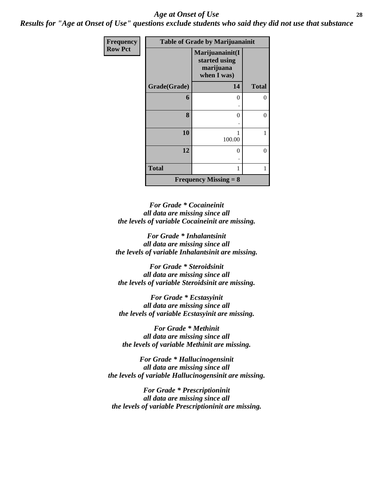#### *Age at Onset of Use* **28**

*Results for "Age at Onset of Use" questions exclude students who said they did not use that substance*

| Frequency      |              | <b>Table of Grade by Marijuanainit</b>                       |                |
|----------------|--------------|--------------------------------------------------------------|----------------|
| <b>Row Pct</b> |              | Marijuanainit(I<br>started using<br>marijuana<br>when I was) |                |
|                | Grade(Grade) | 14                                                           | <b>Total</b>   |
|                | 6            | 0                                                            | 0              |
|                |              |                                                              |                |
|                | 8            | 0                                                            | $\theta$       |
|                |              |                                                              |                |
|                | 10           | 100.00                                                       |                |
|                | 12           | 0                                                            | $\overline{0}$ |
|                | <b>Total</b> |                                                              | 1              |
|                |              | <b>Frequency Missing = 8</b>                                 |                |

*For Grade \* Cocaineinit all data are missing since all the levels of variable Cocaineinit are missing.*

*For Grade \* Inhalantsinit all data are missing since all the levels of variable Inhalantsinit are missing.*

*For Grade \* Steroidsinit all data are missing since all the levels of variable Steroidsinit are missing.*

*For Grade \* Ecstasyinit all data are missing since all the levels of variable Ecstasyinit are missing.*

*For Grade \* Methinit all data are missing since all the levels of variable Methinit are missing.*

*For Grade \* Hallucinogensinit all data are missing since all the levels of variable Hallucinogensinit are missing.*

*For Grade \* Prescriptioninit all data are missing since all the levels of variable Prescriptioninit are missing.*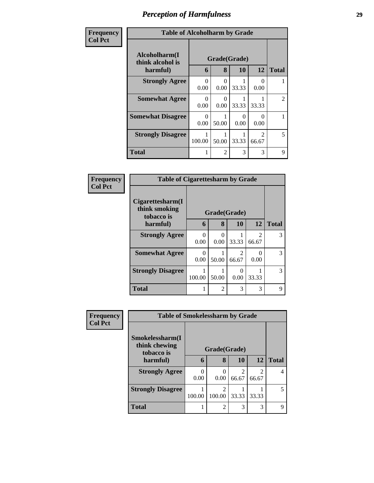| Frequency      | <b>Table of Alcoholharm by Grade</b>          |           |                           |           |                                      |                |
|----------------|-----------------------------------------------|-----------|---------------------------|-----------|--------------------------------------|----------------|
| <b>Col Pct</b> | Alcoholharm(I<br>think alcohol is<br>harmful) | 6         | Grade(Grade)<br>8         | 10        | 12                                   | <b>Total</b>   |
|                | <b>Strongly Agree</b>                         | 0<br>0.00 | $\mathbf{\Omega}$<br>0.00 | 33.33     | ( )<br>0.00                          |                |
|                | <b>Somewhat Agree</b>                         | ∩<br>0.00 | 0.00                      | 33.33     | 33.33                                | $\overline{c}$ |
|                | <b>Somewhat Disagree</b>                      | ∩<br>0.00 | 50.00                     | 0<br>0.00 | 0<br>0.00                            |                |
|                | <b>Strongly Disagree</b>                      | 100.00    | 50.00                     | 33.33     | $\mathcal{D}_{\mathcal{L}}$<br>66.67 | 5              |
|                | <b>Total</b>                                  |           | $\overline{c}$            | 3         | 3                                    | 9              |

| Frequency      | <b>Table of Cigarettesharm by Grade</b>           |           |                  |                         |                         |              |
|----------------|---------------------------------------------------|-----------|------------------|-------------------------|-------------------------|--------------|
| <b>Col Pct</b> | Cigare ttesharm(I)<br>think smoking<br>tobacco is |           | Grade(Grade)     |                         |                         |              |
|                | harmful)                                          | 6         | 8                | 10                      | 12                      | <b>Total</b> |
|                | <b>Strongly Agree</b>                             | 0<br>0.00 | $\Omega$<br>0.00 | 33.33                   | $\mathfrak{D}$<br>66.67 | 3            |
|                | <b>Somewhat Agree</b>                             | 0<br>0.00 | 50.00            | $\mathfrak{D}$<br>66.67 | 0.00                    | 3            |
|                | <b>Strongly Disagree</b>                          | 100.00    | 50.00            | 0<br>0.00               | 33.33                   | 3            |
|                | <b>Total</b>                                      |           | $\mathfrak{D}$   | 3                       | 3                       | 9            |

| <b>Frequency</b> | <b>Table of Smokelessharm by Grade</b>         |        |                                    |            |                         |              |
|------------------|------------------------------------------------|--------|------------------------------------|------------|-------------------------|--------------|
| <b>Col Pct</b>   | Smokelessharm(I<br>think chewing<br>tobacco is |        | Grade(Grade)                       |            |                         |              |
|                  | harmful)                                       | 6      | 8                                  | 10         | <b>12</b>               | <b>Total</b> |
|                  | <b>Strongly Agree</b>                          | 0.00   | 0<br>0.00                          | 2<br>66.67 | $\mathfrak{D}$<br>66.67 | 4            |
|                  | <b>Strongly Disagree</b>                       | 100.00 | $\overline{\mathcal{L}}$<br>100.00 | 33.33      | 33.33                   | 5            |
|                  | <b>Total</b>                                   |        | $\overline{2}$                     | 3          | 3                       | 9            |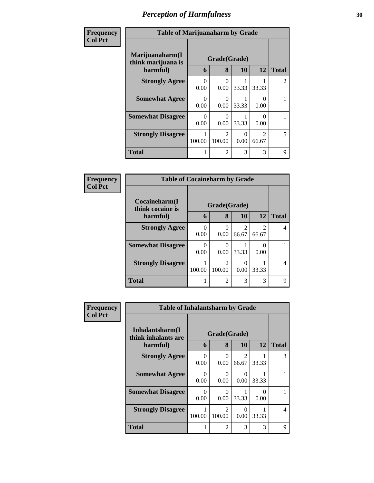| Frequency      | <b>Table of Marijuanaharm by Grade</b>            |           |                                       |                  |                                      |                |
|----------------|---------------------------------------------------|-----------|---------------------------------------|------------------|--------------------------------------|----------------|
| <b>Col Pct</b> | Marijuanaharm(I<br>think marijuana is<br>harmful) | 6         | Grade(Grade)<br>8                     | <b>10</b>        | 12                                   | <b>Total</b>   |
|                | <b>Strongly Agree</b>                             | 0<br>0.00 | 0<br>0.00                             | 33.33            | 33.33                                | $\mathfrak{D}$ |
|                | <b>Somewhat Agree</b>                             | 0<br>0.00 | $\mathbf{0}$<br>0.00                  | 33.33            | 0<br>0.00                            |                |
|                | <b>Somewhat Disagree</b>                          | 0<br>0.00 | ∩<br>0.00                             | 33.33            | ∩<br>0.00                            |                |
|                | <b>Strongly Disagree</b>                          | 100.00    | $\mathcal{D}_{\mathcal{L}}$<br>100.00 | $\theta$<br>0.00 | $\mathcal{D}_{\mathcal{L}}$<br>66.67 | 5              |
|                | <b>Total</b>                                      |           | $\mathfrak{D}$                        | 3                | 3                                    | 9              |

| Frequency      | <b>Table of Cocaineharm by Grade</b>          |           |                   |                         |            |              |
|----------------|-----------------------------------------------|-----------|-------------------|-------------------------|------------|--------------|
| <b>Col Pct</b> | Cocaineharm(I<br>think cocaine is<br>harmful) | 6         | Grade(Grade)<br>8 | <b>10</b>               | 12         | <b>Total</b> |
|                | <b>Strongly Agree</b>                         | 0<br>0.00 | 0.00              | $\overline{2}$<br>66.67 | 2<br>66.67 | 4            |
|                | <b>Somewhat Disagree</b>                      | 0.00      | 0.00              | 33.33                   | 0.00       |              |
|                | <b>Strongly Disagree</b>                      | 100.00    | 2<br>100.00       | $\Omega$<br>0.00        | 33.33      | 4            |
|                | <b>Total</b>                                  |           | $\overline{c}$    | 3                       | 3          | 9            |

| <b>Frequency</b> | <b>Table of Inhalantsharm by Grade</b>             |                  |                                       |                  |                      |              |
|------------------|----------------------------------------------------|------------------|---------------------------------------|------------------|----------------------|--------------|
| <b>Col Pct</b>   | Inhalantsharm(I<br>think inhalants are<br>harmful) | 6                | Grade(Grade)<br>8                     | 10               | 12                   | <b>Total</b> |
|                  | <b>Strongly Agree</b>                              | 0<br>0.00        | 0<br>0.00                             | 2<br>66.67       | 33.33                | 3            |
|                  | <b>Somewhat Agree</b>                              | 0<br>0.00        | 0<br>0.00                             | $\theta$<br>0.00 | 33.33                |              |
|                  | <b>Somewhat Disagree</b>                           | $\theta$<br>0.00 | $\Omega$<br>0.00                      | 33.33            | $\mathbf{0}$<br>0.00 |              |
|                  | <b>Strongly Disagree</b>                           | 100.00           | $\mathcal{D}_{\mathcal{L}}$<br>100.00 | $\theta$<br>0.00 | 33.33                | 4            |
|                  | <b>Total</b>                                       |                  | 2                                     | 3                | 3                    | 9            |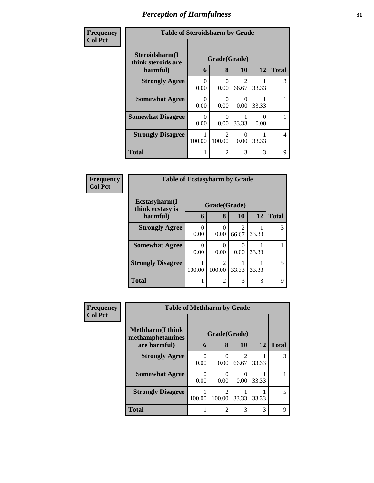| Frequency      | <b>Table of Steroidsharm by Grade</b> |                  |                                       |                                      |       |                |
|----------------|---------------------------------------|------------------|---------------------------------------|--------------------------------------|-------|----------------|
| <b>Col Pct</b> | Steroidsharm(I<br>think steroids are  |                  | Grade(Grade)                          |                                      |       |                |
|                | harmful)                              | 6                | 8                                     | <b>10</b>                            | 12    | <b>Total</b>   |
|                | <b>Strongly Agree</b>                 | $\Omega$<br>0.00 | ∩<br>0.00                             | $\mathcal{D}_{\mathcal{L}}$<br>66.67 | 33.33 | 3              |
|                | <b>Somewhat Agree</b>                 | ∩<br>0.00        | ∩<br>0.00                             | $\mathbf{\Omega}$<br>0.00            | 33.33 |                |
|                | <b>Somewhat Disagree</b>              | ∩<br>0.00        | 0.00                                  | 33.33                                | 0.00  |                |
|                | <b>Strongly Disagree</b>              | 100.00           | $\mathcal{D}_{\mathcal{L}}$<br>100.00 | 0.00                                 | 33.33 | $\overline{4}$ |
|                | <b>Total</b>                          |                  | $\mathfrak{D}$                        | 3                                    | 3     | 9              |

| Frequency      | <b>Table of Ecstasyharm by Grade</b> |                  |                                       |            |       |              |  |
|----------------|--------------------------------------|------------------|---------------------------------------|------------|-------|--------------|--|
| <b>Col Pct</b> | Ecstasyharm(I<br>think ecstasy is    |                  | Grade(Grade)                          |            |       |              |  |
|                | harmful)                             | 6                | 8                                     | 10         | 12    | <b>Total</b> |  |
|                | <b>Strongly Agree</b>                | 0<br>0.00        | 0.00                                  | 2<br>66.67 | 33.33 | 3            |  |
|                | <b>Somewhat Agree</b>                | $\Omega$<br>0.00 | 0.00                                  | 0.00       | 33.33 |              |  |
|                | <b>Strongly Disagree</b>             | 100.00           | $\mathcal{D}_{\mathcal{A}}$<br>100.00 | 33.33      | 33.33 | 5            |  |
|                | <b>Total</b>                         |                  | $\mathcal{D}_{\mathcal{L}}$           | 3          | 3     | 9            |  |

| <b>Frequency</b> | <b>Table of Methharm by Grade</b>            |              |                |                         |           |              |
|------------------|----------------------------------------------|--------------|----------------|-------------------------|-----------|--------------|
| <b>Col Pct</b>   | <b>Methharm</b> (I think<br>methamphetamines | Grade(Grade) |                |                         |           |              |
|                  | are harmful)                                 | 6            | 8              | 10                      | <b>12</b> | <b>Total</b> |
|                  | <b>Strongly Agree</b>                        | 0<br>0.00    | 0.00           | $\mathfrak{D}$<br>66.67 | 33.33     |              |
|                  | <b>Somewhat Agree</b>                        | 0<br>0.00    | 0.00           | $\theta$<br>0.00        | 33.33     |              |
|                  | <b>Strongly Disagree</b>                     | 100.00       | ∍<br>100.00    | 33.33                   | 33.33     |              |
|                  | Total                                        |              | $\overline{2}$ | 3                       | 3         | Q            |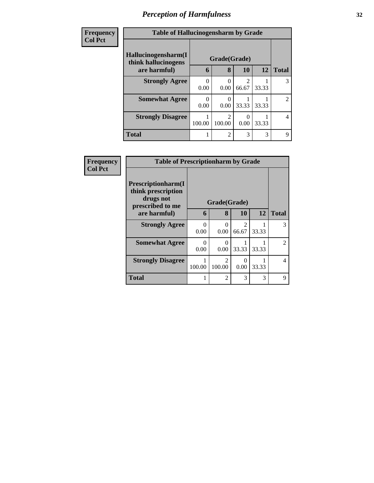| <b>Frequency</b> | <b>Table of Hallucinogensharm by Grade</b>                 |        |                |                         |           |                |  |  |
|------------------|------------------------------------------------------------|--------|----------------|-------------------------|-----------|----------------|--|--|
| <b>Col Pct</b>   | Hallucinogensharm(I<br>Grade(Grade)<br>think hallucinogens |        |                |                         |           |                |  |  |
|                  | are harmful)                                               | 6      | 8              | <b>10</b>               | <b>12</b> | <b>Total</b>   |  |  |
|                  | <b>Strongly Agree</b>                                      | 0.00   | 0.00           | $\mathfrak{D}$<br>66.67 | 33.33     | 3              |  |  |
|                  | <b>Somewhat Agree</b>                                      | 0.00   | 0.00           | 33.33                   | 33.33     | $\mathfrak{D}$ |  |  |
|                  | <b>Strongly Disagree</b>                                   | 100.00 | 2<br>100.00    | 0.00                    | 33.33     | 4              |  |  |
|                  | <b>Total</b>                                               |        | $\overline{2}$ | 3                       | 3         | 9              |  |  |

| Frequency      | <b>Table of Prescriptionharm by Grade</b>                                         |                  |                         |                         |           |              |  |
|----------------|-----------------------------------------------------------------------------------|------------------|-------------------------|-------------------------|-----------|--------------|--|
| <b>Col Pct</b> | <b>Prescriptionharm(I)</b><br>think prescription<br>drugs not<br>prescribed to me |                  | Grade(Grade)            |                         |           |              |  |
|                | are harmful)                                                                      | 6                | 8                       | 10                      | <b>12</b> | <b>Total</b> |  |
|                | <b>Strongly Agree</b>                                                             | $\Omega$<br>0.00 | $\Omega$<br>0.00        | $\mathfrak{D}$<br>66.67 | 33.33     | 3            |  |
|                | <b>Somewhat Agree</b>                                                             | 0<br>0.00        | 0<br>0.00               | 33.33                   | 33.33     | 2            |  |
|                | <b>Strongly Disagree</b>                                                          | 100.00           | $\mathcal{L}$<br>100.00 | 0<br>0.00               | 33.33     | 4            |  |
|                | <b>Total</b>                                                                      |                  | $\mathfrak{D}$          | 3                       | 3         | 9            |  |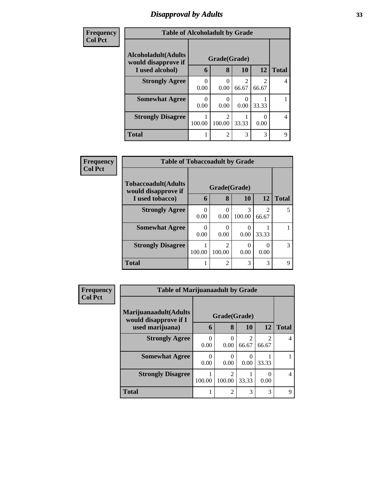#### *Disapproval by Adults* **33**

| <b>Frequency</b> | <b>Table of Alcoholadult by Grade</b>              |                  |                                       |                         |            |                |  |  |
|------------------|----------------------------------------------------|------------------|---------------------------------------|-------------------------|------------|----------------|--|--|
| <b>Col Pct</b>   | <b>Alcoholadult</b> (Adults<br>would disapprove if | Grade(Grade)     |                                       |                         |            |                |  |  |
|                  | I used alcohol)                                    | 6                | 8                                     | <b>10</b>               | 12         | <b>Total</b>   |  |  |
|                  | <b>Strongly Agree</b>                              | 0<br>0.00        | 0<br>0.00                             | $\mathfrak{D}$<br>66.67 | っ<br>66.67 | 4              |  |  |
|                  | <b>Somewhat Agree</b>                              | $\theta$<br>0.00 | 0<br>0.00                             | 0.00                    | 33.33      |                |  |  |
|                  | <b>Strongly Disagree</b>                           | 100.00           | $\mathcal{D}_{\mathcal{L}}$<br>100.00 | 33.33                   | 0.00       | $\overline{4}$ |  |  |
|                  | <b>Total</b>                                       | 1                | $\overline{2}$                        | 3                       | 3          | 9              |  |  |

| Frequency      | <b>Table of Tobaccoadult by Grade</b>      |              |                |             |            |              |
|----------------|--------------------------------------------|--------------|----------------|-------------|------------|--------------|
| <b>Col Pct</b> | Tobaccoadult(Adults<br>would disapprove if | Grade(Grade) |                |             |            |              |
|                | I used tobacco)                            | 6            | 8              | 10          | 12         | <b>Total</b> |
|                | <b>Strongly Agree</b>                      | 0<br>0.00    | 0.00           | 3<br>100.00 | 2<br>66.67 | 5            |
|                | <b>Somewhat Agree</b>                      | 0.00         | 0.00           | 0.00        | 33.33      |              |
|                | <b>Strongly Disagree</b>                   | 100.00       | 2<br>100.00    | 0.00        | ∩<br>0.00  | 3            |
|                | <b>Total</b>                               |              | $\mathfrak{D}$ | 3           | 3          | $\mathbf Q$  |

| Frequency      |                                                | <b>Table of Marijuanaadult by Grade</b> |                         |           |                         |              |  |  |
|----------------|------------------------------------------------|-----------------------------------------|-------------------------|-----------|-------------------------|--------------|--|--|
| <b>Col Pct</b> | Marijuanaadult(Adults<br>would disapprove if I | Grade(Grade)                            |                         |           |                         |              |  |  |
|                | used marijuana)                                | 6                                       | 8                       | <b>10</b> | <b>12</b>               | <b>Total</b> |  |  |
|                | <b>Strongly Agree</b>                          | 0.00                                    | 0<br>0.00               | 66.67     | $\mathfrak{D}$<br>66.67 | 4            |  |  |
|                | <b>Somewhat Agree</b>                          | 0.00                                    | 0<br>0.00               | 0.00      | 33.33                   |              |  |  |
|                | <b>Strongly Disagree</b>                       | 100.00                                  | $\mathcal{D}$<br>100.00 | 33.33     | 0.00                    | 4            |  |  |
|                | <b>Total</b>                                   |                                         | $\mathfrak{D}$          | 3         | 3                       | 9            |  |  |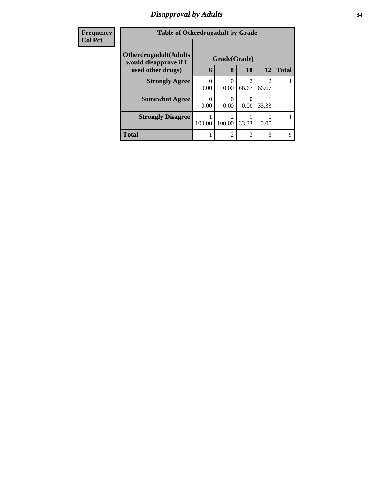## *Disapproval by Adults* **34**

| <b>Frequency</b> | <b>Table of Otherdrugadult by Grade</b>                |              |                         |                                                                                                                                                                          |            |              |  |
|------------------|--------------------------------------------------------|--------------|-------------------------|--------------------------------------------------------------------------------------------------------------------------------------------------------------------------|------------|--------------|--|
| <b>Col Pct</b>   | <b>Otherdrugadult</b> (Adults<br>would disapprove if I | Grade(Grade) |                         |                                                                                                                                                                          |            |              |  |
|                  | used other drugs)                                      | 6            | 8                       | 10                                                                                                                                                                       | 12         | <b>Total</b> |  |
|                  | <b>Strongly Agree</b>                                  | 0<br>0.00    | 0<br>0.00               | $\mathcal{D}_{\mathcal{A}}^{\mathcal{A}}(\mathcal{A})=\mathcal{D}_{\mathcal{A}}^{\mathcal{A}}(\mathcal{A})\mathcal{D}_{\mathcal{A}}^{\mathcal{A}}(\mathcal{A})$<br>66.67 | 2<br>66.67 | 4            |  |
|                  | <b>Somewhat Agree</b>                                  | 0.00         | 0.00                    | 0.00                                                                                                                                                                     | 33.33      |              |  |
|                  | <b>Strongly Disagree</b>                               | 100.00       | $\mathcal{D}$<br>100.00 | 33.33                                                                                                                                                                    | 0.00       | 4            |  |
|                  | <b>Total</b>                                           |              | $\overline{2}$          | 3                                                                                                                                                                        | 3          | 9            |  |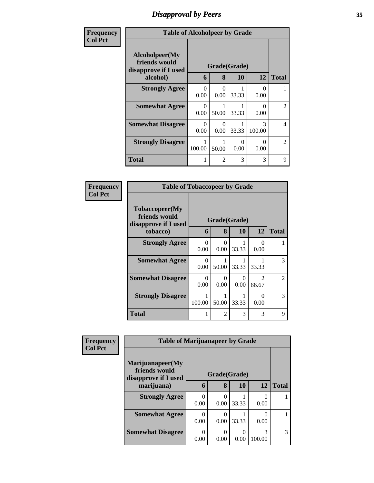## *Disapproval by Peers* **35**

| Frequency | <b>Table of Alcoholpeer by Grade</b>                    |                  |                |                  |             |                |  |
|-----------|---------------------------------------------------------|------------------|----------------|------------------|-------------|----------------|--|
| Col Pct   | Alcoholpeer(My<br>friends would<br>disapprove if I used |                  | Grade(Grade)   |                  |             |                |  |
|           | alcohol)                                                | 6                | 8              | 10               | 12          | <b>Total</b>   |  |
|           | <b>Strongly Agree</b>                                   | $\Omega$<br>0.00 | 0<br>0.00      | 33.33            | ∩<br>0.00   |                |  |
|           | <b>Somewhat Agree</b>                                   | 0<br>0.00        | 50.00          | 33.33            | ∩<br>0.00   | $\mathfrak{D}$ |  |
|           | <b>Somewhat Disagree</b>                                | 0<br>0.00        | 0<br>0.00      | 33.33            | 3<br>100.00 | $\overline{4}$ |  |
|           | <b>Strongly Disagree</b>                                | 100.00           | 50.00          | $\Omega$<br>0.00 | 0<br>0.00   | $\mathfrak{D}$ |  |
|           | <b>Total</b>                                            |                  | $\overline{2}$ | 3                | 3           | 9              |  |

| Frequency      | <b>Table of Tobaccopeer by Grade</b>                    |           |                |                       |                                      |                |
|----------------|---------------------------------------------------------|-----------|----------------|-----------------------|--------------------------------------|----------------|
| <b>Col Pct</b> | Tobaccopeer(My<br>friends would<br>disapprove if I used |           |                | Grade(Grade)          |                                      |                |
|                | tobacco)                                                | 6         | 8              | 10                    | 12                                   | <b>Total</b>   |
|                | <b>Strongly Agree</b>                                   | 0<br>0.00 | 0<br>0.00      | 33.33                 | ∩<br>0.00                            |                |
|                | <b>Somewhat Agree</b>                                   | 0<br>0.00 | 50.00          | 33.33                 | 33.33                                | 3              |
|                | <b>Somewhat Disagree</b>                                | 0<br>0.00 | 0<br>0.00      | $\mathcal{O}$<br>0.00 | $\mathcal{D}_{\mathcal{L}}$<br>66.67 | $\overline{2}$ |
|                | <b>Strongly Disagree</b>                                | 100.00    | 50.00          | 33.33                 | $\mathbf{\Omega}$<br>0.00            | $\mathcal{F}$  |
|                | <b>Total</b>                                            |           | $\mathfrak{D}$ | 3                     | 3                                    | 9              |

| Frequency      | <b>Table of Marijuanapeer by Grade</b>                                  |                   |              |                    |             |   |  |
|----------------|-------------------------------------------------------------------------|-------------------|--------------|--------------------|-------------|---|--|
| <b>Col Pct</b> | Marijuanapeer(My<br>friends would<br>disapprove if I used<br>marijuana) | Grade(Grade)<br>6 | <b>Total</b> |                    |             |   |  |
|                | <b>Strongly Agree</b>                                                   | 0<br>0.00         | 8<br>0.00    | <b>10</b><br>33.33 | 12<br>0.00  |   |  |
|                | <b>Somewhat Agree</b>                                                   | 0<br>0.00         | 0.00         | 33.33              | 0.00        |   |  |
|                | <b>Somewhat Disagree</b>                                                | 0<br>0.00         | 0.00         | 0.00               | 3<br>100.00 | 3 |  |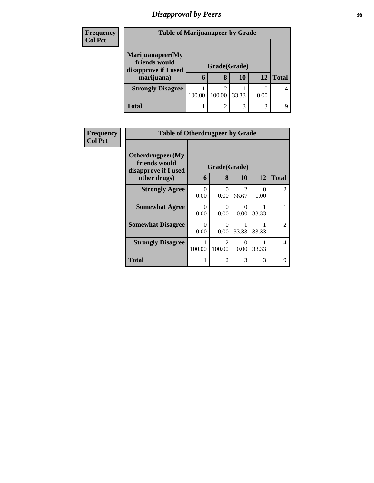# *Disapproval by Peers* **36**

| <b>Frequency</b> | <b>Table of Marijuanapeer by Grade</b>                    |        |                   |       |      |              |
|------------------|-----------------------------------------------------------|--------|-------------------|-------|------|--------------|
| <b>Col Pct</b>   | Marijuanapeer(My<br>friends would<br>disapprove if I used |        | Grade(Grade)<br>8 | 10    | 12   |              |
|                  | marijuana)                                                | h      |                   |       |      | <b>Total</b> |
|                  | <b>Strongly Disagree</b>                                  | 100.00 | ◠<br>100.00       | 33.33 | 0.00 |              |
|                  | <b>Total</b>                                              |        | ◠                 | 3     | 3    |              |

| <b>Frequency</b> | <b>Table of Otherdrugpeer by Grade</b>                                    |                  |                         |                         |           |                |
|------------------|---------------------------------------------------------------------------|------------------|-------------------------|-------------------------|-----------|----------------|
| <b>Col Pct</b>   | Otherdrugpeer(My<br>friends would<br>disapprove if I used<br>other drugs) | 6                | Grade(Grade)<br>8       | <b>10</b>               | 12        | <b>Total</b>   |
|                  | <b>Strongly Agree</b>                                                     | $\Omega$<br>0.00 | $\Omega$<br>0.00        | $\mathfrak{D}$<br>66.67 | 0<br>0.00 | $\overline{2}$ |
|                  | <b>Somewhat Agree</b>                                                     | 0<br>0.00        | 0<br>0.00               | 0<br>0.00               | 33.33     |                |
|                  | <b>Somewhat Disagree</b>                                                  | $\Omega$<br>0.00 | $\Omega$<br>0.00        | 33.33                   | 33.33     | 2              |
|                  | <b>Strongly Disagree</b>                                                  | 100.00           | $\mathcal{L}$<br>100.00 | $\Omega$<br>0.00        | 33.33     | $\overline{4}$ |
|                  | Total                                                                     |                  | 2                       | 3                       | 3         | 9              |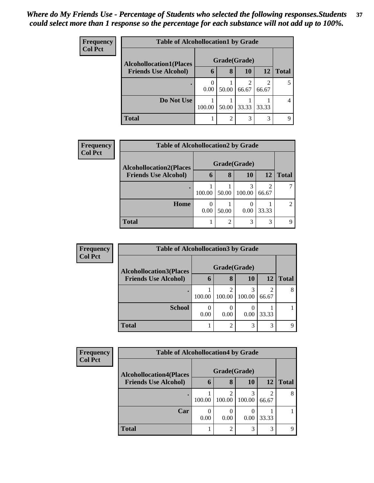| <b>Frequency</b> | <b>Table of Alcohollocation1 by Grade</b> |                  |       |       |            |              |  |  |
|------------------|-------------------------------------------|------------------|-------|-------|------------|--------------|--|--|
| <b>Col Pct</b>   | <b>Alcohollocation1(Places</b>            | Grade(Grade)     |       |       |            |              |  |  |
|                  | <b>Friends Use Alcohol)</b>               | 6                | 8     | 10    | 12         | <b>Total</b> |  |  |
|                  |                                           | $\theta$<br>0.00 | 50.00 | 66.67 | 2<br>66.67 |              |  |  |
|                  | Do Not Use                                | 100.00           | 50.00 | 33.33 | 33.33      |              |  |  |
|                  | <b>Total</b>                              |                  | ∍     | 3     | 3          |              |  |  |

| Frequency      | <b>Table of Alcohollocation2 by Grade</b>                     |        |                |                    |           |              |  |  |
|----------------|---------------------------------------------------------------|--------|----------------|--------------------|-----------|--------------|--|--|
| <b>Col Pct</b> | <b>Alcohollocation2(Places</b><br><b>Friends Use Alcohol)</b> | 6      | 8              | Grade(Grade)<br>10 | <b>12</b> | <b>Total</b> |  |  |
|                |                                                               |        |                |                    |           |              |  |  |
|                |                                                               | 100.00 | 50.00          | 100.00             | 66.67     |              |  |  |
|                | Home                                                          | 0.00   | 50.00          | 0.00               | 33.33     | ∍            |  |  |
|                | <b>Total</b>                                                  |        | $\overline{2}$ | 3                  | 3         | Q            |  |  |

| <b>Frequency</b> | <b>Table of Alcohollocation3 by Grade</b> |        |               |        |            |              |  |  |
|------------------|-------------------------------------------|--------|---------------|--------|------------|--------------|--|--|
| <b>Col Pct</b>   | <b>Alcohollocation3(Places</b>            |        | Grade(Grade)  |        |            |              |  |  |
|                  | <b>Friends Use Alcohol)</b>               | h      | 8             | 10     | 12         | <b>Total</b> |  |  |
|                  |                                           | 100.00 | っ<br>100.00   | 100.00 | 2<br>66.67 | 8            |  |  |
|                  | <b>School</b>                             | 0.00   | 0.00          | 0.00   | 33.33      |              |  |  |
|                  | <b>Total</b>                              |        | $\mathcal{D}$ | 3      | 3          | Q            |  |  |

| <b>Frequency</b> | <b>Table of Alcohollocation4 by Grade</b> |              |                |             |       |              |  |  |
|------------------|-------------------------------------------|--------------|----------------|-------------|-------|--------------|--|--|
| <b>Col Pct</b>   | <b>Alcohollocation4(Places</b>            | Grade(Grade) |                |             |       |              |  |  |
|                  | <b>Friends Use Alcohol)</b>               | O            | 8              | 10          | 12    | <b>Total</b> |  |  |
|                  |                                           | 100.00       | 100.00         | 3<br>100.00 | 66.67 | 8            |  |  |
|                  | Car                                       | 0.00         | 0.00           | 0.00        | 33.33 |              |  |  |
|                  | <b>Total</b>                              |              | $\overline{2}$ | 3           | 3     | Q            |  |  |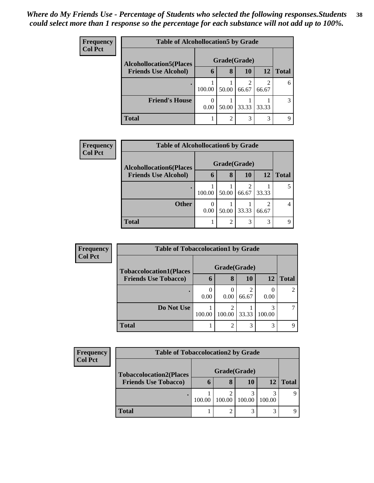| <b>Frequency</b> | <b>Table of Alcohollocation5 by Grade</b> |              |       |       |            |              |  |  |
|------------------|-------------------------------------------|--------------|-------|-------|------------|--------------|--|--|
| <b>Col Pct</b>   | <b>Alcohollocation5</b> (Places           | Grade(Grade) |       |       |            |              |  |  |
|                  | <b>Friends Use Alcohol)</b>               | 6            | 8     | 10    | 12         | <b>Total</b> |  |  |
|                  |                                           | 100.00       | 50.00 | 66.67 | 2<br>66.67 | 6            |  |  |
|                  | <b>Friend's House</b>                     | 0<br>0.00    | 50.00 | 33.33 | 33.33      |              |  |  |
|                  | Total                                     |              | ∍     | 3     | 3          |              |  |  |

| <b>Frequency</b> | <b>Table of Alcohollocation6 by Grade</b> |              |                |           |           |              |  |  |  |
|------------------|-------------------------------------------|--------------|----------------|-----------|-----------|--------------|--|--|--|
| <b>Col Pct</b>   | <b>Alcohollocation6(Places</b>            | Grade(Grade) |                |           |           |              |  |  |  |
|                  | <b>Friends Use Alcohol)</b>               | 6            | 8              | <b>10</b> | <b>12</b> | <b>Total</b> |  |  |  |
|                  |                                           | 100.00       | 50.00          | 66.67     | 33.33     |              |  |  |  |
|                  | <b>Other</b>                              | 0.00         | 50.00          | 33.33     | 66.67     | 4            |  |  |  |
|                  | <b>Total</b>                              |              | $\overline{c}$ | 3         | 3         |              |  |  |  |

| Frequency      |                                | <b>Table of Tobaccolocation1 by Grade</b> |             |            |             |              |  |  |  |  |
|----------------|--------------------------------|-------------------------------------------|-------------|------------|-------------|--------------|--|--|--|--|
| <b>Col Pct</b> | <b>Tobaccolocation1(Places</b> | Grade(Grade)                              |             |            |             |              |  |  |  |  |
|                | <b>Friends Use Tobacco)</b>    | 6                                         | 8           | 10         | 12          | <b>Total</b> |  |  |  |  |
|                |                                | 0.00                                      | 0.00        | っ<br>66.67 | 0.00        |              |  |  |  |  |
|                | Do Not Use                     | 100.00                                    | 2<br>100.00 | 33.33      | 3<br>100.00 |              |  |  |  |  |
|                | <b>Total</b>                   |                                           | 2           | 3          | 3           |              |  |  |  |  |

| Frequency      | <b>Table of Tobaccolocation2 by Grade</b> |       |        |             |             |              |  |  |  |
|----------------|-------------------------------------------|-------|--------|-------------|-------------|--------------|--|--|--|
| <b>Col Pct</b> | <b>Tobaccolocation2(Places</b>            |       |        |             |             |              |  |  |  |
|                | <b>Friends Use Tobacco)</b>               | O     | 8      | 10          |             | <b>Total</b> |  |  |  |
|                |                                           | 100.0 | 100.00 | 2<br>100.00 | 3<br>100.00 |              |  |  |  |
|                | <b>Total</b>                              |       |        | 3           | 3           |              |  |  |  |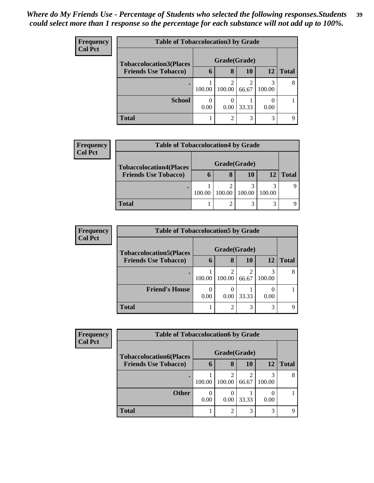| <b>Frequency</b> |                                | <b>Table of Tobaccolocation 3 by Grade</b> |                          |           |             |              |  |  |  |
|------------------|--------------------------------|--------------------------------------------|--------------------------|-----------|-------------|--------------|--|--|--|
| <b>Col Pct</b>   | <b>Tobaccolocation3(Places</b> | Grade(Grade)                               |                          |           |             |              |  |  |  |
|                  | <b>Friends Use Tobacco)</b>    | 6                                          | 8                        | <b>10</b> | 12          | <b>Total</b> |  |  |  |
|                  |                                | 100.00                                     | $\mathfrak{D}$<br>100.00 | 66.67     | 3<br>100.00 | 8            |  |  |  |
|                  | <b>School</b>                  | 0.00                                       | $\left( \right)$<br>0.00 | 33.33     | 0.00        |              |  |  |  |
|                  | <b>Total</b>                   |                                            | $\overline{2}$           | 3         | 3           | Ω            |  |  |  |

| <b>Frequency</b> | <b>Table of Tobaccolocation4 by Grade</b> |        |        |        |             |              |  |  |
|------------------|-------------------------------------------|--------|--------|--------|-------------|--------------|--|--|
| <b>Col Pct</b>   | <b>Tobaccolocation4(Places</b>            |        |        |        |             |              |  |  |
|                  | <b>Friends Use Tobacco)</b>               | O      | 8      | 10     | 12          | <b>Total</b> |  |  |
|                  |                                           | 100.00 | 100.00 | 100.00 | 3<br>100.00 |              |  |  |
|                  | <b>Total</b>                              |        |        | 3      | 3           |              |  |  |

| <b>Frequency</b><br><b>Col Pct</b> | <b>Table of Tobaccolocation5 by Grade</b> |              |                |            |        |              |  |
|------------------------------------|-------------------------------------------|--------------|----------------|------------|--------|--------------|--|
|                                    | <b>Tobaccolocation5(Places</b>            | Grade(Grade) |                |            |        |              |  |
|                                    | <b>Friends Use Tobacco)</b>               | h            | 8              | 10         | 12     | <b>Total</b> |  |
|                                    |                                           | 100.00       | 2<br>100.00    | ◠<br>66.67 | 100.00 | 8            |  |
|                                    | <b>Friend's House</b>                     | 0<br>0.00    | 0.00           | 33.33      | 0.00   |              |  |
|                                    | <b>Total</b>                              |              | $\overline{2}$ | 3          | 3      | q            |  |

| Frequency      | <b>Table of Tobaccolocation6 by Grade</b> |              |                |            |        |              |  |  |  |
|----------------|-------------------------------------------|--------------|----------------|------------|--------|--------------|--|--|--|
| <b>Col Pct</b> | <b>Tobaccolocation6(Places</b>            | Grade(Grade) |                |            |        |              |  |  |  |
|                | <b>Friends Use Tobacco)</b>               | h            | 8              | 10         | 12     | <b>Total</b> |  |  |  |
|                |                                           | 100.00       | 2<br>100.00    | ◠<br>66.67 | 100.00 | 8            |  |  |  |
|                | <b>Other</b>                              | 0<br>0.00    | 0.00           | 33.33      | 0.00   |              |  |  |  |
|                | <b>Total</b>                              |              | $\overline{2}$ | 3          | 3      |              |  |  |  |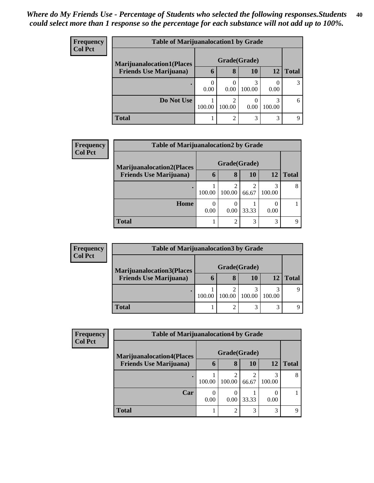| <b>Frequency</b> | <b>Table of Marijuanalocation1 by Grade</b> |              |                |        |             |              |  |
|------------------|---------------------------------------------|--------------|----------------|--------|-------------|--------------|--|
| <b>Col Pct</b>   | <b>Marijuanalocation1(Places</b>            | Grade(Grade) |                |        |             |              |  |
|                  | <b>Friends Use Marijuana</b> )              | 6            | 8              | 10     | 12          | <b>Total</b> |  |
|                  |                                             | 0.00         | 0.00           | 100.00 | 0.00        |              |  |
|                  | Do Not Use                                  | 100.00       | 2<br>100.00    | 0.00   | 3<br>100.00 | 6            |  |
|                  | <b>Total</b>                                |              | $\mathfrak{D}$ | 3      | 3           | റ            |  |

| <b>Frequency</b> | <b>Table of Marijuanalocation2 by Grade</b> |              |        |           |             |              |  |  |
|------------------|---------------------------------------------|--------------|--------|-----------|-------------|--------------|--|--|
| <b>Col Pct</b>   | <b>Marijuanalocation2(Places</b>            | Grade(Grade) |        |           |             |              |  |  |
|                  | <b>Friends Use Marijuana</b> )              | 6            | 8      | <b>10</b> | 12          | <b>Total</b> |  |  |
|                  |                                             | 100.00       | 100.00 | 66.67     | 3<br>100.00 | 8            |  |  |
|                  | Home                                        | 0.00         | 0.00   | 33.33     | 0.00        |              |  |  |
|                  | <b>Total</b>                                |              | ◠      | 3         | 3           | Q            |  |  |

| <b>Frequency</b> | <b>Table of Marijuanalocation3 by Grade</b> |        |              |        |        |              |  |
|------------------|---------------------------------------------|--------|--------------|--------|--------|--------------|--|
| <b>Col Pct</b>   | <b>Marijuanalocation3(Places</b>            |        | Grade(Grade) |        |        |              |  |
|                  | <b>Friends Use Marijuana</b> )              | O      | 8            | 10     | 12     | <b>Total</b> |  |
|                  |                                             | 100.00 | 100.00       | 100.00 | 100.00 |              |  |
|                  | <b>Total</b>                                |        | າ            | 3      | 3      |              |  |

| Frequency<br><b>Col Pct</b> | <b>Table of Marijuanalocation4 by Grade</b> |              |                               |            |             |       |  |
|-----------------------------|---------------------------------------------|--------------|-------------------------------|------------|-------------|-------|--|
|                             | <b>Marijuanalocation4(Places</b>            | Grade(Grade) |                               |            |             |       |  |
|                             | <b>Friends Use Marijuana</b> )              | 6            | 8                             | <b>10</b>  | 12          | Total |  |
|                             | ٠                                           | 100.00       | 2<br>100.00                   | ∍<br>66.67 | 3<br>100.00 | 8     |  |
|                             | Car                                         | 0.00         | $\left($<br>0.00 <sub>1</sub> | 33.33      | 0.00        |       |  |
|                             | <b>Total</b>                                |              | 2                             | 3          | 3           |       |  |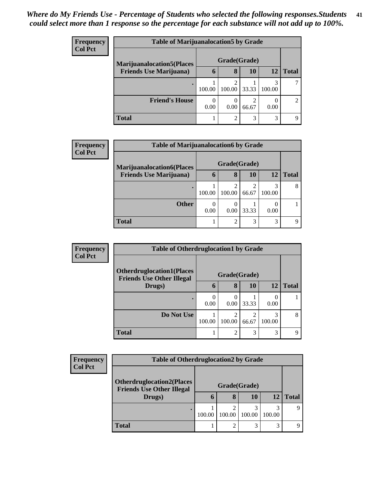| <b>Frequency</b> | <b>Table of Marijuanalocation5 by Grade</b> |              |        |            |             |               |  |
|------------------|---------------------------------------------|--------------|--------|------------|-------------|---------------|--|
| <b>Col Pct</b>   | <b>Marijuanalocation5</b> (Places           | Grade(Grade) |        |            |             |               |  |
|                  | <b>Friends Use Marijuana</b> )              | $\mathbf b$  | 8      | 10         | 12          | <b>Total</b>  |  |
|                  |                                             | 100.00       | 100.00 | 33.33      | 3<br>100.00 |               |  |
|                  | <b>Friend's House</b>                       | 0<br>0.00    | 0.00   | ◠<br>66.67 | 0.00        | $\mathcal{D}$ |  |
|                  | <b>Total</b>                                |              | റ      | 3          | 3           | Q             |  |

| Frequency | <b>Table of Marijuanalocation6 by Grade</b> |        |              |            |             |              |  |
|-----------|---------------------------------------------|--------|--------------|------------|-------------|--------------|--|
| Col Pct   | <b>Marijuanalocation6(Places</b>            |        | Grade(Grade) |            |             |              |  |
|           | <b>Friends Use Marijuana</b> )              | 6      | 8            | 10         | 12          | <b>Total</b> |  |
|           |                                             | 100.00 | 100.00       | ◠<br>66.67 | 3<br>100.00 | 8            |  |
|           | <b>Other</b>                                | 0.00   | 0.00         | 33.33      | 0.00        |              |  |
|           | <b>Total</b>                                |        | ി            | 3          | 3           | Q            |  |

| <b>Frequency</b> | <b>Table of Otherdruglocation1 by Grade</b>                          |             |              |           |             |              |
|------------------|----------------------------------------------------------------------|-------------|--------------|-----------|-------------|--------------|
| <b>Col Pct</b>   |                                                                      |             |              |           |             |              |
|                  | <b>Otherdruglocation1(Places</b><br><b>Friends Use Other Illegal</b> |             | Grade(Grade) |           |             |              |
|                  | Drugs)                                                               | $\mathbf b$ | 8            | <b>10</b> | <b>12</b>   | <b>Total</b> |
|                  |                                                                      | 0.00        | 0.00         | 33.33     | 0.00        |              |
|                  | Do Not Use                                                           | 100.00      | 100.00       | 66.67     | 3<br>100.00 | 8            |
|                  | <b>Total</b>                                                         |             | ∍            | 3         | 3           | $\Omega$     |

| <b>Frequency</b><br><b>Col Pct</b> | <b>Table of Otherdruglocation2 by Grade</b>                                    |              |                |        |             |              |  |  |
|------------------------------------|--------------------------------------------------------------------------------|--------------|----------------|--------|-------------|--------------|--|--|
|                                    | <b>Otherdruglocation2(Places</b><br><b>Friends Use Other Illegal</b><br>Drugs) |              |                |        |             |              |  |  |
|                                    |                                                                                | $\mathbf{D}$ | 8              | 10     | 12          | <b>Total</b> |  |  |
|                                    | $\bullet$                                                                      | 100.00       | 100.00         | 100.00 | 3<br>100.00 |              |  |  |
|                                    | Total                                                                          |              | $\overline{c}$ | ⌒      | 3           |              |  |  |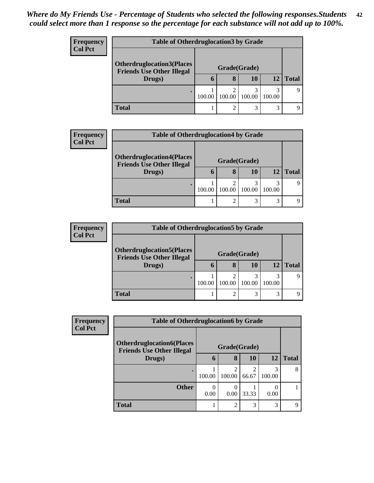| <b>Frequency</b> |                                                                      | <b>Table of Otherdruglocation 3 by Grade</b> |        |        |             |              |  |  |  |
|------------------|----------------------------------------------------------------------|----------------------------------------------|--------|--------|-------------|--------------|--|--|--|
| <b>Col Pct</b>   | <b>Otherdruglocation3(Places</b><br><b>Friends Use Other Illegal</b> | Grade(Grade)                                 |        |        |             |              |  |  |  |
|                  | Drugs)                                                               |                                              | 8      | 10     | 12          | <b>Total</b> |  |  |  |
|                  |                                                                      | 100.00                                       | 100.00 | 100.00 | 3<br>100.00 |              |  |  |  |
|                  | <b>Total</b>                                                         |                                              | ◠      |        | 3           |              |  |  |  |

| <b>Frequency</b> |                                                                      | <b>Table of Otherdruglocation4 by Grade</b> |                |        |             |              |  |
|------------------|----------------------------------------------------------------------|---------------------------------------------|----------------|--------|-------------|--------------|--|
| <b>Col Pct</b>   | <b>Otherdruglocation4(Places</b><br><b>Friends Use Other Illegal</b> |                                             |                |        |             |              |  |
|                  | Drugs)                                                               | h                                           | 8              | 10     | 12          | <b>Total</b> |  |
|                  |                                                                      | 100.00                                      | ◠<br>100.00    | 100.00 | 3<br>100.00 |              |  |
|                  | <b>Total</b>                                                         |                                             | $\overline{2}$ | 3      | 3           |              |  |

| <b>Frequency</b> | <b>Table of Otherdruglocation5 by Grade</b>                          |        |             |        |             |              |  |  |
|------------------|----------------------------------------------------------------------|--------|-------------|--------|-------------|--------------|--|--|
| <b>Col Pct</b>   | <b>Otherdruglocation5(Places</b><br><b>Friends Use Other Illegal</b> |        |             |        |             |              |  |  |
|                  | Drugs)                                                               | O      | 8           | 10     | 12          | <b>Total</b> |  |  |
|                  |                                                                      | 100.00 | ◠<br>100.00 | 100.00 | 3<br>100.00 |              |  |  |
|                  | <b>Total</b>                                                         |        | ി           | 3      | 3           |              |  |  |

| Frequency      | <b>Table of Otherdruglocation6 by Grade</b>                          |              |                  |           |             |              |
|----------------|----------------------------------------------------------------------|--------------|------------------|-----------|-------------|--------------|
| <b>Col Pct</b> | <b>Otherdruglocation6(Places</b><br><b>Friends Use Other Illegal</b> | Grade(Grade) |                  |           |             |              |
|                | Drugs)                                                               | 6            | 8                | <b>10</b> | 12          | <b>Total</b> |
|                |                                                                      | 100.00       | 100.00           | 66.67     | 3<br>100.00 | 8            |
|                | <b>Other</b>                                                         | 0.00         | $\left($<br>0.00 | 33.33     | 0.00        |              |
|                | <b>Total</b>                                                         |              | $\mathcal{D}$    | 3         | 3           | Q            |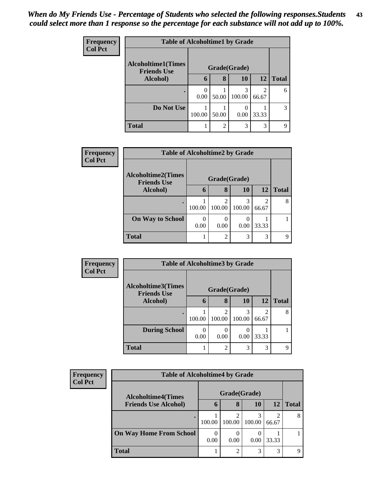| <b>Frequency</b> |                                                 | <b>Table of Alcoholtime1 by Grade</b> |                |              |       |              |  |  |
|------------------|-------------------------------------------------|---------------------------------------|----------------|--------------|-------|--------------|--|--|
| <b>Col Pct</b>   | <b>Alcoholtime1(Times</b><br><b>Friends Use</b> |                                       |                | Grade(Grade) |       |              |  |  |
|                  | Alcohol)                                        | 6                                     | 8              | <b>10</b>    | 12    | <b>Total</b> |  |  |
|                  |                                                 | ∩<br>0.00                             | 50.00          | 3<br>100.00  | 66.67 | 6            |  |  |
|                  | Do Not Use                                      | 100.00                                | 50.00          | 0.00         | 33.33 | 3            |  |  |
|                  | <b>Total</b>                                    |                                       | $\overline{2}$ | 3            | 3     | q            |  |  |

| Frequency      |                                                 | <b>Table of Alcoholtime2 by Grade</b> |                         |           |                         |              |  |  |
|----------------|-------------------------------------------------|---------------------------------------|-------------------------|-----------|-------------------------|--------------|--|--|
| <b>Col Pct</b> | <b>Alcoholtime2(Times</b><br><b>Friends Use</b> | Grade(Grade)                          |                         |           |                         |              |  |  |
|                | <b>Alcohol</b> )                                | $\mathbf b$                           | 8                       | <b>10</b> | 12                      | <b>Total</b> |  |  |
|                |                                                 | 100.00                                | $\mathcal{D}$<br>100.00 | 100.00    | $\mathfrak{D}$<br>66.67 |              |  |  |
|                | <b>On Way to School</b>                         | 0.00                                  | 0.00                    | 0.00      | 33.33                   |              |  |  |
|                | <b>Total</b>                                    |                                       | $\mathcal{D}$           | 3         | 3                       |              |  |  |

| <b>Frequency</b> | <b>Table of Alcoholtime3 by Grade</b>           |        |              |             |            |              |
|------------------|-------------------------------------------------|--------|--------------|-------------|------------|--------------|
| <b>Col Pct</b>   | <b>Alcoholtime3(Times</b><br><b>Friends Use</b> |        | Grade(Grade) |             |            |              |
|                  | <b>Alcohol</b> )                                | 6      | 8            | <b>10</b>   | 12         | <b>Total</b> |
|                  |                                                 | 100.00 | ↑<br>100.00  | 3<br>100.00 | ∍<br>66.67 | 8            |
|                  | <b>During School</b>                            | 0.00   | 0.00         | 0.00        | 33.33      |              |
|                  | <b>Total</b>                                    |        | റ            | 3           | 3          | Q            |

| <b>Frequency</b><br><b>Col Pct</b> | <b>Table of Alcoholtime4 by Grade</b> |              |        |             |                         |              |  |
|------------------------------------|---------------------------------------|--------------|--------|-------------|-------------------------|--------------|--|
|                                    | <b>Alcoholtime4(Times</b>             | Grade(Grade) |        |             |                         |              |  |
|                                    | <b>Friends Use Alcohol)</b>           | <sup>0</sup> | 8      | 10          | 12                      | <b>Total</b> |  |
|                                    |                                       | 100.00       | 100.00 | 3<br>100.00 | $\overline{c}$<br>66.67 | 8            |  |
|                                    | <b>On Way Home From School</b>        | 0<br>0.00    | 0.00   | 0.00        | 33.33                   |              |  |
|                                    | <b>Total</b>                          |              | ↑      | 3           | 3                       | Q            |  |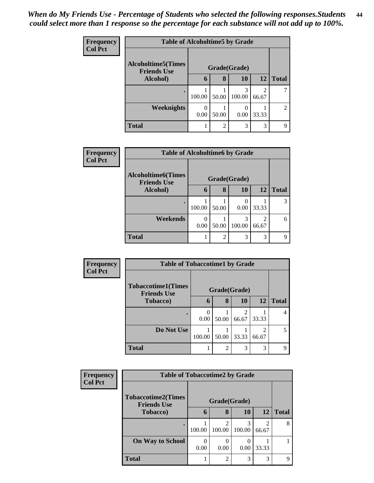| <b>Frequency</b> | <b>Table of Alcoholtime5 by Grade</b>                            |        |                |                          |           |                |  |
|------------------|------------------------------------------------------------------|--------|----------------|--------------------------|-----------|----------------|--|
| <b>Col Pct</b>   | <b>Alcoholtime5</b> (Times<br>Grade(Grade)<br><b>Friends Use</b> |        |                |                          |           |                |  |
|                  | Alcohol)                                                         | 6      | 8              | 10                       | <b>12</b> | <b>Total</b>   |  |
|                  |                                                                  | 100.00 | 50.00          | 3<br>100.00              | 66.67     |                |  |
|                  | <b>Weeknights</b>                                                | 0.00   | 50.00          | $\left( \right)$<br>0.00 | 33.33     | $\overline{2}$ |  |
|                  | <b>Total</b>                                                     |        | $\overline{2}$ | 3                        | 3         | Q              |  |

| Frequency      | <b>Table of Alcoholtime6 by Grade</b>    |                  |                |        |           |              |
|----------------|------------------------------------------|------------------|----------------|--------|-----------|--------------|
| <b>Col Pct</b> | Alcoholtime6(Times<br><b>Friends Use</b> | Grade(Grade)     |                |        |           |              |
|                | Alcohol)                                 | 6                | 8              | 10     | <b>12</b> | <b>Total</b> |
|                | $\bullet$                                | 100.00           | 50.00          | 0.00   | 33.33     | 3            |
|                | Weekends                                 | $\theta$<br>0.00 | 50.00          | 100.00 | 66.67     | 6            |
|                | <b>Total</b>                             |                  | $\overline{2}$ | 3      | 3         | Q            |

| Frequency<br><b>Col Pct</b> |                                                 | <b>Table of Tobaccotime1 by Grade</b> |                |                         |            |              |  |  |  |
|-----------------------------|-------------------------------------------------|---------------------------------------|----------------|-------------------------|------------|--------------|--|--|--|
|                             | <b>Tobaccotime1(Times</b><br><b>Friends Use</b> | Grade(Grade)                          |                |                         |            |              |  |  |  |
|                             | Tobacco)                                        | 6                                     | 8              | <b>10</b>               | <b>12</b>  | <b>Total</b> |  |  |  |
|                             |                                                 | 0.00                                  | 50.00          | $\mathfrak{D}$<br>66.67 | 33.33      | 4            |  |  |  |
|                             | Do Not Use                                      | 100.00                                | 50.00          | 33.33                   | ↑<br>66.67 | 5            |  |  |  |
|                             | <b>Total</b>                                    |                                       | $\overline{c}$ | 3                       | 3          | Q            |  |  |  |

| <b>Frequency</b> | <b>Table of Tobaccotime2 by Grade</b>           |           |                                       |             |                         |              |  |
|------------------|-------------------------------------------------|-----------|---------------------------------------|-------------|-------------------------|--------------|--|
| <b>Col Pct</b>   | <b>Tobaccotime2(Times</b><br><b>Friends Use</b> |           | Grade(Grade)                          |             |                         |              |  |
|                  | <b>Tobacco</b> )                                | 6         | 8                                     | <b>10</b>   | <b>12</b>               | <b>Total</b> |  |
|                  | $\bullet$                                       | 100.00    | $\mathcal{D}_{\mathcal{L}}$<br>100.00 | 3<br>100.00 | $\mathfrak{D}$<br>66.67 | 8            |  |
|                  | <b>On Way to School</b>                         | 0<br>0.00 | 0.00                                  | 0.00        | 33.33                   |              |  |
|                  | <b>Total</b>                                    |           | $\overline{2}$                        | 3           | 3                       |              |  |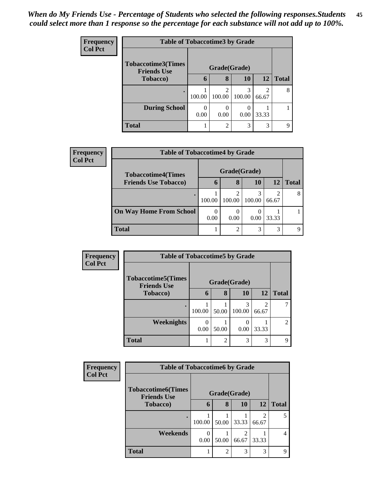| <b>Frequency</b> | <b>Table of Tobaccotime3 by Grade</b>           |        |              |             |                                      |              |  |
|------------------|-------------------------------------------------|--------|--------------|-------------|--------------------------------------|--------------|--|
| <b>Col Pct</b>   | <b>Tobaccotime3(Times</b><br><b>Friends Use</b> |        | Grade(Grade) |             |                                      |              |  |
|                  | <b>Tobacco</b> )                                | 6      | 8            | 10          | 12                                   | <b>Total</b> |  |
|                  | ٠                                               | 100.00 | ി<br>100.00  | 3<br>100.00 | $\mathcal{D}_{\mathcal{L}}$<br>66.67 | 8            |  |
|                  | <b>During School</b>                            | 0.00   | 0.00         | 0.00        | 33.33                                |              |  |
|                  | <b>Total</b>                                    |        | റ            | 3           | 3                                    |              |  |

| Frequency      | <b>Table of Tobaccotime4 by Grade</b> |              |        |             |            |              |  |
|----------------|---------------------------------------|--------------|--------|-------------|------------|--------------|--|
| <b>Col Pct</b> | <b>Tobaccotime4(Times</b>             | Grade(Grade) |        |             |            |              |  |
|                | <b>Friends Use Tobacco)</b>           | 6            | 8      | 10          | <b>12</b>  | <b>Total</b> |  |
|                |                                       | 100.00       | 100.00 | 3<br>100.00 | ∍<br>66.67 | 8            |  |
|                | <b>On Way Home From School</b>        | 0.00         | 0.00   | 0.00        | 33.33      |              |  |
|                | <b>Total</b>                          |              | ി      | 3           | 3          | Q            |  |

| <b>Frequency</b> |                                                 | <b>Table of Tobaccotime5 by Grade</b> |                |             |            |                |  |  |
|------------------|-------------------------------------------------|---------------------------------------|----------------|-------------|------------|----------------|--|--|
| <b>Col Pct</b>   | <b>Tobaccotime5(Times</b><br><b>Friends Use</b> | Grade(Grade)                          |                |             |            |                |  |  |
|                  | Tobacco)                                        | 6                                     | 8              | 10          | <b>12</b>  | <b>Total</b>   |  |  |
|                  |                                                 | 100.00                                | 50.00          | 3<br>100.00 | ി<br>66.67 |                |  |  |
|                  | <b>Weeknights</b>                               | 0.00                                  | 50.00          | 0.00        | 33.33      | $\overline{2}$ |  |  |
|                  | <b>Total</b>                                    |                                       | $\overline{c}$ | 3           | 3          | Q              |  |  |

| <b>Frequency</b> |                                                 | <b>Table of Tobaccotime6 by Grade</b> |                |            |            |              |  |  |
|------------------|-------------------------------------------------|---------------------------------------|----------------|------------|------------|--------------|--|--|
| <b>Col Pct</b>   | <b>Tobaccotime6(Times</b><br><b>Friends Use</b> | Grade(Grade)                          |                |            |            |              |  |  |
|                  | <b>Tobacco</b> )                                | 6                                     | 8              | 10         | <b>12</b>  | <b>Total</b> |  |  |
|                  |                                                 | 100.00                                | 50.00          | 33.33      | っ<br>66.67 |              |  |  |
|                  | Weekends                                        | 0<br>0.00                             | 50.00          | ി<br>66.67 | 33.33      | 4            |  |  |
|                  | <b>Total</b>                                    |                                       | $\overline{c}$ | 3          | 3          |              |  |  |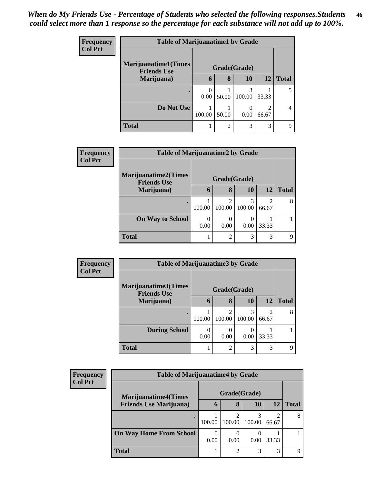| <b>Frequency</b> | <b>Table of Marijuanatime1 by Grade</b>           |              |       |             |                         |                |  |
|------------------|---------------------------------------------------|--------------|-------|-------------|-------------------------|----------------|--|
| <b>Col Pct</b>   | <b>Marijuanatime1(Times</b><br><b>Friends Use</b> | Grade(Grade) |       |             |                         |                |  |
|                  | Marijuana)                                        | 6            | 8     | 10          | 12                      | <b>Total</b>   |  |
|                  |                                                   | 0.00         | 50.00 | 3<br>100.00 | 33.33                   |                |  |
|                  | Do Not Use                                        | 100.00       | 50.00 | 0.00        | $\mathfrak{D}$<br>66.67 | $\overline{4}$ |  |
|                  | <b>Total</b>                                      |              | 2     | 3           | 3                       | Q              |  |

| <b>Frequency</b> | <b>Table of Marijuanatime2 by Grade</b>           |              |                          |                          |                         |              |
|------------------|---------------------------------------------------|--------------|--------------------------|--------------------------|-------------------------|--------------|
| <b>Col Pct</b>   | <b>Marijuanatime2(Times</b><br><b>Friends Use</b> | Grade(Grade) |                          |                          |                         |              |
|                  | Marijuana)                                        | 6            | 8                        | 10                       | 12                      | <b>Total</b> |
|                  |                                                   | 100.00       | $\mathfrak{D}$<br>100.00 | 3<br>100.00              | $\mathfrak{D}$<br>66.67 | 8            |
|                  | <b>On Way to School</b>                           | 0<br>0.00    | 0<br>0.00                | $\left( \right)$<br>0.00 | 33.33                   |              |
|                  | <b>Total</b>                                      |              | $\overline{2}$           | 3                        | 3                       | Q            |

| <b>Frequency</b> | <b>Table of Marijuanatime3 by Grade</b> |              |                          |        |            |              |  |
|------------------|-----------------------------------------|--------------|--------------------------|--------|------------|--------------|--|
| <b>Col Pct</b>   | Marijuanatime3(Times                    | Grade(Grade) |                          |        |            |              |  |
|                  | <b>Friends Use</b><br>Marijuana)        | 6            | 8                        | 10     | 12         | <b>Total</b> |  |
|                  |                                         | 100.00       | $\mathfrak{D}$<br>100.00 | 100.00 | 2<br>66.67 | 8            |  |
|                  | <b>During School</b>                    | 0.00         | 0<br>0.00                | 0.00   | 33.33      |              |  |
|                  | <b>Total</b>                            |              | $\overline{2}$           | 3      | 3          | Q            |  |

| Frequency      | <b>Table of Marijuanatime4 by Grade</b> |              |        |             |            |              |
|----------------|-----------------------------------------|--------------|--------|-------------|------------|--------------|
| <b>Col Pct</b> | <b>Marijuanatime4(Times</b>             | Grade(Grade) |        |             |            |              |
|                | <b>Friends Use Marijuana</b> )          | 6            | 8      | 10          | 12         | <b>Total</b> |
|                |                                         | 100.00       | 100.00 | 3<br>100.00 | ി<br>66.67 | 8            |
|                | <b>On Way Home From School</b>          | 0.00         | 0.00   | 0.00        | 33.33      |              |
|                | <b>Total</b>                            |              | ↑      | 3           | 3          |              |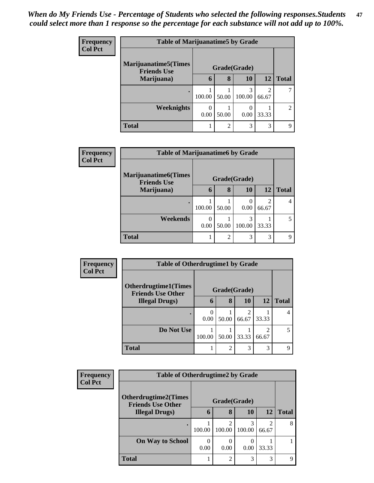| <b>Frequency</b> | <b>Table of Marijuanatime5 by Grade</b>            |              |                |             |                         |                |  |
|------------------|----------------------------------------------------|--------------|----------------|-------------|-------------------------|----------------|--|
| <b>Col Pct</b>   | <b>Marijuanatime5</b> (Times<br><b>Friends Use</b> | Grade(Grade) |                |             |                         |                |  |
|                  | Marijuana)                                         | 6            | 8              | <b>10</b>   | <b>12</b>               | <b>Total</b>   |  |
|                  |                                                    | 100.00       | 50.00          | 3<br>100.00 | $\mathfrak{D}$<br>66.67 |                |  |
|                  | <b>Weeknights</b>                                  | 0.00         | 50.00          | 0.00        | 33.33                   | $\mathfrak{D}$ |  |
|                  | <b>Total</b>                                       |              | $\mathfrak{D}$ | 3           | 3                       | Q              |  |

| <b>Frequency</b><br><b>Col Pct</b> | <b>Table of Marijuanatime6 by Grade</b>           |              |                |             |                         |              |  |
|------------------------------------|---------------------------------------------------|--------------|----------------|-------------|-------------------------|--------------|--|
|                                    | <b>Marijuanatime6(Times</b><br><b>Friends Use</b> | Grade(Grade) |                |             |                         |              |  |
|                                    | Marijuana)                                        | 6            | 8              | 10          | 12                      | <b>Total</b> |  |
|                                    |                                                   | 100.00       | 50.00          | 0<br>0.00   | $\overline{2}$<br>66.67 |              |  |
|                                    | Weekends                                          | 0.00         | 50.00          | 3<br>100.00 | 33.33                   | 5            |  |
|                                    | <b>Total</b>                                      |              | $\mathfrak{D}$ | 3           | 3                       | Q            |  |

| <b>Frequency</b> | <b>Table of Otherdrugtime1 by Grade</b>                 |              |                |       |           |              |  |
|------------------|---------------------------------------------------------|--------------|----------------|-------|-----------|--------------|--|
| <b>Col Pct</b>   | <b>Otherdrugtime1(Times</b><br><b>Friends Use Other</b> | Grade(Grade) |                |       |           |              |  |
|                  | <b>Illegal Drugs</b> )                                  | 6            | 8              | 10    | <b>12</b> | <b>Total</b> |  |
|                  |                                                         | 0.00         | 50.00          | 66.67 | 33.33     | 4            |  |
|                  | Do Not Use                                              | 100.00       | 50.00          | 33.33 | 66.67     | 5            |  |
|                  | <b>Total</b>                                            |              | $\overline{2}$ | 3     | 3         | Q            |  |

| Frequency      |                                                         | <b>Table of Otherdrugtime2 by Grade</b> |                          |             |            |              |  |  |
|----------------|---------------------------------------------------------|-----------------------------------------|--------------------------|-------------|------------|--------------|--|--|
| <b>Col Pct</b> | <b>Otherdrugtime2(Times</b><br><b>Friends Use Other</b> | Grade(Grade)                            |                          |             |            |              |  |  |
|                | <b>Illegal Drugs</b> )                                  | 6                                       | 8                        | 10          | 12         | <b>Total</b> |  |  |
|                |                                                         | 100.00                                  | $\mathfrak{D}$<br>100.00 | 3<br>100.00 | 2<br>66.67 | 8            |  |  |
|                | <b>On Way to School</b>                                 | 0.00                                    | 0.00                     | 0.00        | 33.33      |              |  |  |
|                | <b>Total</b>                                            |                                         | $\overline{2}$           | 3           | 3          | Q            |  |  |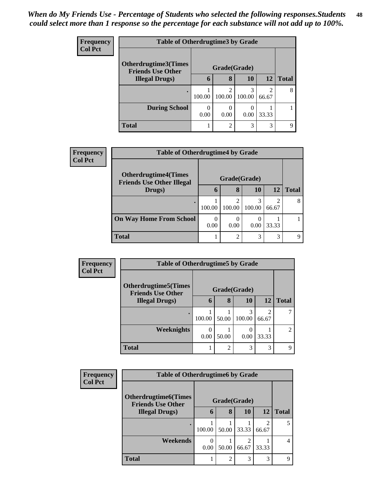| <b>Frequency</b> | <b>Table of Otherdrugtime3 by Grade</b>          |                  |                          |        |                         |              |
|------------------|--------------------------------------------------|------------------|--------------------------|--------|-------------------------|--------------|
| <b>Col Pct</b>   | Otherdrugtime3(Times<br><b>Friends Use Other</b> |                  | Grade(Grade)             |        |                         |              |
|                  | <b>Illegal Drugs</b> )                           | $\mathbf b$      | 8                        | 10     | 12                      | <b>Total</b> |
|                  |                                                  | 100.00           | $\mathfrak{D}$<br>100.00 | 100.00 | $\overline{2}$<br>66.67 | 8            |
|                  | <b>During School</b>                             | $\Omega$<br>0.00 | 0.00                     | 0.00   | 33.33                   |              |
|                  | <b>Total</b>                                     |                  | $\mathfrak{D}$           | 3      | 3                       | Q            |

| Frequency      | <b>Table of Otherdrugtime4 by Grade</b>                         |              |                |             |            |              |
|----------------|-----------------------------------------------------------------|--------------|----------------|-------------|------------|--------------|
| <b>Col Pct</b> | <b>Otherdrugtime4(Times</b><br><b>Friends Use Other Illegal</b> | Grade(Grade) |                |             |            |              |
|                | Drugs)                                                          | 6            | 8              | 10          | 12         | <b>Total</b> |
|                |                                                                 | 100.00       | ာ<br>100.00    | 3<br>100.00 | ി<br>66.67 | 8            |
|                | <b>On Way Home From School</b>                                  | 0<br>0.00    | 0.00           | 0.00        | 33.33      |              |
|                | <b>Total</b>                                                    |              | $\mathfrak{D}$ | 3           | 3          | 9            |

| <b>Frequency</b> | <b>Table of Otherdrugtime5 by Grade</b>                  |              |       |           |            |                |  |  |
|------------------|----------------------------------------------------------|--------------|-------|-----------|------------|----------------|--|--|
| <b>Col Pct</b>   | <b>Otherdrugtime5</b> (Times<br><b>Friends Use Other</b> | Grade(Grade) |       |           |            |                |  |  |
|                  | <b>Illegal Drugs</b> )                                   | $\mathbf b$  | 8     | <b>10</b> | 12         | <b>Total</b>   |  |  |
|                  |                                                          | 100.00       | 50.00 | 100.00    | ∍<br>66.67 |                |  |  |
|                  | <b>Weeknights</b>                                        | 0.00         | 50.00 | 0.00      | 33.33      | $\overline{2}$ |  |  |
|                  | <b>Total</b>                                             |              | ∍     | 3         | 3          | q              |  |  |

| <b>Frequency</b> | <b>Table of Otherdrugtime6 by Grade</b>                  |           |                |                         |           |              |  |
|------------------|----------------------------------------------------------|-----------|----------------|-------------------------|-----------|--------------|--|
| <b>Col Pct</b>   | <b>Otherdrugtime6</b> (Times<br><b>Friends Use Other</b> |           | Grade(Grade)   |                         |           |              |  |
|                  | <b>Illegal Drugs)</b>                                    | 6         | 8              | 10                      | <b>12</b> | <b>Total</b> |  |
|                  |                                                          | 100.00    | 50.00          | 33.33                   | 66.67     | 5            |  |
|                  | Weekends                                                 | 0<br>0.00 | 50.00          | $\mathfrak{D}$<br>66.67 | 33.33     | 4            |  |
|                  | <b>Total</b>                                             |           | $\overline{c}$ | 3                       | 3         | q            |  |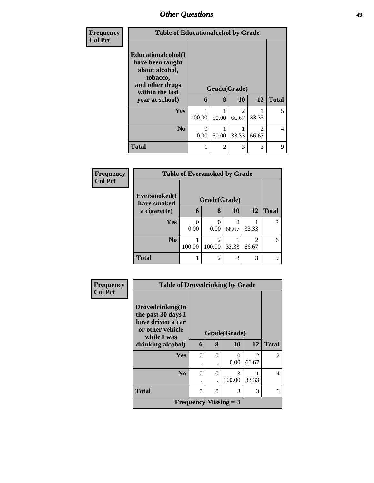| Frequency      | <b>Table of Educationalcohol by Grade</b>                                                                                     |           |       |                         |                                      |                |
|----------------|-------------------------------------------------------------------------------------------------------------------------------|-----------|-------|-------------------------|--------------------------------------|----------------|
| <b>Col Pct</b> | Educationalcohol(I<br>have been taught<br>about alcohol,<br>tobacco,<br>and other drugs<br>within the last<br>year at school) | 6         | 8     | Grade(Grade)<br>10      | 12                                   | <b>Total</b>   |
|                | <b>Yes</b>                                                                                                                    | 100.00    | 50.00 | $\mathfrak{D}$<br>66.67 | 33.33                                | 5              |
|                | N <sub>o</sub>                                                                                                                | 0<br>0.00 | 50.00 | 33.33                   | $\mathcal{D}_{\mathcal{L}}$<br>66.67 | $\overline{4}$ |
|                | <b>Total</b>                                                                                                                  |           | 2     | 3                       | 3                                    | 9              |

| Frequency      |                             | <b>Table of Eversmoked by Grade</b> |                |           |                         |              |
|----------------|-----------------------------|-------------------------------------|----------------|-----------|-------------------------|--------------|
| <b>Col Pct</b> |                             |                                     |                |           |                         |              |
|                | Eversmoked(I<br>have smoked |                                     | Grade(Grade)   |           |                         |              |
|                | a cigarette)                | 6                                   | 8              | <b>10</b> | 12                      | <b>Total</b> |
|                | Yes                         | 0.00                                | 0.00           | 66.67     | 33.33                   | 3            |
|                | N <sub>0</sub>              | 100.00                              | 100.00         | 33.33     | $\overline{2}$<br>66.67 | 6            |
|                | <b>Total</b>                |                                     | $\overline{c}$ | 3         | 3                       | q            |

| Frequency      | <b>Table of Drovedrinking by Grade</b>                                                         |          |          |                              |                |                |
|----------------|------------------------------------------------------------------------------------------------|----------|----------|------------------------------|----------------|----------------|
| <b>Col Pct</b> | Drovedrinking(In<br>the past 30 days I<br>have driven a car<br>or other vehicle<br>while I was |          |          | Grade(Grade)                 |                |                |
|                | drinking alcohol)                                                                              | 6        | 8        | 10                           | 12             | <b>Total</b>   |
|                | <b>Yes</b>                                                                                     | $\Omega$ | $\theta$ | 0                            | $\mathfrak{D}$ | $\mathfrak{D}$ |
|                |                                                                                                |          |          | 0.00                         | 66.67          |                |
|                | $\bf No$                                                                                       | 0        | $\Omega$ | 3                            |                | 4              |
|                |                                                                                                |          |          | 100.00                       | 33.33          |                |
|                | <b>Total</b>                                                                                   | 0        | $\Omega$ | 3                            | 3              | 6              |
|                |                                                                                                |          |          | <b>Frequency Missing = 3</b> |                |                |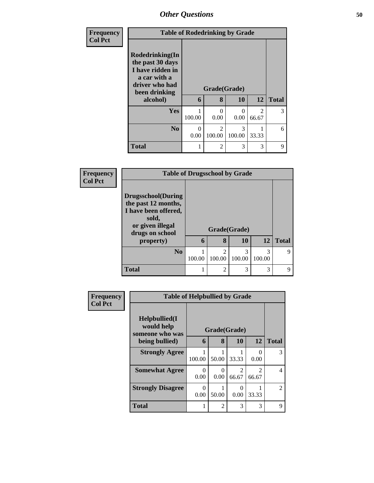| Frequency<br><b>Col Pct</b> | <b>Table of Rodedrinking by Grade</b>                                                                                  |           |                          |             |                        |              |
|-----------------------------|------------------------------------------------------------------------------------------------------------------------|-----------|--------------------------|-------------|------------------------|--------------|
|                             | Rodedrinking(In<br>the past 30 days<br>I have ridden in<br>a car with a<br>driver who had<br>been drinking<br>alcohol) | 6         | Grade(Grade)<br>8        | 10          | 12                     | <b>Total</b> |
|                             | Yes                                                                                                                    | 100.00    | 0<br>0.00                | 0<br>0.00   | $\mathcal{D}$<br>66.67 | 3            |
|                             | N <sub>0</sub>                                                                                                         | 0<br>0.00 | $\mathfrak{D}$<br>100.00 | 3<br>100.00 | 33.33                  | 6            |
|                             | <b>Total</b>                                                                                                           |           | 2                        | 3           | 3                      | $\mathbf Q$  |

| Frequency      | <b>Table of Drugsschool by Grade</b>                                                                                      |        |                          |             |             |              |
|----------------|---------------------------------------------------------------------------------------------------------------------------|--------|--------------------------|-------------|-------------|--------------|
| <b>Col Pct</b> | <b>Drugsschool</b> (During<br>the past 12 months,<br>I have been offered,<br>sold,<br>or given illegal<br>drugs on school |        | Grade(Grade)             |             |             |              |
|                | property)                                                                                                                 | 6      | 8                        | 10          | <b>12</b>   | <b>Total</b> |
|                | N <sub>0</sub>                                                                                                            | 100.00 | $\overline{c}$<br>100.00 | 3<br>100.00 | 3<br>100.00 | Q            |
|                | <b>Total</b>                                                                                                              |        | $\overline{c}$           | 3           | 3           | Q            |

| <b>Frequency</b> |                                                | <b>Table of Helpbullied by Grade</b> |                |                                      |                                      |                |  |
|------------------|------------------------------------------------|--------------------------------------|----------------|--------------------------------------|--------------------------------------|----------------|--|
| <b>Col Pct</b>   | Helpbullied(I<br>would help<br>someone who was |                                      | Grade(Grade)   |                                      |                                      |                |  |
|                  | being bullied)                                 | 6                                    | 8              | <b>10</b>                            | 12                                   | <b>Total</b>   |  |
|                  | <b>Strongly Agree</b>                          | 100.00                               | 50.00          | 33.33                                | $\mathbf{\Omega}$<br>0.00            | 3              |  |
|                  | <b>Somewhat Agree</b>                          | 0<br>0.00                            | 0<br>0.00      | $\mathcal{D}_{\mathcal{L}}$<br>66.67 | $\mathcal{D}_{\mathcal{L}}$<br>66.67 | $\overline{4}$ |  |
|                  | <b>Strongly Disagree</b>                       | 0<br>0.00                            | 50.00          | 0<br>0.00                            | 33.33                                | $\mathfrak{D}$ |  |
|                  | <b>Total</b>                                   |                                      | $\mathfrak{D}$ | 3                                    | 3                                    | 9              |  |

I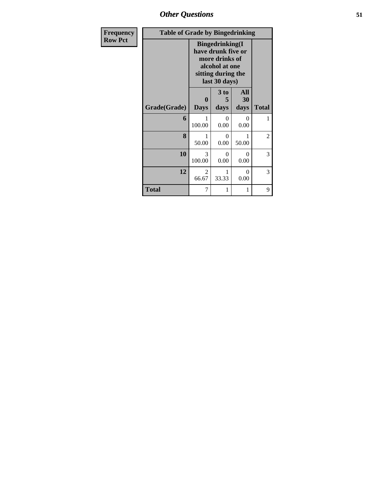| <b>Frequency</b> | <b>Table of Grade by Bingedrinking</b> |                                                                                                                          |                   |                   |                |
|------------------|----------------------------------------|--------------------------------------------------------------------------------------------------------------------------|-------------------|-------------------|----------------|
| <b>Row Pct</b>   |                                        | <b>Bingedrinking</b> (I<br>have drunk five or<br>more drinks of<br>alcohol at one<br>sitting during the<br>last 30 days) |                   |                   |                |
|                  | Grade(Grade)                           | $\bf{0}$<br><b>Days</b>                                                                                                  | 3 to<br>5<br>days | All<br>30<br>days | <b>Total</b>   |
|                  |                                        |                                                                                                                          |                   |                   |                |
|                  | 6                                      | 1<br>100.00                                                                                                              | $\Omega$<br>0.00  | $\Omega$<br>0.00  | 1              |
|                  | 8                                      | 1<br>50.00                                                                                                               | $\Omega$<br>0.00  | 1<br>50.00        | $\overline{2}$ |
|                  | 10                                     | 3<br>100.00                                                                                                              | $\theta$<br>0.00  | $\Omega$<br>0.00  | 3              |
|                  | 12                                     | 2<br>66.67                                                                                                               | 1<br>33.33        | $\Omega$<br>0.00  | 3              |
|                  | <b>Total</b>                           | 7                                                                                                                        | 1                 | 1                 | 9              |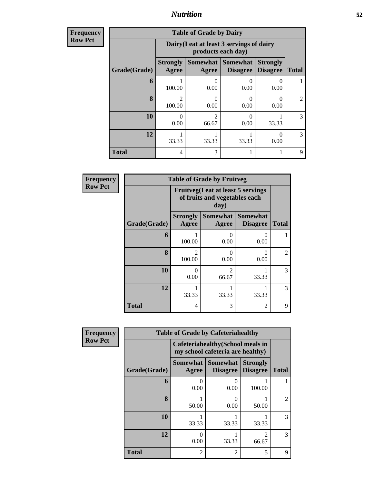### *Nutrition* **52**

| Frequency |
|-----------|
| Row Pct   |

| <b>Table of Grade by Dairy</b> |                          |                                                                 |                                    |                                    |               |  |  |  |  |
|--------------------------------|--------------------------|-----------------------------------------------------------------|------------------------------------|------------------------------------|---------------|--|--|--|--|
|                                |                          | Dairy (I eat at least 3 servings of dairy<br>products each day) |                                    |                                    |               |  |  |  |  |
| Grade(Grade)                   | <b>Strongly</b><br>Agree | <b>Somewhat</b><br><b>Agree</b>                                 | <b>Somewhat</b><br><b>Disagree</b> | <b>Strongly</b><br><b>Disagree</b> | <b>Total</b>  |  |  |  |  |
| 6                              | 100.00                   | 0.00                                                            | $\left( \right)$<br>0.00           | $\mathbf{\Omega}$<br>0.00          |               |  |  |  |  |
| 8                              | $\mathfrak{D}$<br>100.00 | 0.00                                                            | $\mathcal{O}$<br>0.00              | $\mathbf{\Omega}$<br>0.00          | $\mathcal{L}$ |  |  |  |  |
| 10                             | 0<br>0.00                | 66.67                                                           | 0<br>0.00                          | 33.33                              | 3             |  |  |  |  |
| 12                             | 33.33                    | 33.33                                                           | 33.33                              | 0<br>0.00                          | 3             |  |  |  |  |
| <b>Total</b>                   | 4                        | 3                                                               |                                    |                                    | 9             |  |  |  |  |

| <b>Frequency</b> | <b>Table of Grade by Fruitveg</b>                                                   |                          |                          |                                    |                             |  |  |  |
|------------------|-------------------------------------------------------------------------------------|--------------------------|--------------------------|------------------------------------|-----------------------------|--|--|--|
| <b>Row Pct</b>   | <b>Fruitveg</b> (I eat at least 5 servings<br>of fruits and vegetables each<br>day) |                          |                          |                                    |                             |  |  |  |
|                  | Grade(Grade)                                                                        | <b>Strongly</b><br>Agree | <b>Somewhat</b><br>Agree | <b>Somewhat</b><br><b>Disagree</b> | <b>Total</b>                |  |  |  |
|                  | 6                                                                                   | 100.00                   | 0.00                     | $\Omega$<br>0.00                   |                             |  |  |  |
|                  | 8                                                                                   | $\mathcal{D}$<br>100.00  | 0<br>0.00                | $\Omega$<br>0.00                   | $\mathcal{D}_{\mathcal{L}}$ |  |  |  |
|                  | 10                                                                                  | $\Omega$<br>0.00         | $\mathfrak{D}$<br>66.67  | 33.33                              | 3                           |  |  |  |
|                  | 12                                                                                  | 33.33                    | 33.33                    | 33.33                              | 3                           |  |  |  |
|                  | <b>Total</b>                                                                        | 4                        | 3                        | 2                                  | 9                           |  |  |  |

| Frequency      |              | <b>Table of Grade by Cafeteriahealthy</b> |                                                                       |                                    |                |
|----------------|--------------|-------------------------------------------|-----------------------------------------------------------------------|------------------------------------|----------------|
| <b>Row Pct</b> |              |                                           | Cafeteriahealthy (School meals in<br>my school cafeteria are healthy) |                                    |                |
|                | Grade(Grade) | <b>Somewhat</b><br>Agree                  | <b>Somewhat</b><br><b>Disagree</b>                                    | <b>Strongly</b><br><b>Disagree</b> | <b>Total</b>   |
|                | 6            | $\mathbf{\Omega}$<br>0.00                 | 0<br>0.00                                                             | 100.00                             |                |
|                | 8            | 50.00                                     | $\mathcal{O}$<br>0.00                                                 | 50.00                              | $\overline{c}$ |
|                | 10           | 33.33                                     | 33.33                                                                 | 33.33                              | 3              |
|                | 12           | 0<br>0.00                                 | 33.33                                                                 | っ<br>66.67                         | 3              |
|                | <b>Total</b> | 2                                         | 2                                                                     | 5                                  | 9              |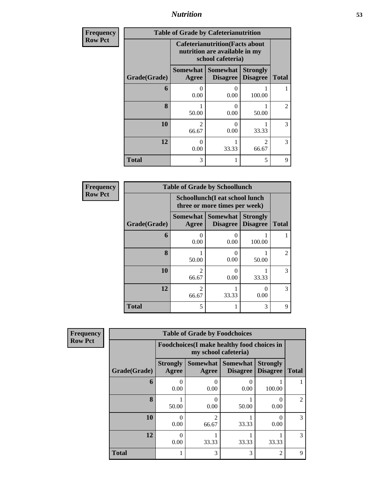*Nutrition* **53**

| <b>Frequency</b> | <b>Table of Grade by Cafeterianutrition</b> |                                                                                              |                                    |                                    |                |  |  |
|------------------|---------------------------------------------|----------------------------------------------------------------------------------------------|------------------------------------|------------------------------------|----------------|--|--|
| <b>Row Pct</b>   |                                             | <b>Cafeterianutrition</b> (Facts about<br>nutrition are available in my<br>school cafeteria) |                                    |                                    |                |  |  |
|                  | Grade(Grade)                                | <b>Somewhat</b><br>Agree                                                                     | <b>Somewhat</b><br><b>Disagree</b> | <b>Strongly</b><br><b>Disagree</b> | <b>Total</b>   |  |  |
|                  | 6                                           | 0.00                                                                                         | 0<br>0.00                          | 100.00                             |                |  |  |
|                  | 8                                           | 50.00                                                                                        | 0<br>0.00                          | 50.00                              | $\overline{c}$ |  |  |
|                  | 10                                          | $\mathfrak{D}$<br>66.67                                                                      | $\Omega$<br>0.00                   | 33.33                              | 3              |  |  |
|                  | 12                                          | 0<br>0.00                                                                                    | 33.33                              | $\mathfrak{D}$<br>66.67            | 3              |  |  |
|                  | <b>Total</b>                                | 3                                                                                            |                                    | 5                                  | 9              |  |  |

| <b>Frequency</b> |              | <b>Table of Grade by Schoollunch</b>                            |                                    |                                    |                |
|------------------|--------------|-----------------------------------------------------------------|------------------------------------|------------------------------------|----------------|
| <b>Row Pct</b>   |              | Schoollunch(I eat school lunch<br>three or more times per week) |                                    |                                    |                |
|                  | Grade(Grade) | Somewhat  <br>Agree                                             | <b>Somewhat</b><br><b>Disagree</b> | <b>Strongly</b><br><b>Disagree</b> | <b>Total</b>   |
|                  | 6            | $\mathcal{O}$<br>0.00                                           | 0.00                               | 100.00                             |                |
|                  | 8            | 50.00                                                           | 0.00                               | 50.00                              | $\mathfrak{D}$ |
|                  | 10           | 2<br>66.67                                                      | 0.00                               | 33.33                              | 3              |
|                  | 12           | $\mathfrak{D}$<br>66.67                                         | 33.33                              | ∩<br>0.00                          | 3              |
|                  | <b>Total</b> | 5                                                               |                                    | 3                                  | 9              |

| icy | <b>Table of Grade by Foodchoices</b> |                          |                                                                                                                                                                          |                 |                                    |                |  |  |  |
|-----|--------------------------------------|--------------------------|--------------------------------------------------------------------------------------------------------------------------------------------------------------------------|-----------------|------------------------------------|----------------|--|--|--|
|     |                                      |                          | Foodchoices (I make healthy food choices in<br>my school cafeteria)                                                                                                      |                 |                                    |                |  |  |  |
|     | Grade(Grade)                         | <b>Strongly</b><br>Agree | Somewhat Somewhat<br>Agree                                                                                                                                               | <b>Disagree</b> | <b>Strongly</b><br><b>Disagree</b> | <b>Total</b>   |  |  |  |
|     | 6                                    | ∩<br>0.00                | 0.00                                                                                                                                                                     | 0.00            | 100.00                             |                |  |  |  |
|     | 8                                    | 50.00                    | 0.00                                                                                                                                                                     | 50.00           | 0<br>0.00                          | $\mathfrak{D}$ |  |  |  |
|     | 10                                   | 0<br>0.00                | $\mathcal{D}_{\mathcal{A}}^{\mathcal{A}}(\mathcal{A})=\mathcal{D}_{\mathcal{A}}^{\mathcal{A}}(\mathcal{A})\mathcal{D}_{\mathcal{A}}^{\mathcal{A}}(\mathcal{A})$<br>66.67 | 33.33           | 0<br>0.00                          | 3              |  |  |  |
|     | 12                                   | 0<br>0.00                | 33.33                                                                                                                                                                    | 33.33           | 33.33                              | 3              |  |  |  |
|     | <b>Total</b>                         |                          | 3                                                                                                                                                                        | 3               | $\overline{2}$                     | $\mathbf Q$    |  |  |  |

**Frequency Row Pct**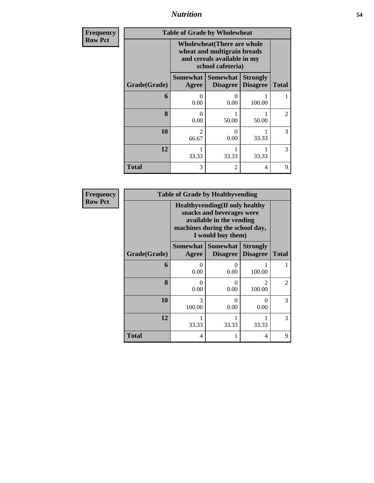*Nutrition* **54**

| <b>Frequency</b> | <b>Table of Grade by Wholewheat</b> |                                                                                                                       |                                    |                                    |                |  |
|------------------|-------------------------------------|-----------------------------------------------------------------------------------------------------------------------|------------------------------------|------------------------------------|----------------|--|
| <b>Row Pct</b>   |                                     | <b>Wholewheat</b> (There are whole<br>wheat and multigrain breads<br>and cereals available in my<br>school cafeteria) |                                    |                                    |                |  |
|                  | Grade(Grade)                        | Somewhat  <br>Agree                                                                                                   | <b>Somewhat</b><br><b>Disagree</b> | <b>Strongly</b><br><b>Disagree</b> | <b>Total</b>   |  |
|                  | 6                                   | 0<br>0.00                                                                                                             | 0<br>0.00                          | 100.00                             |                |  |
|                  | $\mathbf{8}$                        | 0<br>0.00                                                                                                             | 50.00                              | 50.00                              | $\mathfrak{D}$ |  |
|                  | 10                                  | $\mathfrak{D}$<br>66.67                                                                                               | $\theta$<br>0.00                   | 33.33                              | 3              |  |
|                  | 12                                  | 33.33                                                                                                                 | 33.33                              | 33.33                              | 3              |  |
|                  | Total                               | 3                                                                                                                     | $\overline{2}$                     | 4                                  | 9              |  |

| <b>Frequency</b> |              |                     | <b>Table of Grade by Healthyvending</b>                                                                                                                 |                                    |              |
|------------------|--------------|---------------------|---------------------------------------------------------------------------------------------------------------------------------------------------------|------------------------------------|--------------|
| <b>Row Pct</b>   |              |                     | <b>Healthyvending</b> (If only healthy<br>snacks and beverages were<br>available in the vending<br>machines during the school day,<br>I would buy them) |                                    |              |
|                  | Grade(Grade) | Somewhat  <br>Agree | <b>Somewhat</b><br><b>Disagree</b>                                                                                                                      | <b>Strongly</b><br><b>Disagree</b> | <b>Total</b> |
|                  | 6            | 0<br>0.00           | 0<br>0.00                                                                                                                                               | 100.00                             |              |
|                  | 8            | 0<br>0.00           | 0.00                                                                                                                                                    | $\mathfrak{D}$<br>100.00           | 2            |
|                  | 10           | 3<br>100.00         | 0.00                                                                                                                                                    | 0<br>0.00                          | 3            |
|                  | 12           | 33.33               | 33.33                                                                                                                                                   | 33.33                              | 3            |
|                  | Total        | 4                   |                                                                                                                                                         | 4                                  | 9            |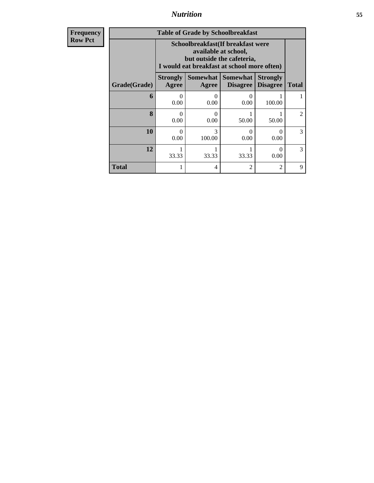### *Nutrition* **55**

**Frequency Row Pct**

| <b>Table of Grade by Schoolbreakfast</b> |                                                                                                                                         |             |                                             |                                    |                             |  |  |  |
|------------------------------------------|-----------------------------------------------------------------------------------------------------------------------------------------|-------------|---------------------------------------------|------------------------------------|-----------------------------|--|--|--|
|                                          | Schoolbreakfast (If breakfast were<br>available at school,<br>but outside the cafeteria,<br>I would eat breakfast at school more often) |             |                                             |                                    |                             |  |  |  |
| Grade(Grade)                             | <b>Strongly</b><br>Agree                                                                                                                | Agree       | <b>Somewhat Somewhat</b><br><b>Disagree</b> | <b>Strongly</b><br><b>Disagree</b> | <b>Total</b>                |  |  |  |
| 6                                        | $\Omega$<br>0.00                                                                                                                        | 0.00        | 0.00                                        | 100.00                             |                             |  |  |  |
| 8                                        | $\Omega$<br>0.00                                                                                                                        | ∩<br>0.00   | 50.00                                       | 50.00                              | $\mathcal{D}_{\mathcal{A}}$ |  |  |  |
| 10                                       | $\Omega$<br>0.00                                                                                                                        | 3<br>100.00 | 0<br>0.00                                   | $\mathbf{\Omega}$<br>0.00          | 3                           |  |  |  |
| 12                                       | $\Omega$<br>33.33<br>33.33<br>33.33<br>0.00                                                                                             |             |                                             |                                    |                             |  |  |  |
| Total                                    |                                                                                                                                         | 4           | 2                                           | $\mathfrak{D}$                     | Q                           |  |  |  |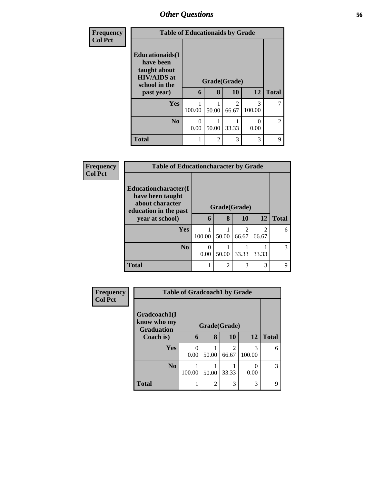| <b>Frequency</b><br><b>Col Pct</b> | <b>Table of Educationaids by Grade</b>                                                      |           |                |                         |             |                |
|------------------------------------|---------------------------------------------------------------------------------------------|-----------|----------------|-------------------------|-------------|----------------|
|                                    | <b>Educationaids</b> (I<br>have been<br>taught about<br><b>HIV/AIDS</b> at<br>school in the |           | Grade(Grade)   |                         |             |                |
|                                    | past year)                                                                                  | 6         | 8              | 10                      | 12          | <b>Total</b>   |
|                                    | Yes                                                                                         | 100.00    | 50.00          | $\mathfrak{D}$<br>66.67 | 3<br>100.00 | 7              |
|                                    | N <sub>0</sub>                                                                              | 0<br>0.00 | 50.00          | 33.33                   | 0<br>0.00   | $\overline{c}$ |
|                                    | <b>Total</b>                                                                                |           | $\mathfrak{D}$ | 3                       | 3           | 9              |

| Frequency      | <b>Table of Educationcharacter by Grade</b>                                                                                                              |           |                   |                                      |                         |              |
|----------------|----------------------------------------------------------------------------------------------------------------------------------------------------------|-----------|-------------------|--------------------------------------|-------------------------|--------------|
| <b>Col Pct</b> | <b>Educationcharacter</b> (I<br>have been taught<br>about character<br>education in the past<br>year at school)<br>Yes<br>N <sub>0</sub><br><b>Total</b> | 6         | Grade(Grade)<br>8 | 10                                   | 12                      | <b>Total</b> |
|                |                                                                                                                                                          | 100.00    | 50.00             | $\mathcal{D}_{\mathcal{L}}$<br>66.67 | $\mathfrak{D}$<br>66.67 | 6            |
|                |                                                                                                                                                          | ∩<br>0.00 | 50.00             | 33.33                                | 33.33                   | 3            |
|                |                                                                                                                                                          |           | $\overline{2}$    | 3                                    | 3                       | 9            |

| Frequency      | <b>Table of Gradcoach1 by Grade</b>              |           |              |                                   |             |              |
|----------------|--------------------------------------------------|-----------|--------------|-----------------------------------|-------------|--------------|
| <b>Col Pct</b> | Gradcoach1(I<br>know who my<br><b>Graduation</b> |           | Grade(Grade) |                                   |             |              |
|                | Coach is)                                        | 6         | 8            | 10                                | 12          | <b>Total</b> |
|                | Yes                                              | 0<br>0.00 | 50.00        | $\overline{\mathcal{L}}$<br>66.67 | 3<br>100.00 | 6            |
|                | N <sub>0</sub>                                   | 100.00    | 50.00        | 33.33                             | 0<br>0.00   | 3            |
|                | <b>Total</b>                                     |           | 2            | 3                                 | 3           | 9            |

L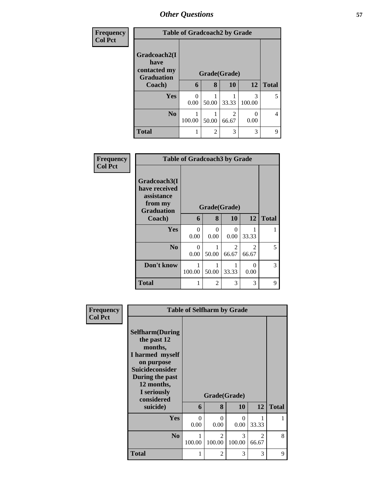| <b>Frequency</b> |                                                           | <b>Table of Gradcoach2 by Grade</b>                                                     |                |            |           |              |  |  |
|------------------|-----------------------------------------------------------|-----------------------------------------------------------------------------------------|----------------|------------|-----------|--------------|--|--|
| <b>Col Pct</b>   | Gradcoach2(I<br>have<br>contacted my<br><b>Graduation</b> | Grade(Grade)<br>8<br>12<br>10<br>6<br>3<br>$\Omega$<br>100.00<br>0.00<br>33.33<br>50.00 |                |            |           |              |  |  |
|                  | Coach)                                                    |                                                                                         |                |            |           | <b>Total</b> |  |  |
|                  | Yes                                                       |                                                                                         |                |            |           | 5            |  |  |
|                  | N <sub>0</sub>                                            | 100.00                                                                                  | 50.00          | 2<br>66.67 | 0<br>0.00 | 4            |  |  |
|                  | <b>Total</b>                                              |                                                                                         | $\overline{2}$ | 3          | 3         | 9            |  |  |

| Frequency<br><b>Col Pct</b> |                                                                             | <b>Table of Gradcoach3 by Grade</b> |                      |            |            |              |  |
|-----------------------------|-----------------------------------------------------------------------------|-------------------------------------|----------------------|------------|------------|--------------|--|
|                             | Gradcoach3(I<br>have received<br>assistance<br>from my<br><b>Graduation</b> |                                     | Grade(Grade)         |            |            |              |  |
|                             | Coach)                                                                      | 6                                   | 8                    | 10         | 12         | <b>Total</b> |  |
|                             | <b>Yes</b>                                                                  | 0<br>0.00                           | $\mathbf{0}$<br>0.00 | 0<br>0.00  | 33.33      |              |  |
|                             | N <sub>0</sub>                                                              | 0<br>0.00                           | 50.00                | 2<br>66.67 | 2<br>66.67 | 5            |  |
|                             | Don't know                                                                  | 100.00                              | 50.00                | 33.33      | 0<br>0.00  | 3            |  |
|                             | <b>Total</b>                                                                |                                     | $\mathfrak{D}$       | 3          | 3          | 9            |  |

| <b>Frequency</b> | <b>Table of Selfharm by Grade</b>    |          |                          |             |                                      |              |
|------------------|--------------------------------------|----------|--------------------------|-------------|--------------------------------------|--------------|
| <b>Col Pct</b>   |                                      |          |                          |             |                                      |              |
|                  | <b>Selfharm</b> (During              |          |                          |             |                                      |              |
|                  | the past 12<br>months,               |          |                          |             |                                      |              |
|                  | I harmed myself                      |          |                          |             |                                      |              |
|                  | on purpose<br><b>Suicideconsider</b> |          |                          |             |                                      |              |
|                  | During the past                      |          |                          |             |                                      |              |
|                  | 12 months,                           |          |                          |             |                                      |              |
|                  | I seriously<br>considered            |          | Grade(Grade)             |             |                                      |              |
|                  | suicide)                             | 6        | 8                        | 10          | 12                                   | <b>Total</b> |
|                  | Yes                                  | $\Omega$ | $\Omega$                 | $\Omega$    |                                      |              |
|                  |                                      | 0.00     | 0.00                     | 0.00        | 33.33                                |              |
|                  | N <sub>0</sub>                       | 100.00   | $\mathfrak{D}$<br>100.00 | 3<br>100.00 | $\mathcal{D}_{\mathcal{A}}$<br>66.67 | 8            |
|                  |                                      |          |                          |             |                                      |              |
|                  | <b>Total</b>                         | 1        | 2                        | 3           | 3                                    | 9            |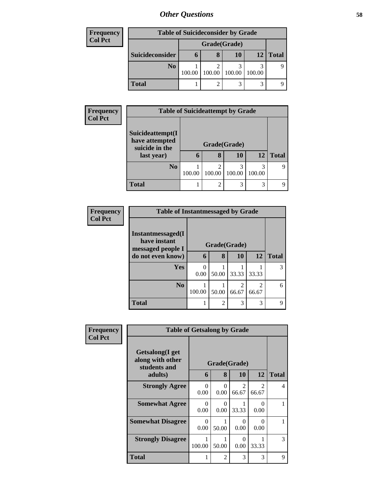| <b>Frequency</b> | <b>Table of Suicideconsider by Grade</b> |        |              |        |        |              |  |
|------------------|------------------------------------------|--------|--------------|--------|--------|--------------|--|
| <b>Col Pct</b>   |                                          |        | Grade(Grade) |        |        |              |  |
|                  | Suicideconsider                          | O      | 8            | 10     | 12     | <b>Total</b> |  |
|                  | N <sub>0</sub>                           | 100.00 | 100.00       | 100.00 | 100.00 |              |  |
|                  | <b>Total</b>                             |        |              | 3      |        |              |  |

| Frequency      | <b>Table of Suicideattempt by Grade</b>              |        |              |             |             |              |
|----------------|------------------------------------------------------|--------|--------------|-------------|-------------|--------------|
| <b>Col Pct</b> | Suicideattempt(I<br>have attempted<br>suicide in the |        | Grade(Grade) |             |             |              |
|                | last year)                                           | h      | 8            | 10          | 12          | <b>Total</b> |
|                | N <sub>0</sub>                                       | 100.00 | 100.00       | 3<br>100.00 | 3<br>100.00 |              |
|                | <b>Total</b>                                         |        | ◠            | 3           | 3           |              |

| <b>Frequency</b> | <b>Table of Instantmessaged by Grade</b>                       |              |                |       |                         |              |
|------------------|----------------------------------------------------------------|--------------|----------------|-------|-------------------------|--------------|
| <b>Col Pct</b>   | <b>Instantmessaged</b> (I<br>have instant<br>messaged people I | Grade(Grade) |                |       |                         |              |
|                  | do not even know)                                              | 6            | 8              | 10    | 12                      | <b>Total</b> |
|                  | Yes                                                            | 0.00         | 50.00          | 33.33 | 33.33                   | 3            |
|                  | N <sub>o</sub>                                                 | 100.00       | 50.00          | 66.67 | $\mathfrak{D}$<br>66.67 | 6            |
|                  | <b>Total</b>                                                   |              | $\overline{2}$ | 3     | 3                       | 9            |

| Frequency<br><b>Col Pct</b> | <b>Table of Getsalong by Grade</b>                  |             |                      |                         |                                      |              |
|-----------------------------|-----------------------------------------------------|-------------|----------------------|-------------------------|--------------------------------------|--------------|
|                             | Getsalong(I get<br>along with other<br>students and |             | Grade(Grade)         |                         |                                      |              |
|                             | adults)                                             | 6           | 8                    | 10                      | 12                                   | <b>Total</b> |
|                             | <b>Strongly Agree</b>                               | 0<br>0.00   | 0.00                 | $\mathfrak{D}$<br>66.67 | $\mathcal{D}_{\mathcal{L}}$<br>66.67 | 4            |
|                             | <b>Somewhat Agree</b>                               | 0<br>0.00   | $\mathbf{0}$<br>0.00 | 33.33                   | $\mathbf{0}$<br>0.00                 |              |
|                             | <b>Somewhat Disagree</b>                            | 0<br>0.00   | 50.00                | 0<br>0.00               | ∩<br>0.00                            |              |
|                             | <b>Strongly Disagree</b>                            | 1<br>100.00 | 50.00                | $\Omega$<br>0.00        | 33.33                                | 3            |
|                             | <b>Total</b>                                        |             | $\overline{c}$       | 3                       | 3                                    | 9            |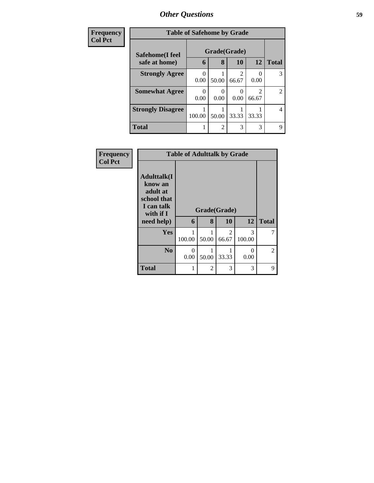| Frequency      | <b>Table of Safehome by Grade</b> |           |                             |            |                         |                |  |  |
|----------------|-----------------------------------|-----------|-----------------------------|------------|-------------------------|----------------|--|--|
| <b>Col Pct</b> | Safehome(I feel                   |           | Grade(Grade)                |            |                         |                |  |  |
|                | safe at home)                     | 6         | 8                           | 10         | 12                      | <b>Total</b>   |  |  |
|                | <b>Strongly Agree</b>             | 0<br>0.00 | 50.00                       | 2<br>66.67 | 0.00                    | 3              |  |  |
|                | <b>Somewhat Agree</b>             | 0<br>0.00 | 0.00                        | 0.00       | $\mathfrak{D}$<br>66.67 | $\overline{2}$ |  |  |
|                | <b>Strongly Disagree</b>          | 100.00    | 50.00                       | 33.33      | 33.33                   | 4              |  |  |
|                | <b>Total</b>                      |           | $\mathcal{D}_{\mathcal{L}}$ | 3          | 3                       | 9              |  |  |

| Frequency      | <b>Table of Adulttalk by Grade</b>                                                                |           |                   |                         |                  |              |  |
|----------------|---------------------------------------------------------------------------------------------------|-----------|-------------------|-------------------------|------------------|--------------|--|
| <b>Col Pct</b> | <b>Adulttalk(I</b><br>know an<br>adult at<br>school that<br>I can talk<br>with if I<br>need help) | 6         | Grade(Grade)<br>8 | 10                      | 12               | <b>Total</b> |  |
|                | <b>Yes</b>                                                                                        | 100.00    | 50.00             | $\mathfrak{D}$<br>66.67 | 3<br>100.00      | 7            |  |
|                | N <sub>0</sub>                                                                                    | 0<br>0.00 | 50.00             | 33.33                   | $\Omega$<br>0.00 | 2            |  |
|                | <b>Total</b>                                                                                      |           | $\mathfrak{D}$    | 3                       | 3                | 9            |  |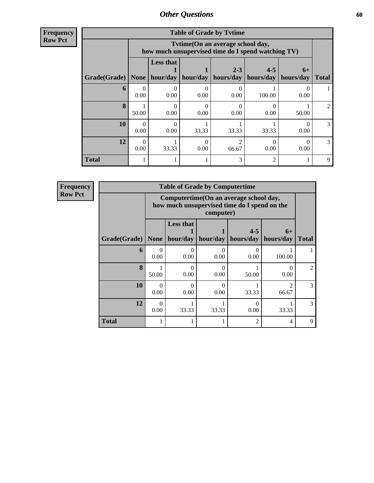**Frequency Row Pct**

|              | <b>Table of Grade by Tytime</b> |                                                                                        |          |                      |                      |                   |                |  |
|--------------|---------------------------------|----------------------------------------------------------------------------------------|----------|----------------------|----------------------|-------------------|----------------|--|
|              |                                 | Tvtime(On an average school day,<br>how much unsupervised time do I spend watching TV) |          |                      |                      |                   |                |  |
| Grade(Grade) | <b>None</b>                     | <b>Less that</b><br>hour/day                                                           | hour/day | $2 - 3$<br>hours/day | $4 - 5$<br>hours/day | $6+$<br>hours/day | <b>Total</b>   |  |
| 6            | 0.00                            | 0.00                                                                                   | 0.00     | 0.00                 | 100.00               | 0.00              |                |  |
| 8            | 50.00                           | 0<br>0.00                                                                              | 0.00     | 0.00                 | 0.00                 | 50.00             | $\overline{2}$ |  |
| 10           | $\Omega$<br>0.00                | 0<br>0.00                                                                              | 33.33    | 33.33                | 33.33                | 0.00              | 3              |  |
| 12           | 0.00                            | 33.33                                                                                  | 0.00     | 66.67                | 0.00                 | 0.00              | 3              |  |
| <b>Total</b> |                                 |                                                                                        |          | 3                    |                      |                   | 9              |  |

**Frequency Row Pct**

|                     | <b>Table of Grade by Computertime</b> |                                                                                                      |                     |                      |                         |                |  |  |
|---------------------|---------------------------------------|------------------------------------------------------------------------------------------------------|---------------------|----------------------|-------------------------|----------------|--|--|
|                     |                                       | Computertime (On an average school day,<br>how much unsupervised time do I spend on the<br>computer) |                     |                      |                         |                |  |  |
| Grade(Grade)   None |                                       | <b>Less that</b>                                                                                     | hour/day   hour/day | $4 - 5$<br>hours/day | $6+$<br>hours/day       | <b>Total</b>   |  |  |
| 6                   | $\Omega$<br>0.00                      | 0.00                                                                                                 | 0<br>0.00           | 0.00                 | 100.00                  |                |  |  |
| $\mathbf{8}$        | 50.00                                 | 0.00                                                                                                 | 0<br>0.00           | 50.00                | $\theta$<br>0.00        | $\mathfrak{D}$ |  |  |
| 10                  | 0<br>0.00                             | 0.00                                                                                                 | 0<br>0.00           | 33.33                | $\mathfrak{D}$<br>66.67 | 3              |  |  |
| 12                  | $\mathcal{O}$<br>0.00                 | 33.33<br>33.33<br>33.33<br>0.00                                                                      |                     |                      |                         |                |  |  |
| <b>Total</b>        |                                       |                                                                                                      |                     | 2                    | 4                       | 9              |  |  |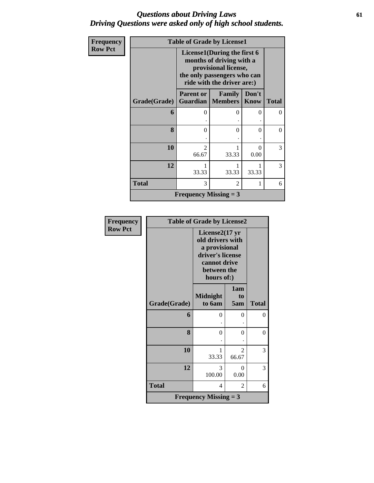### *Questions about Driving Laws* **61** *Driving Questions were asked only of high school students.*

| Frequency      |              | <b>Table of Grade by License1</b>                                                                                                            |                                     |               |              |  |
|----------------|--------------|----------------------------------------------------------------------------------------------------------------------------------------------|-------------------------------------|---------------|--------------|--|
| <b>Row Pct</b> |              | License1(During the first 6<br>months of driving with a<br>provisional license,<br>the only passengers who can<br>ride with the driver are:) |                                     |               |              |  |
|                | Grade(Grade) | <b>Parent or</b>                                                                                                                             | Family<br><b>Guardian</b>   Members | Don't<br>Know | <b>Total</b> |  |
|                | 6            | 0                                                                                                                                            | 0                                   | 0             | $\Omega$     |  |
|                | 8            | 0                                                                                                                                            | 0                                   | 0             | $\Omega$     |  |
|                | 10           | $\mathfrak{D}$<br>66.67                                                                                                                      | 33.33                               | ∩<br>0.00     | 3            |  |
|                | 12           | 33.33                                                                                                                                        | 1<br>33.33                          | 33.33         | 3            |  |
|                | <b>Total</b> | 3                                                                                                                                            | 2                                   | 1             | 6            |  |
|                |              | <b>Frequency Missing = 3</b>                                                                                                                 |                                     |               |              |  |

| Frequency      | <b>Table of Grade by License2</b> |                                                                                                                         |                         |              |  |
|----------------|-----------------------------------|-------------------------------------------------------------------------------------------------------------------------|-------------------------|--------------|--|
| <b>Row Pct</b> |                                   | License $2(17$ yr<br>old drivers with<br>a provisional<br>driver's license<br>cannot drive<br>between the<br>hours of:) |                         |              |  |
|                | Grade(Grade)                      | <b>Midnight</b><br>to 6am                                                                                               | 1am<br>to<br>5am        | <b>Total</b> |  |
|                | 6                                 | 0                                                                                                                       | $\theta$                | 0            |  |
|                | 8                                 | $\theta$                                                                                                                | $\theta$                | 0            |  |
|                | 10                                | 1<br>33.33                                                                                                              | $\mathfrak{D}$<br>66.67 | 3            |  |
|                | 12                                | 3<br>100.00                                                                                                             | $\theta$<br>0.00        | 3            |  |
|                | <b>Total</b>                      | 4                                                                                                                       | 2                       | 6            |  |
|                |                                   | <b>Frequency Missing = 3</b>                                                                                            |                         |              |  |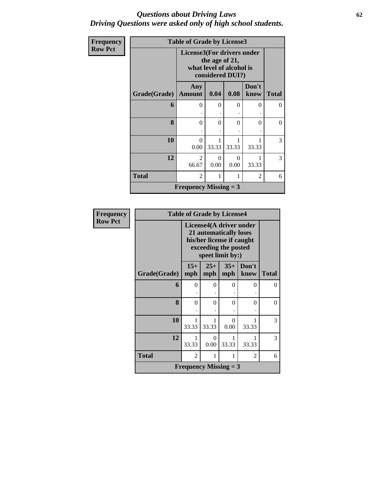#### *Questions about Driving Laws* **62** *Driving Questions were asked only of high school students.*

| Frequency      |              | <b>Table of Grade by License3</b> |                |                                              |                |              |
|----------------|--------------|-----------------------------------|----------------|----------------------------------------------|----------------|--------------|
| <b>Row Pct</b> |              | License3(For drivers under        | the age of 21, | what level of alcohol is<br>considered DUI?) |                |              |
|                | Grade(Grade) | Any<br><b>Amount</b>              | 0.04           | 0.08                                         | Don't<br>know  | <b>Total</b> |
|                | 6            | $\Omega$                          | $\Omega$       | $\Omega$                                     | $\Omega$       | $\Omega$     |
|                | 8            | $\Omega$                          | 0              | $\theta$                                     | 0              | $\theta$     |
|                | 10           | $\Omega$<br>0.00                  | 33.33          | 33.33                                        | 33.33          | 3            |
|                | 12           | 2<br>66.67                        | 0<br>0.00      | $\Omega$<br>0.00                             | 33.33          | 3            |
|                | <b>Total</b> | 2                                 |                | 1                                            | $\overline{2}$ | 6            |
|                |              | <b>Frequency Missing = 3</b>      |                |                                              |                |              |

| <b>Frequency</b> |              | <b>Table of Grade by License4</b>                                                                                          |                  |                |               |              |
|------------------|--------------|----------------------------------------------------------------------------------------------------------------------------|------------------|----------------|---------------|--------------|
| <b>Row Pct</b>   |              | License4(A driver under<br>21 automatically loses<br>his/her license if caught<br>exceeding the posted<br>speet limit by:) |                  |                |               |              |
|                  | Grade(Grade) | $15+$<br>mph                                                                                                               | $25+$<br>mph     | $35+$<br>mph   | Don't<br>know | <b>Total</b> |
|                  | 6            | $\Omega$                                                                                                                   | 0                | 0              | 0             | $\Omega$     |
|                  | 8            | $\Omega$                                                                                                                   | $\Omega$         | $\overline{0}$ | $\theta$      | $\Omega$     |
|                  | 10           | 1<br>33.33                                                                                                                 | 33.33            | 0<br>0.00      | 33.33         | 3            |
|                  | 12           | 33.33                                                                                                                      | $\Omega$<br>0.00 | 1<br>33.33     | 1<br>33.33    | 3            |
|                  | <b>Total</b> | $\mathfrak{D}$                                                                                                             | 1                | 1              | 2             | 6            |
|                  |              | <b>Frequency Missing = 3</b>                                                                                               |                  |                |               |              |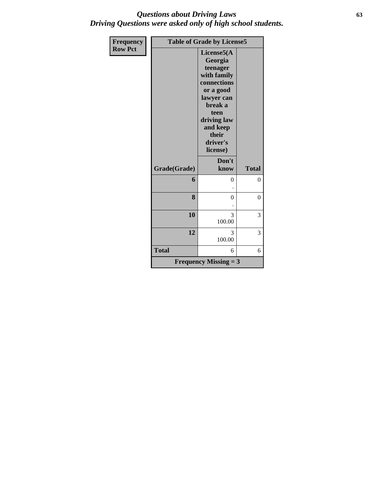### *Questions about Driving Laws* **63** *Driving Questions were asked only of high school students.*

| <b>Frequency</b> |              | <b>Table of Grade by License5</b>                                                                                                                                         |              |  |  |  |  |
|------------------|--------------|---------------------------------------------------------------------------------------------------------------------------------------------------------------------------|--------------|--|--|--|--|
| <b>Row Pct</b>   |              | License5(A<br>Georgia<br>teenager<br>with family<br>connections<br>or a good<br>lawyer can<br>break a<br>teen<br>driving law<br>and keep<br>their<br>driver's<br>license) |              |  |  |  |  |
|                  | Grade(Grade) | Don't<br>know                                                                                                                                                             | <b>Total</b> |  |  |  |  |
|                  | 6            | $\theta$                                                                                                                                                                  | $\theta$     |  |  |  |  |
|                  | 8            | $\theta$                                                                                                                                                                  | $\theta$     |  |  |  |  |
|                  | 10           | 3<br>100.00                                                                                                                                                               | 3            |  |  |  |  |
|                  | 12           | 3<br>100.00                                                                                                                                                               | 3            |  |  |  |  |
|                  | <b>Total</b> | 6                                                                                                                                                                         | 6            |  |  |  |  |
|                  |              | <b>Frequency Missing = 3</b>                                                                                                                                              |              |  |  |  |  |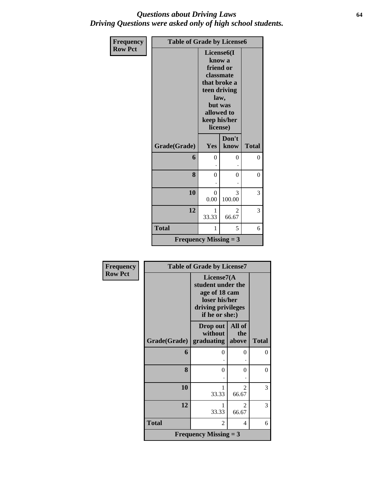### *Questions about Driving Laws* **64** *Driving Questions were asked only of high school students.*

| <b>Frequency</b> | <b>Table of Grade by License6</b> |                                                                                                                                                          |                         |                |
|------------------|-----------------------------------|----------------------------------------------------------------------------------------------------------------------------------------------------------|-------------------------|----------------|
| <b>Row Pct</b>   |                                   | License <sub>6</sub> (I<br>know a<br>friend or<br>classmate<br>that broke a<br>teen driving<br>law,<br>but was<br>allowed to<br>keep his/her<br>license) |                         |                |
|                  | Grade(Grade)                      | Yes                                                                                                                                                      | Don't<br>know           | <b>Total</b>   |
|                  | 6                                 | $\Omega$                                                                                                                                                 | 0                       | $\overline{0}$ |
|                  | 8                                 | $\theta$                                                                                                                                                 | 0                       | $\overline{0}$ |
|                  | 10                                | $\theta$<br>0.00                                                                                                                                         | 3<br>100.00             | 3              |
|                  | 12                                | 1<br>33.33                                                                                                                                               | $\mathfrak{D}$<br>66.67 | 3              |
|                  | <b>Total</b>                      | 1                                                                                                                                                        | 5                       | 6              |
|                  | <b>Frequency Missing = 3</b>      |                                                                                                                                                          |                         |                |

| <b>Frequency</b> | <b>Table of Grade by License7</b> |                                                                                                               |                                      |              |
|------------------|-----------------------------------|---------------------------------------------------------------------------------------------------------------|--------------------------------------|--------------|
| <b>Row Pct</b>   |                                   | License $7(A)$<br>student under the<br>age of 18 cam<br>loser his/her<br>driving privileges<br>if he or she:) |                                      |              |
|                  | Grade(Grade)                      | Drop out<br>without<br>graduating                                                                             | All of<br>the<br>above               | <b>Total</b> |
|                  | 6                                 | 0                                                                                                             | 0                                    | 0            |
|                  | 8                                 | $\Omega$                                                                                                      | 0                                    | $\theta$     |
|                  | 10                                | 33.33                                                                                                         | $\mathfrak{D}$<br>66.67              | 3            |
|                  | 12                                | 1<br>33.33                                                                                                    | $\mathcal{D}_{\mathcal{L}}$<br>66.67 | 3            |
|                  | <b>Total</b>                      | 2                                                                                                             | 4                                    | 6            |
|                  |                                   | <b>Frequency Missing = 3</b>                                                                                  |                                      |              |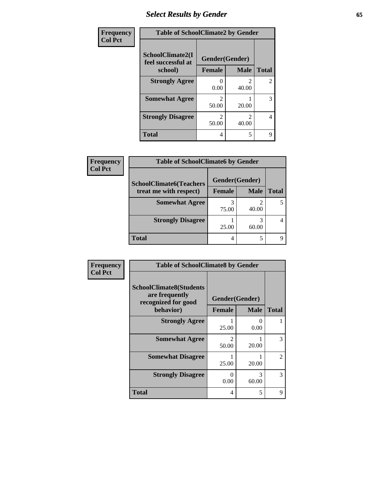### *Select Results by Gender* **65**

| Frequency      | <b>Table of SchoolClimate2 by Gender</b> |                         |                |                |
|----------------|------------------------------------------|-------------------------|----------------|----------------|
| <b>Col Pct</b> | SchoolClimate2(I<br>feel successful at   |                         | Gender(Gender) |                |
|                | school)                                  | <b>Female</b>           | <b>Male</b>    | <b>Total</b>   |
|                | <b>Strongly Agree</b>                    | 0.00                    | 40.00          | $\overline{2}$ |
|                | <b>Somewhat Agree</b>                    | 50.00                   | 20.00          | 3              |
|                | <b>Strongly Disagree</b>                 | $\mathfrak{D}$<br>50.00 | 2<br>40.00     | 4              |
|                | <b>Total</b>                             | 4                       | 5              | 9              |

| <b>Frequency</b> | <b>Table of SchoolClimate6 by Gender</b> |                |             |              |
|------------------|------------------------------------------|----------------|-------------|--------------|
| <b>Col Pct</b>   | <b>SchoolClimate6(Teachers</b>           | Gender(Gender) |             |              |
|                  | treat me with respect)                   | <b>Female</b>  | <b>Male</b> | <b>Total</b> |
|                  | <b>Somewhat Agree</b>                    | 75.00          | 40.00       |              |
|                  | <b>Strongly Disagree</b>                 | 25.00          | 60.00       |              |
|                  | <b>Total</b>                             | 4              |             |              |

| Frequency      | <b>Table of SchoolClimate8 by Gender</b>                                |                         |                        |                |
|----------------|-------------------------------------------------------------------------|-------------------------|------------------------|----------------|
| <b>Col Pct</b> | <b>SchoolClimate8(Students</b><br>are frequently<br>recognized for good | Gender(Gender)          |                        |                |
|                | behavior)                                                               | <b>Female</b>           | <b>Male</b>            | <b>Total</b>   |
|                | <b>Strongly Agree</b>                                                   | 25.00                   | 0.00                   |                |
|                | <b>Somewhat Agree</b>                                                   | $\mathfrak{D}$<br>50.00 | 20.00                  | 3              |
|                | <b>Somewhat Disagree</b>                                                | 25.00                   | 20.00                  | $\mathfrak{D}$ |
|                | <b>Strongly Disagree</b>                                                | 0<br>0.00               | $\mathcal{R}$<br>60.00 | 3              |
|                | <b>Total</b>                                                            | 4                       | 5                      | 9              |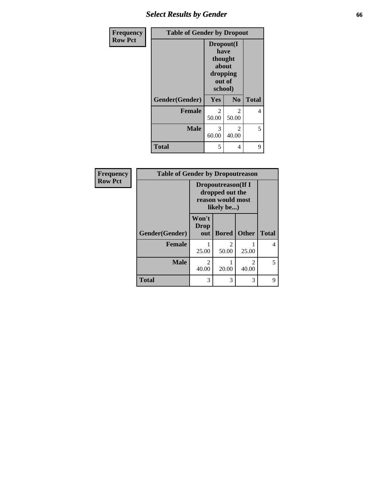## *Select Results by Gender* **66**

| Frequency      | <b>Table of Gender by Dropout</b> |                                                                        |                |              |
|----------------|-----------------------------------|------------------------------------------------------------------------|----------------|--------------|
| <b>Row Pct</b> |                                   | Dropout(I<br>have<br>thought<br>about<br>dropping<br>out of<br>school) |                |              |
|                | Gender(Gender)                    | Yes                                                                    | N <sub>0</sub> | <b>Total</b> |
|                | <b>Female</b>                     | $\overline{c}$<br>50.00                                                | 2<br>50.00     | 4            |
|                | <b>Male</b>                       | 3<br>60.00                                                             | 2<br>40.00     | 5            |
|                | <b>Total</b>                      | 5                                                                      | 4              | 9            |

| Frequency      | <b>Table of Gender by Dropoutreason</b> |                                                                                  |              |                         |              |
|----------------|-----------------------------------------|----------------------------------------------------------------------------------|--------------|-------------------------|--------------|
| <b>Row Pct</b> |                                         | <b>Dropoutreason</b> (If I<br>dropped out the<br>reason would most<br>likely be) |              |                         |              |
|                | Gender(Gender)                          | Won't<br><b>Drop</b><br>out                                                      | <b>Bored</b> | <b>Other</b>            | <b>Total</b> |
|                | <b>Female</b>                           | 25.00                                                                            | 2<br>50.00   | 25.00                   | 4            |
|                | <b>Male</b>                             | $\overline{c}$<br>40.00                                                          | 20.00        | $\mathfrak{D}$<br>40.00 | 5            |
|                | <b>Total</b>                            | 3                                                                                | 3            | 3                       | 9            |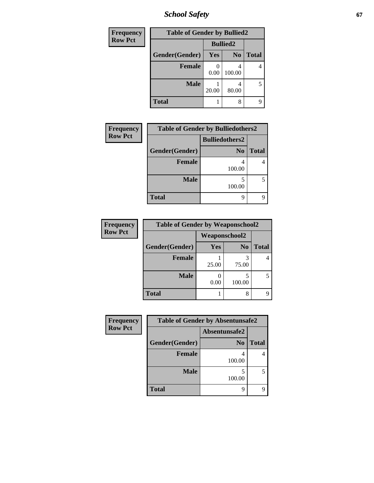# *School Safety* **67**

| Frequency      | <b>Table of Gender by Bullied2</b> |                 |                |              |
|----------------|------------------------------------|-----------------|----------------|--------------|
| <b>Row Pct</b> |                                    | <b>Bullied2</b> |                |              |
|                | Gender(Gender)                     | <b>Yes</b>      | N <sub>0</sub> | <b>Total</b> |
|                | <b>Female</b>                      | 0.00            | 100.00         |              |
|                | <b>Male</b>                        | 20.00           | 80.00          | 5            |
|                | <b>Total</b>                       |                 | 8              |              |

| Frequency      | <b>Table of Gender by Bulliedothers2</b> |                       |              |  |  |
|----------------|------------------------------------------|-----------------------|--------------|--|--|
| <b>Row Pct</b> |                                          | <b>Bulliedothers2</b> |              |  |  |
|                | Gender(Gender)                           | N <sub>0</sub>        | <b>Total</b> |  |  |
|                | <b>Female</b>                            | 100.00                |              |  |  |
|                | <b>Male</b>                              | 100.00                |              |  |  |
|                | <b>Total</b>                             | Q                     |              |  |  |

| Frequency      | <b>Table of Gender by Weaponschool2</b> |                      |                |              |
|----------------|-----------------------------------------|----------------------|----------------|--------------|
| <b>Row Pct</b> |                                         | <b>Weaponschool2</b> |                |              |
|                | Gender(Gender)                          | Yes                  | N <sub>0</sub> | <b>Total</b> |
|                | <b>Female</b>                           | 25.00                | 3<br>75.00     |              |
|                | <b>Male</b>                             | 0.00                 | 5<br>100.00    |              |
|                | <b>Total</b>                            |                      | 8              |              |

| Frequency      | <b>Table of Gender by Absentunsafe2</b> |                |              |  |  |
|----------------|-----------------------------------------|----------------|--------------|--|--|
| <b>Row Pct</b> |                                         | Absentunsafe2  |              |  |  |
|                | Gender(Gender)                          | N <sub>0</sub> | <b>Total</b> |  |  |
|                | <b>Female</b>                           | 100.00         |              |  |  |
|                | <b>Male</b>                             | 100.00         | 5            |  |  |
|                | <b>Total</b>                            | Q              | q            |  |  |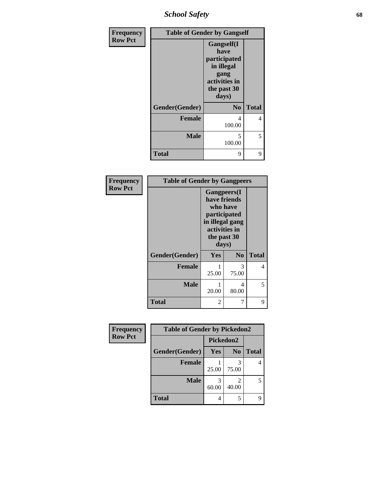*School Safety* **68**

| Frequency      | <b>Table of Gender by Gangself</b> |                                                                                                   |              |
|----------------|------------------------------------|---------------------------------------------------------------------------------------------------|--------------|
| <b>Row Pct</b> |                                    | Gangself(I<br>have<br>participated<br>in illegal<br>gang<br>activities in<br>the past 30<br>days) |              |
|                | Gender(Gender)                     | N <sub>0</sub>                                                                                    | <b>Total</b> |
|                | <b>Female</b>                      | 4<br>100.00                                                                                       | 4            |
|                | <b>Male</b>                        | 5<br>100.00                                                                                       | 5            |
|                | <b>Total</b>                       | 9                                                                                                 | 9            |

| Frequency      | <b>Table of Gender by Gangpeers</b> |            |                                                                                                                             |              |
|----------------|-------------------------------------|------------|-----------------------------------------------------------------------------------------------------------------------------|--------------|
| <b>Row Pct</b> |                                     |            | <b>Gangpeers</b> (I<br>have friends<br>who have<br>participated<br>in illegal gang<br>activities in<br>the past 30<br>days) |              |
|                | Gender(Gender)                      | <b>Yes</b> | N <sub>0</sub>                                                                                                              | <b>Total</b> |
|                | <b>Female</b>                       | 25.00      | 3<br>75.00                                                                                                                  | 4            |
|                | <b>Male</b>                         | 20.00      | 4<br>80.00                                                                                                                  | 5            |
|                | Total                               | 2          | 7                                                                                                                           | 9            |

| Frequency      | <b>Table of Gender by Pickedon2</b> |           |                                      |              |
|----------------|-------------------------------------|-----------|--------------------------------------|--------------|
| <b>Row Pct</b> |                                     | Pickedon2 |                                      |              |
|                | Gender(Gender)                      | Yes       | N <sub>0</sub>                       | <b>Total</b> |
|                | <b>Female</b>                       | 25.00     | 3<br>75.00                           |              |
|                | <b>Male</b>                         | 60.00     | $\mathcal{D}_{\mathcal{L}}$<br>40.00 |              |
|                | <b>Total</b>                        | 4         | 5                                    |              |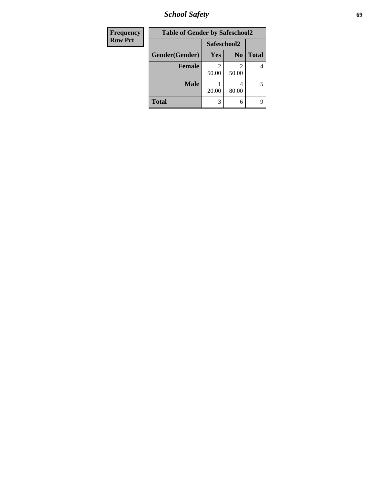*School Safety* **69**

| <b>Frequency</b> | <b>Table of Gender by Safeschool2</b> |             |                |              |
|------------------|---------------------------------------|-------------|----------------|--------------|
| <b>Row Pct</b>   |                                       | Safeschool2 |                |              |
|                  | Gender(Gender)                        | <b>Yes</b>  | N <sub>0</sub> | <b>Total</b> |
|                  | <b>Female</b>                         | 50.00       | 2<br>50.00     | 4            |
|                  | <b>Male</b>                           | 20.00       | 4<br>80.00     | 5            |
|                  | <b>Total</b>                          | 3           | 6              | 9            |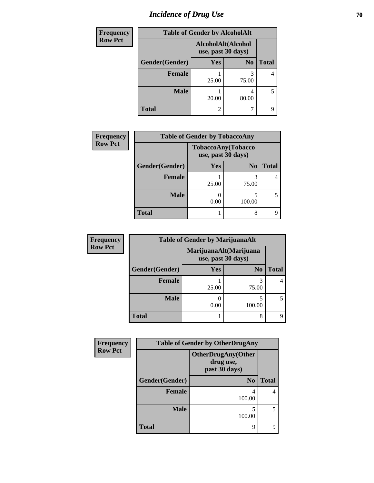# *Incidence of Drug Use* **70**

| <b>Frequency</b> | <b>Table of Gender by AlcoholAlt</b> |                                          |                |              |
|------------------|--------------------------------------|------------------------------------------|----------------|--------------|
| <b>Row Pct</b>   |                                      | AlcoholAlt(Alcohol<br>use, past 30 days) |                |              |
|                  | Gender(Gender)                       | Yes                                      | N <sub>0</sub> | <b>Total</b> |
|                  | <b>Female</b>                        | 25.00                                    | 3<br>75.00     | 4            |
|                  | <b>Male</b>                          | 20.00                                    | 4<br>80.00     | 5            |
|                  | <b>Total</b>                         | 2                                        | 7              | q            |

| <b>Frequency</b> |                | <b>Table of Gender by TobaccoAny</b> |                                          |              |
|------------------|----------------|--------------------------------------|------------------------------------------|--------------|
| <b>Row Pct</b>   |                |                                      | TobaccoAny(Tobacco<br>use, past 30 days) |              |
|                  | Gender(Gender) | <b>Yes</b>                           | N <sub>0</sub>                           | <b>Total</b> |
|                  | <b>Female</b>  | 25.00                                | 75.00                                    |              |
|                  | <b>Male</b>    | 0.00                                 | 100.00                                   | 5            |
|                  | <b>Total</b>   |                                      | 8                                        | q            |

| <b>Frequency</b> | <b>Table of Gender by MarijuanaAlt</b> |            |                                              |              |  |
|------------------|----------------------------------------|------------|----------------------------------------------|--------------|--|
| <b>Row Pct</b>   |                                        |            | MarijuanaAlt(Marijuana<br>use, past 30 days) |              |  |
|                  | Gender(Gender)                         | <b>Yes</b> | N <sub>0</sub>                               | <b>Total</b> |  |
|                  | Female                                 | 25.00      | 75.00                                        | 4            |  |
|                  | <b>Male</b>                            | 0.00       | 100.00                                       | 5            |  |
|                  | <b>Total</b>                           |            | 8                                            | Q            |  |

| Frequency      | <b>Table of Gender by OtherDrugAny</b> |                                                         |              |  |
|----------------|----------------------------------------|---------------------------------------------------------|--------------|--|
| <b>Row Pct</b> |                                        | <b>OtherDrugAny(Other</b><br>drug use,<br>past 30 days) |              |  |
|                | Gender(Gender)                         | N <sub>0</sub>                                          | <b>Total</b> |  |
|                | <b>Female</b>                          | 4<br>100.00                                             |              |  |
|                | <b>Male</b>                            | 5<br>100.00                                             |              |  |
|                | <b>Total</b>                           | 9                                                       | Q            |  |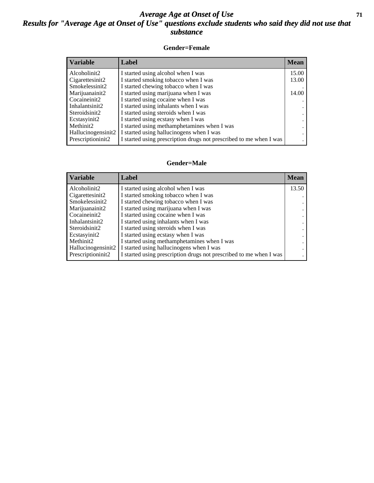### *Average Age at Onset of Use* **71** *Results for "Average Age at Onset of Use" questions exclude students who said they did not use that substance*

#### **Gender=Female**

| Variable           | <b>Label</b>                                                       | <b>Mean</b> |
|--------------------|--------------------------------------------------------------------|-------------|
| Alcoholinit2       | I started using alcohol when I was                                 | 15.00       |
| Cigarettesinit2    | I started smoking tobacco when I was                               | 13.00       |
| Smokelessinit2     | I started chewing tobacco when I was                               |             |
| Marijuanainit2     | I started using marijuana when I was                               | 14.00       |
| Cocaineinit2       | I started using cocaine when I was                                 |             |
| Inhalantsinit2     | I started using inhalants when I was                               |             |
| Steroidsinit2      | I started using steroids when I was                                |             |
| Ecstasyinit2       | I started using ecstasy when I was                                 |             |
| Methinit2          | I started using methamphetamines when I was                        |             |
| Hallucinogensinit2 | I started using hallucinogens when I was                           |             |
| Prescription in t2 | I started using prescription drugs not prescribed to me when I was |             |

#### **Gender=Male**

| <b>Variable</b>                 | Label                                                              | <b>Mean</b> |
|---------------------------------|--------------------------------------------------------------------|-------------|
| Alcoholinit2                    | I started using alcohol when I was                                 | 13.50       |
| Cigarettesinit2                 | I started smoking tobacco when I was                               |             |
| Smokelessinit2                  | I started chewing tobacco when I was                               |             |
| Marijuanainit2                  | I started using marijuana when I was                               |             |
| Cocaineinit2                    | I started using cocaine when I was                                 |             |
| Inhalantsinit2                  | I started using inhalants when I was                               |             |
| Steroidsinit2                   | I started using steroids when I was                                |             |
| Ecstasyinit2                    | I started using ecstasy when I was                                 |             |
| Methinit <sub>2</sub>           | I started using methamphetamines when I was                        |             |
| Hallucinogensinit2              | I started using hallucinogens when I was                           |             |
| Prescription in it <sub>2</sub> | I started using prescription drugs not prescribed to me when I was |             |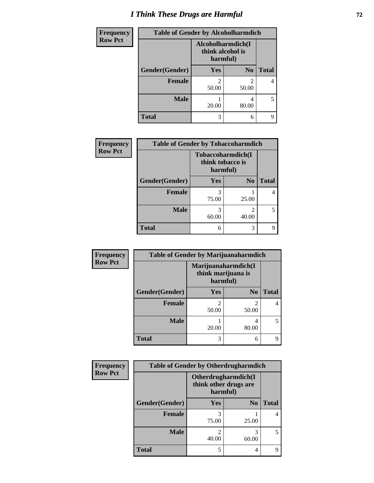# *I Think These Drugs are Harmful* **72**

| Frequency      | <b>Table of Gender by Alcoholharmdich</b> |                                                   |                |              |
|----------------|-------------------------------------------|---------------------------------------------------|----------------|--------------|
| <b>Row Pct</b> |                                           | Alcoholharmdich(I<br>think alcohol is<br>harmful) |                |              |
|                | Gender(Gender)                            | <b>Yes</b>                                        | N <sub>0</sub> | <b>Total</b> |
|                | Female                                    | $\mathfrak{D}$<br>50.00                           | 2<br>50.00     | 4            |
|                | <b>Male</b>                               | 20.00                                             | 4<br>80.00     | 5            |
|                | <b>Total</b>                              | 3                                                 | 6              | q            |

| Frequency      | <b>Table of Gender by Tobaccoharmdich</b> |                                                   |                                      |              |  |
|----------------|-------------------------------------------|---------------------------------------------------|--------------------------------------|--------------|--|
| <b>Row Pct</b> |                                           | Tobaccoharmdich(I<br>think tobacco is<br>harmful) |                                      |              |  |
|                | Gender(Gender)                            | <b>Yes</b>                                        | N <sub>0</sub>                       | <b>Total</b> |  |
|                | <b>Female</b>                             | 3<br>75.00                                        | 25.00                                | 4            |  |
|                | <b>Male</b>                               | 3<br>60.00                                        | $\mathcal{D}_{\mathcal{L}}$<br>40.00 | 5            |  |
|                | <b>Total</b>                              | 6                                                 | 3                                    | q            |  |

| Frequency      | <b>Table of Gender by Marijuanaharmdich</b> |                                                       |                         |              |  |
|----------------|---------------------------------------------|-------------------------------------------------------|-------------------------|--------------|--|
| <b>Row Pct</b> |                                             | Marijuanaharmdich(I<br>think marijuana is<br>harmful) |                         |              |  |
|                | Gender(Gender)                              | <b>Yes</b>                                            | N <sub>0</sub>          | <b>Total</b> |  |
|                | <b>Female</b>                               | 50.00                                                 | $\mathfrak{D}$<br>50.00 |              |  |
|                | <b>Male</b>                                 | 20.00                                                 | 4<br>80.00              | 5            |  |
|                | <b>Total</b>                                | 3                                                     | 6                       |              |  |

| Frequency      | <b>Table of Gender by Otherdrugharmdich</b> |                                                          |                |              |
|----------------|---------------------------------------------|----------------------------------------------------------|----------------|--------------|
| <b>Row Pct</b> |                                             | Otherdrugharmdich(I<br>think other drugs are<br>harmful) |                |              |
|                | Gender(Gender)                              | <b>Yes</b>                                               | N <sub>0</sub> | <b>Total</b> |
|                | <b>Female</b>                               | 3<br>75.00                                               | 25.00          | 4            |
|                | <b>Male</b>                                 | 40.00                                                    | 3<br>60.00     | 5            |
|                | <b>Total</b>                                | 5                                                        | 4              | 9            |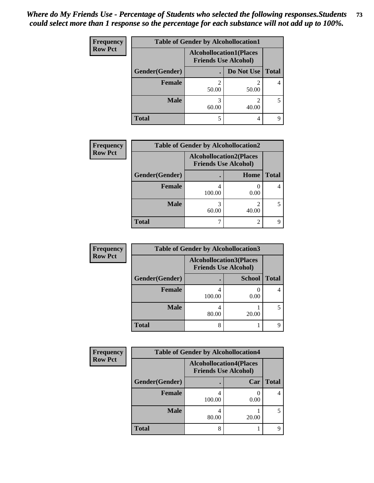| <b>Frequency</b> | <b>Table of Gender by Alcohollocation1</b>                    |       |            |              |
|------------------|---------------------------------------------------------------|-------|------------|--------------|
| <b>Row Pct</b>   | <b>Alcohollocation1(Places</b><br><b>Friends Use Alcohol)</b> |       |            |              |
|                  | <b>Gender</b> (Gender)                                        |       | Do Not Use | <b>Total</b> |
|                  | <b>Female</b>                                                 | 50.00 | 50.00      |              |
|                  | <b>Male</b>                                                   | 60.00 | 40.00      | 5            |
|                  | <b>Total</b>                                                  | 5     | 4          |              |

| <b>Frequency</b> |                | <b>Table of Gender by Alcohollocation2</b> |                                                               |              |
|------------------|----------------|--------------------------------------------|---------------------------------------------------------------|--------------|
| <b>Row Pct</b>   |                |                                            | <b>Alcohollocation2(Places</b><br><b>Friends Use Alcohol)</b> |              |
|                  | Gender(Gender) |                                            | <b>Home</b>                                                   | <b>Total</b> |
|                  | <b>Female</b>  | 100.00                                     | 0.00                                                          |              |
|                  | <b>Male</b>    | 60.00                                      | 40.00                                                         |              |
|                  | <b>Total</b>   |                                            | ↑                                                             |              |

| Frequency      | <b>Table of Gender by Alcohollocation3</b> |        |                                                               |              |  |
|----------------|--------------------------------------------|--------|---------------------------------------------------------------|--------------|--|
| <b>Row Pct</b> |                                            |        | <b>Alcohollocation3(Places</b><br><b>Friends Use Alcohol)</b> |              |  |
|                | Gender(Gender)                             |        | <b>School</b>                                                 | <b>Total</b> |  |
|                | <b>Female</b>                              | 100.00 | 0.00                                                          |              |  |
|                | <b>Male</b>                                | 80.00  | 20.00                                                         |              |  |
|                | <b>Total</b>                               | 8      |                                                               |              |  |

| <b>Frequency</b> | <b>Table of Gender by Alcohollocation4</b> |                                                               |       |              |  |
|------------------|--------------------------------------------|---------------------------------------------------------------|-------|--------------|--|
| <b>Row Pct</b>   |                                            | <b>Alcohollocation4(Places</b><br><b>Friends Use Alcohol)</b> |       |              |  |
|                  | Gender(Gender)                             |                                                               | Car   | <b>Total</b> |  |
|                  | <b>Female</b>                              | 100.00                                                        | 0.00  |              |  |
|                  | <b>Male</b>                                | 80.00                                                         | 20.00 |              |  |
|                  | <b>Total</b>                               | 8                                                             |       |              |  |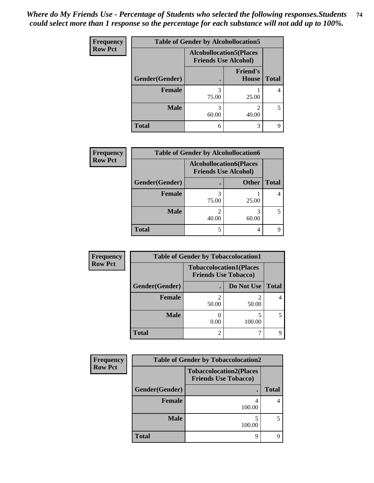| <b>Frequency</b> |                                                               | <b>Table of Gender by Alcohollocation5</b> |                                 |              |  |
|------------------|---------------------------------------------------------------|--------------------------------------------|---------------------------------|--------------|--|
| <b>Row Pct</b>   | <b>Alcohollocation5(Places</b><br><b>Friends Use Alcohol)</b> |                                            |                                 |              |  |
|                  | Gender(Gender)                                                |                                            | <b>Friend's</b><br><b>House</b> | <b>Total</b> |  |
|                  | <b>Female</b>                                                 | 3<br>75.00                                 | 25.00                           |              |  |
|                  | <b>Male</b>                                                   | 3<br>60.00                                 | ∍<br>40.00                      | 5            |  |
|                  | <b>Total</b>                                                  | 6                                          | 3                               | Q            |  |

| <b>Frequency</b> | <b>Table of Gender by Alcohollocation6</b> |                                                               |              |              |  |
|------------------|--------------------------------------------|---------------------------------------------------------------|--------------|--------------|--|
| <b>Row Pct</b>   |                                            | <b>Alcohollocation6(Places</b><br><b>Friends Use Alcohol)</b> |              |              |  |
|                  | Gender(Gender)                             |                                                               | <b>Other</b> | <b>Total</b> |  |
|                  | <b>Female</b>                              | 75.00                                                         | 25.00        |              |  |
|                  | <b>Male</b>                                | ∍<br>40.00                                                    | 60.00        |              |  |
|                  | <b>Total</b>                               | 5                                                             |              |              |  |

| Frequency      | <b>Table of Gender by Tobaccolocation1</b> |                                                               |            |              |  |
|----------------|--------------------------------------------|---------------------------------------------------------------|------------|--------------|--|
| <b>Row Pct</b> |                                            | <b>Tobaccolocation1(Places</b><br><b>Friends Use Tobacco)</b> |            |              |  |
|                | Gender(Gender)                             |                                                               | Do Not Use | <b>Total</b> |  |
|                | Female                                     | 50.00                                                         | 50.00      |              |  |
|                | <b>Male</b>                                | 0.00                                                          | 100.00     |              |  |
|                | <b>Total</b>                               |                                                               |            |              |  |

| <b>Frequency</b> | <b>Table of Gender by Tobaccolocation2</b> |                                                               |              |  |  |
|------------------|--------------------------------------------|---------------------------------------------------------------|--------------|--|--|
| <b>Row Pct</b>   |                                            | <b>Tobaccolocation2(Places</b><br><b>Friends Use Tobacco)</b> |              |  |  |
|                  | Gender(Gender)                             | ٠                                                             | <b>Total</b> |  |  |
|                  | <b>Female</b>                              | 4<br>100.00                                                   |              |  |  |
|                  | <b>Male</b>                                | 100.00                                                        |              |  |  |
|                  | <b>Total</b>                               | 9                                                             |              |  |  |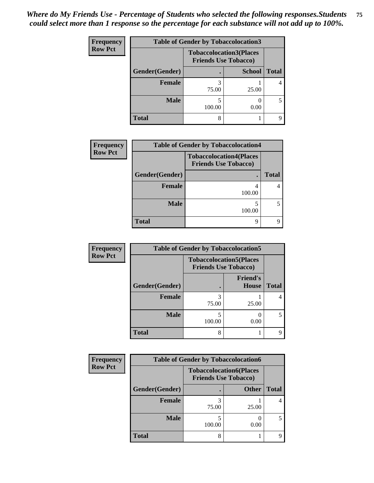| <b>Frequency</b> | <b>Table of Gender by Tobaccolocation3</b> |        |                                                               |              |  |
|------------------|--------------------------------------------|--------|---------------------------------------------------------------|--------------|--|
| <b>Row Pct</b>   |                                            |        | <b>Tobaccolocation3(Places</b><br><b>Friends Use Tobacco)</b> |              |  |
|                  | Gender(Gender)                             |        | <b>School</b>                                                 | <b>Total</b> |  |
|                  | <b>Female</b>                              | 75.00  | 25.00                                                         |              |  |
|                  | <b>Male</b>                                | 100.00 | 0.00                                                          |              |  |
|                  | <b>Total</b>                               | 8      |                                                               |              |  |

| <b>Frequency</b> | <b>Table of Gender by Tobaccolocation4</b> |                                                               |              |  |
|------------------|--------------------------------------------|---------------------------------------------------------------|--------------|--|
| <b>Row Pct</b>   |                                            | <b>Tobaccolocation4(Places</b><br><b>Friends Use Tobacco)</b> |              |  |
|                  | Gender(Gender)                             |                                                               | <b>Total</b> |  |
|                  | <b>Female</b>                              | 4<br>100.00                                                   |              |  |
|                  | <b>Male</b>                                | 100.00                                                        |              |  |
|                  | <b>Total</b>                               | q                                                             |              |  |

| Frequency      | <b>Table of Gender by Tobaccolocation5</b> |                                                               |                                 |              |
|----------------|--------------------------------------------|---------------------------------------------------------------|---------------------------------|--------------|
| <b>Row Pct</b> |                                            | <b>Tobaccolocation5(Places</b><br><b>Friends Use Tobacco)</b> |                                 |              |
|                | Gender(Gender)                             |                                                               | <b>Friend's</b><br><b>House</b> | <b>Total</b> |
|                | Female                                     | 75.00                                                         | 25.00                           |              |
|                | <b>Male</b>                                | 100.00                                                        | 0.00                            | 5            |
|                | <b>Total</b>                               | 8                                                             |                                 |              |

| Frequency      | <b>Table of Gender by Tobaccolocation6</b> |        |                                                               |              |  |
|----------------|--------------------------------------------|--------|---------------------------------------------------------------|--------------|--|
| <b>Row Pct</b> |                                            |        | <b>Tobaccolocation6(Places</b><br><b>Friends Use Tobacco)</b> |              |  |
|                | Gender(Gender)                             |        | <b>Other</b>                                                  | <b>Total</b> |  |
|                | Female                                     | 75.00  | 25.00                                                         |              |  |
|                | <b>Male</b>                                | 100.00 | 0.00                                                          |              |  |
|                | <b>Total</b>                               |        |                                                               |              |  |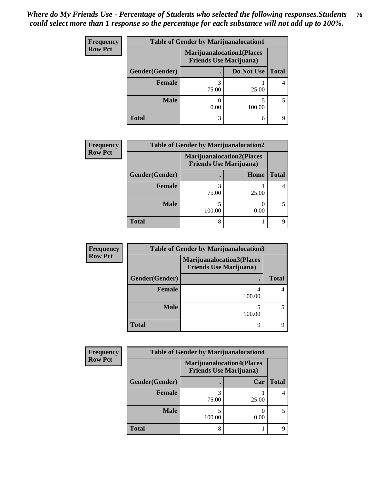| <b>Frequency</b> | <b>Table of Gender by Marijuanalocation1</b> |                                                                    |            |              |  |
|------------------|----------------------------------------------|--------------------------------------------------------------------|------------|--------------|--|
| <b>Row Pct</b>   |                                              | <b>Marijuanalocation1(Places</b><br><b>Friends Use Marijuana</b> ) |            |              |  |
|                  | Gender(Gender)                               |                                                                    | Do Not Use | <b>Total</b> |  |
|                  | <b>Female</b>                                | 75.00                                                              | 25.00      |              |  |
|                  | <b>Male</b>                                  | 0.00                                                               | 100.00     |              |  |
|                  | <b>Total</b>                                 | 3                                                                  | 6          |              |  |

| <b>Frequency</b> |                | <b>Table of Gender by Marijuanalocation2</b>                       |       |              |
|------------------|----------------|--------------------------------------------------------------------|-------|--------------|
| <b>Row Pct</b>   |                | <b>Marijuanalocation2(Places</b><br><b>Friends Use Marijuana</b> ) |       |              |
|                  | Gender(Gender) |                                                                    | Home  | <b>Total</b> |
|                  | <b>Female</b>  | 75.00                                                              | 25.00 |              |
|                  | <b>Male</b>    | 100.00                                                             | 0.00  |              |
|                  | <b>Total</b>   |                                                                    |       |              |

| Frequency      | <b>Table of Gender by Marijuanalocation3</b> |                                                                     |              |  |  |
|----------------|----------------------------------------------|---------------------------------------------------------------------|--------------|--|--|
| <b>Row Pct</b> |                                              | <b>Marijuanalocation3</b> (Places<br><b>Friends Use Marijuana</b> ) |              |  |  |
|                | Gender(Gender)                               |                                                                     | <b>Total</b> |  |  |
|                | <b>Female</b>                                | 4<br>100.00                                                         |              |  |  |
|                | <b>Male</b>                                  | 100.00                                                              |              |  |  |
|                | <b>Total</b>                                 | 9                                                                   |              |  |  |

| Frequency      | <b>Table of Gender by Marijuanalocation4</b> |                                                                     |       |              |
|----------------|----------------------------------------------|---------------------------------------------------------------------|-------|--------------|
| <b>Row Pct</b> |                                              | <b>Marijuanalocation4(Places)</b><br><b>Friends Use Marijuana</b> ) |       |              |
|                | Gender(Gender)                               |                                                                     | Car   | <b>Total</b> |
|                | <b>Female</b>                                | 75.00                                                               | 25.00 |              |
|                | <b>Male</b>                                  | 100.00                                                              | 0.00  |              |
|                | <b>Total</b>                                 | 8                                                                   |       |              |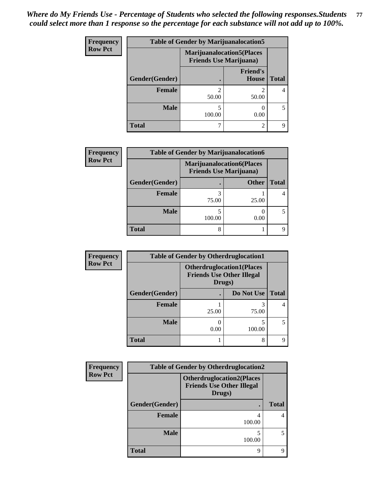| <b>Frequency</b> | <b>Table of Gender by Marijuanalocation5</b> |                                                                     |                          |              |
|------------------|----------------------------------------------|---------------------------------------------------------------------|--------------------------|--------------|
| <b>Row Pct</b>   |                                              | <b>Marijuanalocation5</b> (Places<br><b>Friends Use Marijuana</b> ) |                          |              |
|                  | Gender(Gender)                               |                                                                     | <b>Friend's</b><br>House | <b>Total</b> |
|                  | Female                                       | 50.00                                                               | 50.00                    |              |
|                  | <b>Male</b>                                  | 100.00                                                              | 0.00                     |              |
|                  | <b>Total</b>                                 |                                                                     | $\mathfrak{D}$           |              |

| <b>Frequency</b> | <b>Table of Gender by Marijuanalocation6</b> |        |                                                                    |              |
|------------------|----------------------------------------------|--------|--------------------------------------------------------------------|--------------|
| <b>Row Pct</b>   |                                              |        | <b>Marijuanalocation6(Places</b><br><b>Friends Use Marijuana</b> ) |              |
|                  | Gender(Gender)                               |        | <b>Other</b>                                                       | <b>Total</b> |
|                  | <b>Female</b>                                | 75.00  | 25.00                                                              | 4            |
|                  | <b>Male</b>                                  | 100.00 | 0.00                                                               | 5            |
|                  | <b>Total</b>                                 |        |                                                                    | q            |

| Frequency      | <b>Table of Gender by Otherdruglocation1</b> |                                            |                                  |              |
|----------------|----------------------------------------------|--------------------------------------------|----------------------------------|--------------|
| <b>Row Pct</b> |                                              | <b>Friends Use Other Illegal</b><br>Drugs) | <b>Otherdruglocation1(Places</b> |              |
|                | Gender(Gender)                               |                                            | Do Not Use                       | <b>Total</b> |
|                | <b>Female</b>                                | 25.00                                      | 75.00                            |              |
|                | <b>Male</b>                                  | 0.00                                       | 100.00                           |              |
|                | <b>Total</b>                                 |                                            | 8                                |              |

| Frequency                                                                                        | <b>Table of Gender by Otherdruglocation2</b> |             |              |  |  |
|--------------------------------------------------------------------------------------------------|----------------------------------------------|-------------|--------------|--|--|
| <b>Row Pct</b><br><b>Otherdruglocation2(Places</b><br><b>Friends Use Other Illegal</b><br>Drugs) |                                              |             |              |  |  |
|                                                                                                  | Gender(Gender)                               |             | <b>Total</b> |  |  |
|                                                                                                  | <b>Female</b>                                | 100.00      | 4            |  |  |
|                                                                                                  | <b>Male</b>                                  | 5<br>100.00 |              |  |  |
|                                                                                                  | <b>Total</b>                                 | 9           | Q            |  |  |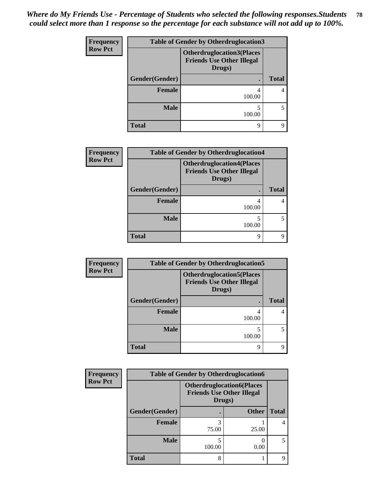| <b>Frequency</b> | <b>Table of Gender by Otherdruglocation3</b>                                   |             |              |  |  |
|------------------|--------------------------------------------------------------------------------|-------------|--------------|--|--|
| <b>Row Pct</b>   | <b>Otherdruglocation3(Places</b><br><b>Friends Use Other Illegal</b><br>Drugs) |             |              |  |  |
|                  | Gender(Gender)                                                                 | ٠           | <b>Total</b> |  |  |
|                  | Female                                                                         | 4<br>100.00 |              |  |  |
|                  | <b>Male</b>                                                                    | 5<br>100.00 |              |  |  |
|                  | <b>Total</b>                                                                   | 9           |              |  |  |

| <b>Frequency</b> | <b>Table of Gender by Otherdruglocation4</b> |                                                                                |              |  |  |
|------------------|----------------------------------------------|--------------------------------------------------------------------------------|--------------|--|--|
| <b>Row Pct</b>   |                                              | <b>Otherdruglocation4(Places</b><br><b>Friends Use Other Illegal</b><br>Drugs) |              |  |  |
|                  | Gender(Gender)                               |                                                                                | <b>Total</b> |  |  |
|                  | <b>Female</b>                                | 4<br>100.00                                                                    | 4            |  |  |
|                  | <b>Male</b>                                  | 100.00                                                                         | 5            |  |  |
|                  | <b>Total</b>                                 | 9                                                                              | 9            |  |  |

| Frequency      | <b>Table of Gender by Otherdruglocation5</b> |                                                                                |              |  |
|----------------|----------------------------------------------|--------------------------------------------------------------------------------|--------------|--|
| <b>Row Pct</b> |                                              | <b>Otherdruglocation5(Places</b><br><b>Friends Use Other Illegal</b><br>Drugs) |              |  |
|                | Gender(Gender)                               |                                                                                | <b>Total</b> |  |
|                | Female                                       | 4<br>100.00                                                                    |              |  |
|                | <b>Male</b>                                  | 5<br>100.00                                                                    |              |  |
|                | <b>Total</b>                                 | 9                                                                              |              |  |

| Frequency      | <b>Table of Gender by Otherdruglocation6</b> |        |                                                                      |              |
|----------------|----------------------------------------------|--------|----------------------------------------------------------------------|--------------|
| <b>Row Pct</b> |                                              | Drugs) | <b>Otherdruglocation6(Places</b><br><b>Friends Use Other Illegal</b> |              |
|                | Gender(Gender)                               |        | <b>Other</b>                                                         | <b>Total</b> |
|                | <b>Female</b>                                | 75.00  | 25.00                                                                |              |
|                | <b>Male</b>                                  | 100.00 | 0.00                                                                 |              |
|                | <b>Total</b>                                 | 8      |                                                                      | q            |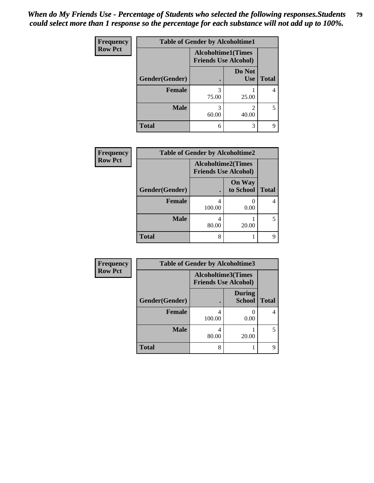| <b>Frequency</b> | <b>Table of Gender by Alcoholtime1</b> |                                                          |                      |              |
|------------------|----------------------------------------|----------------------------------------------------------|----------------------|--------------|
| <b>Row Pct</b>   |                                        | <b>Alcoholtime1(Times</b><br><b>Friends Use Alcohol)</b> |                      |              |
|                  | Gender(Gender)                         | $\bullet$                                                | Do Not<br><b>Use</b> | <b>Total</b> |
|                  | <b>Female</b>                          | 3<br>75.00                                               | 25.00                | 4            |
|                  | <b>Male</b>                            | 3<br>60.00                                               | 2<br>40.00           | 5            |
|                  | <b>Total</b>                           | 6                                                        | 3                    | q            |

| <b>Frequency</b> | <b>Table of Gender by Alcoholtime2</b> |                                                          |                            |              |
|------------------|----------------------------------------|----------------------------------------------------------|----------------------------|--------------|
| <b>Row Pct</b>   |                                        | <b>Alcoholtime2(Times</b><br><b>Friends Use Alcohol)</b> |                            |              |
|                  | Gender(Gender)                         |                                                          | <b>On Way</b><br>to School | <b>Total</b> |
|                  | <b>Female</b>                          | 4<br>100.00                                              | 0.00                       |              |
|                  | <b>Male</b>                            | 4<br>80.00                                               | 20.00                      |              |
|                  | <b>Total</b>                           | 8                                                        |                            | q            |

| Frequency      | <b>Table of Gender by Alcoholtime3</b> |                                                          |                                |              |
|----------------|----------------------------------------|----------------------------------------------------------|--------------------------------|--------------|
| <b>Row Pct</b> |                                        | <b>Alcoholtime3(Times</b><br><b>Friends Use Alcohol)</b> |                                |              |
|                | Gender(Gender)                         |                                                          | <b>During</b><br><b>School</b> | <b>Total</b> |
|                | Female                                 | 100.00                                                   | 0.00                           | 4            |
|                | <b>Male</b>                            | 4<br>80.00                                               | 20.00                          | 5            |
|                | <b>Total</b>                           | 8                                                        |                                | 9            |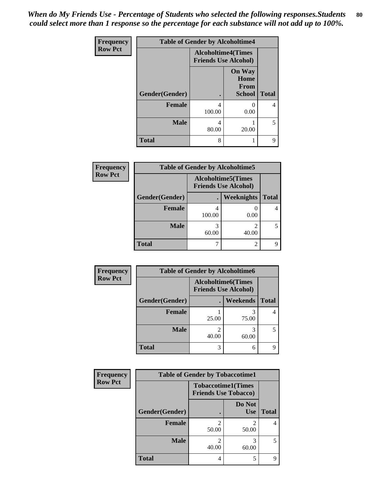*When do My Friends Use - Percentage of Students who selected the following responses.Students could select more than 1 response so the percentage for each substance will not add up to 100%.* **80**

| <b>Frequency</b> | <b>Table of Gender by Alcoholtime4</b> |                                                          |                                                |              |
|------------------|----------------------------------------|----------------------------------------------------------|------------------------------------------------|--------------|
| <b>Row Pct</b>   |                                        | <b>Alcoholtime4(Times</b><br><b>Friends Use Alcohol)</b> |                                                |              |
|                  | Gender(Gender)                         |                                                          | <b>On Way</b><br>Home<br>From<br><b>School</b> | <b>Total</b> |
|                  | <b>Female</b>                          | 4<br>100.00                                              | 0.00                                           | 4            |
|                  | <b>Male</b>                            | 4<br>80.00                                               | 20.00                                          | 5            |
|                  | <b>Total</b>                           | 8                                                        |                                                | 9            |

| <b>Frequency</b> | <b>Table of Gender by Alcoholtime5</b> |             |                                                          |              |
|------------------|----------------------------------------|-------------|----------------------------------------------------------|--------------|
| <b>Row Pct</b>   |                                        |             | <b>Alcoholtime5(Times</b><br><b>Friends Use Alcohol)</b> |              |
|                  | Gender(Gender)                         |             | Weeknights                                               | <b>Total</b> |
|                  | Female                                 | 4<br>100.00 | 0.00                                                     |              |
|                  | <b>Male</b>                            | 60.00       | $\mathcal{D}$<br>40.00                                   |              |
|                  | Total                                  |             | $\mathfrak{D}$                                           |              |

| <b>Frequency</b> | <b>Table of Gender by Alcoholtime6</b> |       |                                                          |              |
|------------------|----------------------------------------|-------|----------------------------------------------------------|--------------|
| <b>Row Pct</b>   |                                        |       | <b>Alcoholtime6(Times</b><br><b>Friends Use Alcohol)</b> |              |
|                  | Gender(Gender)                         |       | Weekends                                                 | <b>Total</b> |
|                  | Female                                 | 25.00 | 75.00                                                    | 4            |
|                  | <b>Male</b>                            | 40.00 | 3<br>60.00                                               | 5            |
|                  | <b>Total</b>                           | 3     | 6                                                        | q            |

| <b>Frequency</b> | <b>Table of Gender by Tobaccotime1</b> |                                                          |                         |              |
|------------------|----------------------------------------|----------------------------------------------------------|-------------------------|--------------|
| <b>Row Pct</b>   |                                        | <b>Tobaccotime1(Times</b><br><b>Friends Use Tobacco)</b> |                         |              |
|                  | Gender(Gender)                         |                                                          | Do Not<br><b>Use</b>    | <b>Total</b> |
|                  | <b>Female</b>                          | 2<br>50.00                                               | $\mathfrak{D}$<br>50.00 | 4            |
|                  | <b>Male</b>                            | 40.00                                                    | 60.00                   | 5            |
|                  | <b>Total</b>                           | 4                                                        | 5                       | Q            |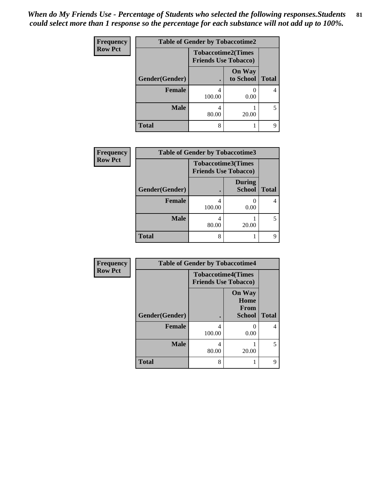| Frequency      | <b>Table of Gender by Tobaccotime2</b> |                                                          |                            |              |
|----------------|----------------------------------------|----------------------------------------------------------|----------------------------|--------------|
| <b>Row Pct</b> |                                        | <b>Tobaccotime2(Times</b><br><b>Friends Use Tobacco)</b> |                            |              |
|                | Gender(Gender)                         |                                                          | <b>On Way</b><br>to School | <b>Total</b> |
|                | Female                                 | 4<br>100.00                                              | 0.00                       | 4            |
|                | <b>Male</b>                            | 4<br>80.00                                               | 20.00                      | 5            |
|                | <b>Total</b>                           | 8                                                        |                            | q            |

| <b>Frequency</b> | <b>Table of Gender by Tobaccotime3</b> |                                                          |                                |              |
|------------------|----------------------------------------|----------------------------------------------------------|--------------------------------|--------------|
| <b>Row Pct</b>   |                                        | <b>Tobaccotime3(Times</b><br><b>Friends Use Tobacco)</b> |                                |              |
|                  | Gender(Gender)                         |                                                          | <b>During</b><br><b>School</b> | <b>Total</b> |
|                  | <b>Female</b>                          | 4<br>100.00                                              | 0.00                           | 4            |
|                  | <b>Male</b>                            | 4<br>80.00                                               | 20.00                          | 5.           |
|                  | <b>Total</b>                           | 8                                                        |                                | 9            |

| Frequency      | <b>Table of Gender by Tobaccotime4</b> |                                                          |                                                |              |
|----------------|----------------------------------------|----------------------------------------------------------|------------------------------------------------|--------------|
| <b>Row Pct</b> |                                        | <b>Tobaccotime4(Times</b><br><b>Friends Use Tobacco)</b> |                                                |              |
|                | <b>Gender</b> (Gender)                 |                                                          | <b>On Way</b><br>Home<br>From<br><b>School</b> | <b>Total</b> |
|                | Female                                 | 4<br>100.00                                              | $\mathcal{O}$<br>0.00                          | 4            |
|                | <b>Male</b>                            | 4<br>80.00                                               | 20.00                                          | 5            |
|                | <b>Total</b>                           | 8                                                        |                                                | 9            |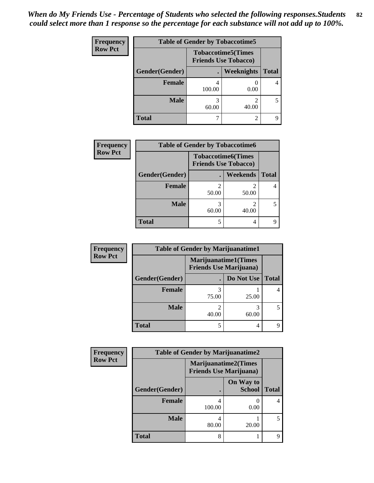| <b>Frequency</b> | <b>Table of Gender by Tobaccotime5</b> |        |                                                           |              |
|------------------|----------------------------------------|--------|-----------------------------------------------------------|--------------|
| <b>Row Pct</b>   |                                        |        | <b>Tobaccotime5</b> (Times<br><b>Friends Use Tobacco)</b> |              |
|                  | Gender(Gender)                         |        | Weeknights                                                | <b>Total</b> |
|                  | <b>Female</b>                          | 100.00 | 0.00                                                      | 4            |
|                  | <b>Male</b>                            | 60.00  | 2<br>40.00                                                | 5            |
|                  | Total                                  |        | 2                                                         | q            |

| Frequency      | <b>Table of Gender by Tobaccotime6</b> |                                                          |                 |              |
|----------------|----------------------------------------|----------------------------------------------------------|-----------------|--------------|
| <b>Row Pct</b> |                                        | <b>Tobaccotime6(Times</b><br><b>Friends Use Tobacco)</b> |                 |              |
|                | Gender(Gender)                         |                                                          | <b>Weekends</b> | <b>Total</b> |
|                | <b>Female</b>                          | 2<br>50.00                                               | 2<br>50.00      |              |
|                | <b>Male</b>                            | 3<br>60.00                                               | 2<br>40.00      |              |
|                | <b>Total</b>                           | 5                                                        | 4               |              |

| Frequency      | <b>Table of Gender by Marijuanatime1</b> |                                                               |            |              |  |
|----------------|------------------------------------------|---------------------------------------------------------------|------------|--------------|--|
| <b>Row Pct</b> |                                          | <b>Marijuanatime1(Times</b><br><b>Friends Use Marijuana</b> ) |            |              |  |
|                | Gender(Gender)                           |                                                               | Do Not Use | <b>Total</b> |  |
|                | <b>Female</b>                            | 75.00                                                         | 25.00      | 4            |  |
|                | <b>Male</b>                              | 40.00                                                         | 3<br>60.00 | 5            |  |
|                | <b>Total</b>                             | 5                                                             | 4          | q            |  |

| <b>Frequency</b> | <b>Table of Gender by Marijuanatime2</b> |                                                               |                            |              |
|------------------|------------------------------------------|---------------------------------------------------------------|----------------------------|--------------|
| <b>Row Pct</b>   |                                          | <b>Marijuanatime2(Times</b><br><b>Friends Use Marijuana</b> ) |                            |              |
|                  | Gender(Gender)                           |                                                               | On Way to<br><b>School</b> | <b>Total</b> |
|                  | <b>Female</b>                            | 100.00                                                        | 0.00                       |              |
|                  | <b>Male</b>                              | 80.00                                                         | 20.00                      | 5            |
|                  | <b>Total</b>                             | 8                                                             |                            | Q            |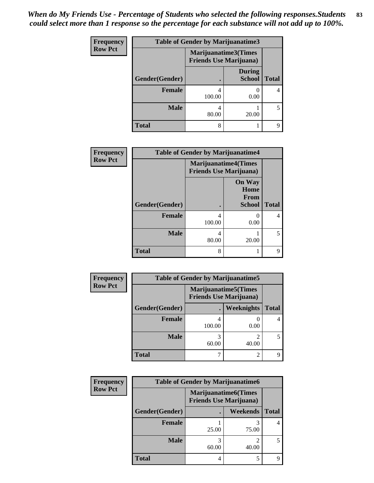| <b>Frequency</b> | <b>Table of Gender by Marijuanatime3</b> |                                |                                |                          |
|------------------|------------------------------------------|--------------------------------|--------------------------------|--------------------------|
| <b>Row Pct</b>   |                                          | <b>Friends Use Marijuana</b> ) | Marijuanatime3(Times           |                          |
|                  | Gender(Gender)                           |                                | <b>During</b><br><b>School</b> | <b>Total</b>             |
|                  | <b>Female</b>                            | 100.00                         | 0.00                           | 4                        |
|                  | <b>Male</b>                              | 4<br>80.00                     | 20.00                          | $\overline{\phantom{0}}$ |
|                  | <b>Total</b>                             | 8                              |                                | Q                        |

| Frequency      | <b>Table of Gender by Marijuanatime4</b> |             |                                                               |              |
|----------------|------------------------------------------|-------------|---------------------------------------------------------------|--------------|
| <b>Row Pct</b> |                                          |             | <b>Marijuanatime4(Times</b><br><b>Friends Use Marijuana</b> ) |              |
|                | Gender(Gender)                           |             | <b>On Way</b><br>Home<br>From<br><b>School</b>                | <b>Total</b> |
|                | <b>Female</b>                            | 4<br>100.00 | 0.00                                                          | 4            |
|                | <b>Male</b>                              | 4<br>80.00  | 20.00                                                         |              |
|                | <b>Total</b>                             | 8           |                                                               | 9            |

| Frequency      | <b>Table of Gender by Marijuanatime5</b> |                                                                |                        |              |  |
|----------------|------------------------------------------|----------------------------------------------------------------|------------------------|--------------|--|
| <b>Row Pct</b> |                                          | <b>Marijuanatime5</b> (Times<br><b>Friends Use Marijuana</b> ) |                        |              |  |
|                | Gender(Gender)                           |                                                                | Weeknights             | <b>Total</b> |  |
|                | <b>Female</b>                            | 100.00                                                         | 0.00                   |              |  |
|                | <b>Male</b>                              | 60.00                                                          | $\mathcal{D}$<br>40.00 | 5            |  |
|                | <b>Total</b>                             |                                                                | 2                      | Q            |  |

| Frequency      | <b>Table of Gender by Marijuanatime6</b> |                                                               |                         |              |  |
|----------------|------------------------------------------|---------------------------------------------------------------|-------------------------|--------------|--|
| <b>Row Pct</b> |                                          | <b>Marijuanatime6(Times</b><br><b>Friends Use Marijuana</b> ) |                         |              |  |
|                | Gender(Gender)                           |                                                               | Weekends                | <b>Total</b> |  |
|                | Female                                   | 25.00                                                         | 75.00                   |              |  |
|                | <b>Male</b>                              | 60.00                                                         | $\mathfrak{D}$<br>40.00 | 5            |  |
|                | <b>Total</b>                             | 4                                                             | 5                       |              |  |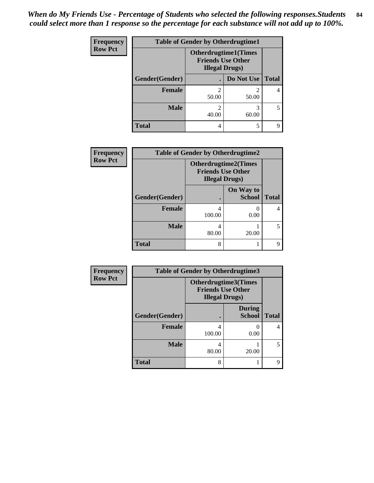| <b>Frequency</b> | <b>Table of Gender by Otherdrugtime1</b> |                        |                                                          |              |  |
|------------------|------------------------------------------|------------------------|----------------------------------------------------------|--------------|--|
| <b>Row Pct</b>   |                                          | <b>Illegal Drugs</b> ) | <b>Otherdrugtime1</b> (Times<br><b>Friends Use Other</b> |              |  |
|                  | Gender(Gender)                           |                        | Do Not Use                                               | <b>Total</b> |  |
|                  | <b>Female</b>                            | 2<br>50.00             | 50.00                                                    |              |  |
|                  | <b>Male</b>                              | 2<br>40.00             | 3<br>60.00                                               | 5            |  |
|                  | <b>Total</b>                             | 4                      | 5                                                        |              |  |

| Frequency      | <b>Table of Gender by Otherdrugtime2</b> |                                                                                   |                            |              |
|----------------|------------------------------------------|-----------------------------------------------------------------------------------|----------------------------|--------------|
| <b>Row Pct</b> |                                          | <b>Otherdrugtime2(Times</b><br><b>Friends Use Other</b><br><b>Illegal Drugs</b> ) |                            |              |
|                | Gender(Gender)                           |                                                                                   | On Way to<br><b>School</b> | <b>Total</b> |
|                | <b>Female</b>                            | 100.00                                                                            | 0.00                       |              |
|                | <b>Male</b>                              | 4<br>80.00                                                                        | 20.00                      |              |
|                | <b>Total</b>                             | 8                                                                                 |                            | q            |

| Frequency      |                | <b>Table of Gender by Otherdrugtime3</b> |                                                  |              |
|----------------|----------------|------------------------------------------|--------------------------------------------------|--------------|
| <b>Row Pct</b> |                | <b>Illegal Drugs)</b>                    | Otherdrugtime3(Times<br><b>Friends Use Other</b> |              |
|                | Gender(Gender) |                                          | <b>During</b><br><b>School</b>                   | <b>Total</b> |
|                | <b>Female</b>  | 100.00                                   | 0.00                                             | 4            |
|                | <b>Male</b>    | 80.00                                    | 20.00                                            | 5            |
|                | <b>Total</b>   | 8                                        |                                                  | 9            |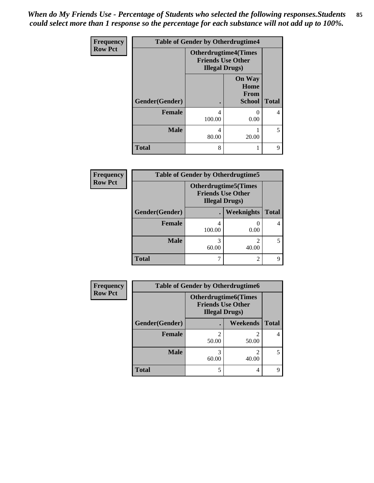| <b>Frequency</b> | <b>Table of Gender by Otherdrugtime4</b> |                        |                                                         |                          |
|------------------|------------------------------------------|------------------------|---------------------------------------------------------|--------------------------|
| <b>Row Pct</b>   |                                          | <b>Illegal Drugs</b> ) | <b>Otherdrugtime4(Times</b><br><b>Friends Use Other</b> |                          |
|                  | Gender(Gender)                           |                        | <b>On Way</b><br>Home<br><b>From</b><br><b>School</b>   | <b>Total</b>             |
|                  | <b>Female</b>                            | 4<br>100.00            | 0.00                                                    | 4                        |
|                  | <b>Male</b>                              | 4<br>80.00             | 20.00                                                   | $\overline{\phantom{0}}$ |
|                  | <b>Total</b>                             | 8                      |                                                         | 9                        |

| Frequency      | <b>Table of Gender by Otherdrugtime5</b> |                                                                                    |                |              |
|----------------|------------------------------------------|------------------------------------------------------------------------------------|----------------|--------------|
| <b>Row Pct</b> |                                          | <b>Otherdrugtime5</b> (Times<br><b>Friends Use Other</b><br><b>Illegal Drugs</b> ) |                |              |
|                | Gender(Gender)                           |                                                                                    | Weeknights     | <b>Total</b> |
|                | Female                                   | 4<br>100.00                                                                        | 0.00           |              |
|                | <b>Male</b>                              | 3<br>60.00                                                                         | 40.00          |              |
|                | <b>Total</b>                             |                                                                                    | $\mathfrak{D}$ | q            |

| Frequency      | <b>Table of Gender by Otherdrugtime6</b> |                                                                                   |                         |              |  |
|----------------|------------------------------------------|-----------------------------------------------------------------------------------|-------------------------|--------------|--|
| <b>Row Pct</b> |                                          | <b>Otherdrugtime6(Times</b><br><b>Friends Use Other</b><br><b>Illegal Drugs</b> ) |                         |              |  |
|                | Gender(Gender)                           |                                                                                   | Weekends                | <b>Total</b> |  |
|                | <b>Female</b>                            | 50.00                                                                             | $\mathfrak{D}$<br>50.00 | 4            |  |
|                | <b>Male</b>                              | 60.00                                                                             | $\mathfrak{D}$<br>40.00 | 5            |  |
|                | <b>Total</b>                             |                                                                                   | 4                       | 9            |  |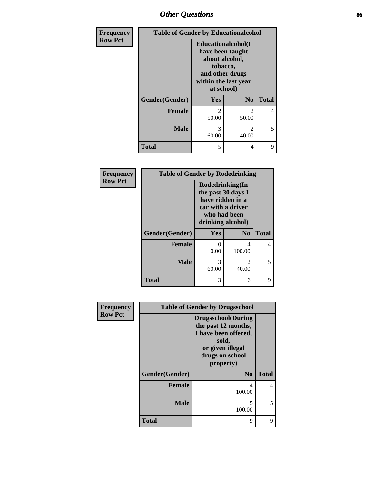## *Other Questions* **86**

| Frequency      | <b>Table of Gender by Educationalcohol</b> |                                                                                                                               |                         |              |
|----------------|--------------------------------------------|-------------------------------------------------------------------------------------------------------------------------------|-------------------------|--------------|
| <b>Row Pct</b> |                                            | Educationalcohol(I<br>have been taught<br>about alcohol,<br>tobacco,<br>and other drugs<br>within the last year<br>at school) |                         |              |
|                | Gender(Gender)                             | Yes                                                                                                                           | N <sub>0</sub>          | <b>Total</b> |
|                | <b>Female</b>                              | $\overline{c}$<br>50.00                                                                                                       | 2<br>50.00              | 4            |
|                | <b>Male</b>                                | 3<br>60.00                                                                                                                    | $\mathfrak{D}$<br>40.00 | 5            |
|                | <b>Total</b>                               | 5                                                                                                                             | 4                       | 9            |

| Frequency      | <b>Table of Gender by Rodedrinking</b> |                                                                                                                     |                         |              |
|----------------|----------------------------------------|---------------------------------------------------------------------------------------------------------------------|-------------------------|--------------|
| <b>Row Pct</b> |                                        | Rodedrinking(In<br>the past 30 days I<br>have ridden in a<br>car with a driver<br>who had been<br>drinking alcohol) |                         |              |
|                | Gender(Gender)                         | Yes                                                                                                                 | N <sub>0</sub>          | <b>Total</b> |
|                | Female                                 | 0.00                                                                                                                | 4<br>100.00             | 4            |
|                | <b>Male</b>                            | 3<br>60.00                                                                                                          | $\mathfrak{D}$<br>40.00 | 5            |
|                | <b>Total</b>                           | 3                                                                                                                   | 6                       | 9            |

| Frequency      | <b>Table of Gender by Drugsschool</b> |                                                                                                                                        |              |  |
|----------------|---------------------------------------|----------------------------------------------------------------------------------------------------------------------------------------|--------------|--|
| <b>Row Pct</b> |                                       | <b>Drugsschool</b> (During<br>the past 12 months,<br>I have been offered,<br>sold,<br>or given illegal<br>drugs on school<br>property) |              |  |
|                | Gender(Gender)                        | N <sub>0</sub>                                                                                                                         | <b>Total</b> |  |
|                | <b>Female</b>                         | 4<br>100.00                                                                                                                            | 4            |  |
|                | <b>Male</b>                           | 5<br>100.00                                                                                                                            | 5            |  |
|                | <b>Total</b>                          | 9                                                                                                                                      | 9            |  |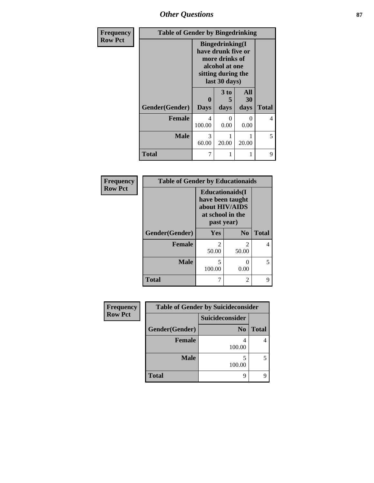*Other Questions* **87**

| <b>Frequency</b> | <b>Table of Gender by Bingedrinking</b> |                                                                                                                          |                              |                          |              |
|------------------|-----------------------------------------|--------------------------------------------------------------------------------------------------------------------------|------------------------------|--------------------------|--------------|
| <b>Row Pct</b>   |                                         | <b>Bingedrinking</b> (I<br>have drunk five or<br>more drinks of<br>alcohol at one<br>sitting during the<br>last 30 days) |                              |                          |              |
|                  | Gender(Gender)                          | 0<br><b>Days</b>                                                                                                         | 3 <sub>to</sub><br>5<br>days | <b>All</b><br>30<br>days | <b>Total</b> |
|                  | <b>Female</b>                           | 4<br>100.00                                                                                                              | $\mathbf{\Omega}$<br>0.00    | $\Omega$<br>0.00         | 4            |
|                  | Male                                    | 3<br>60.00                                                                                                               | 20.00                        | 20.00                    | 5            |
|                  | <b>Total</b>                            | 7                                                                                                                        |                              |                          | 9            |

| Frequency      | <b>Table of Gender by Educationaids</b> |                                                                                                 |                |              |
|----------------|-----------------------------------------|-------------------------------------------------------------------------------------------------|----------------|--------------|
| <b>Row Pct</b> |                                         | <b>Educationaids</b> (I<br>have been taught<br>about HIV/AIDS<br>at school in the<br>past year) |                |              |
|                | Gender(Gender)                          | <b>Yes</b>                                                                                      | N <sub>0</sub> | <b>Total</b> |
|                | <b>Female</b>                           | $\mathfrak{D}$<br>50.00                                                                         | 2<br>50.00     | 4            |
|                | <b>Male</b>                             | 5<br>100.00                                                                                     | 0.00           | 5.           |
|                | <b>Total</b>                            |                                                                                                 | 2              | 9            |

| Frequency      | <b>Table of Gender by Suicideconsider</b> |                 |              |
|----------------|-------------------------------------------|-----------------|--------------|
| <b>Row Pct</b> |                                           | Suicideconsider |              |
|                | Gender(Gender)                            | N <sub>0</sub>  | <b>Total</b> |
|                | <b>Female</b>                             | 100.00          |              |
|                | <b>Male</b>                               | 100.00          |              |
|                | <b>Total</b>                              | Q               |              |